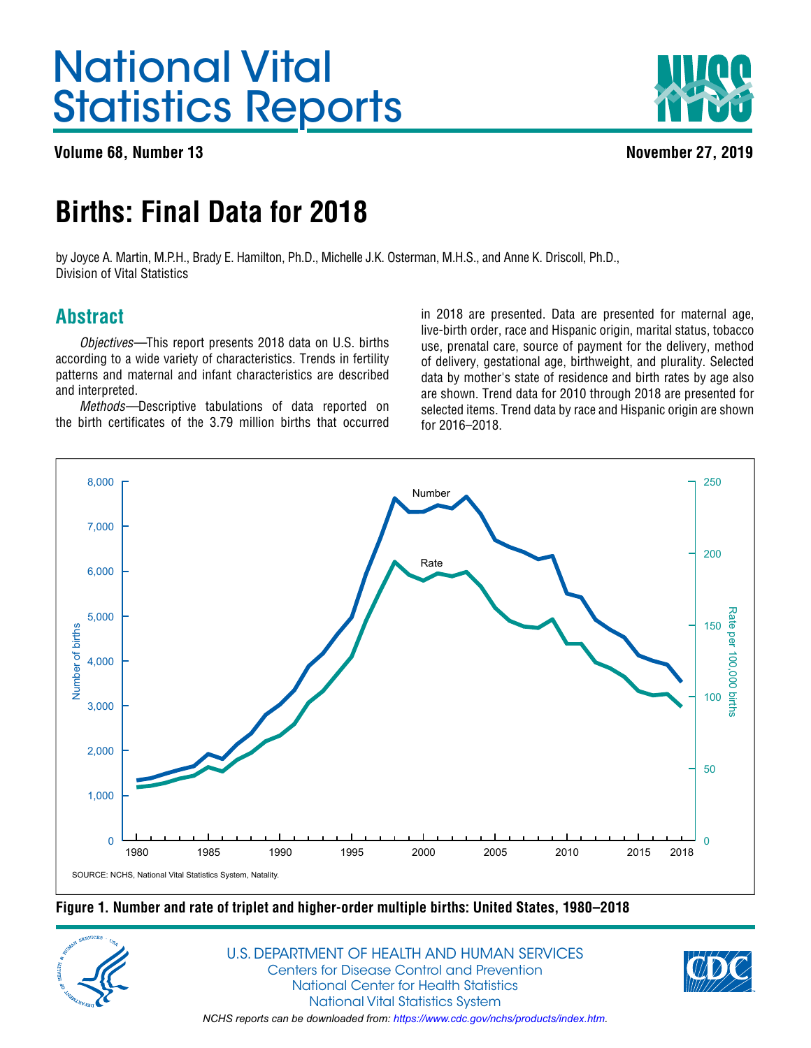# <span id="page-0-0"></span>National Vital Statistics Reports

**Volume 68, Number 13 November 27, 2019**



## **Births: Final Data for 2018**

by Joyce A. Martin, M.P.H., Brady E. Hamilton, Ph.D., Michelle J.K. Osterman, M.H.S., and Anne K. Driscoll, Ph.D., Division of Vital Statistics

## **Abstract**

*Objectives—*This report presents 2018 data on U.S. births according to a wide variety of characteristics. Trends in fertility patterns and maternal and infant characteristics are described and interpreted.

*Methods—*Descriptive tabulations of data reported on the birth certificates of the 3.79 million births that occurred

in 2018 are presented. Data are presented for maternal age, live-birth order, race and Hispanic origin, marital status, tobacco use, prenatal care, source of payment for the delivery, method of delivery, gestational age, birthweight, and plurality. Selected data by mother's state of residence and birth rates by age also are shown. Trend data for 2010 through 2018 are presented for selected items. Trend data by race and Hispanic origin are shown for 2016–2018.



**Figure 1. Number and rate of triplet and higher-order multiple births: United States, 1980–2018**



U.S. DEPARTMENT OF HEALTH AND HUMAN SERVICES Centers for Disease Control and Prevention National Center for Health Statistics National Vital Statistics System *NCHS reports can be downloaded from: [https://www.cdc.gov/nchs/products/index.htm.](https://www.cdc.gov/nchs/products/index.htm)*

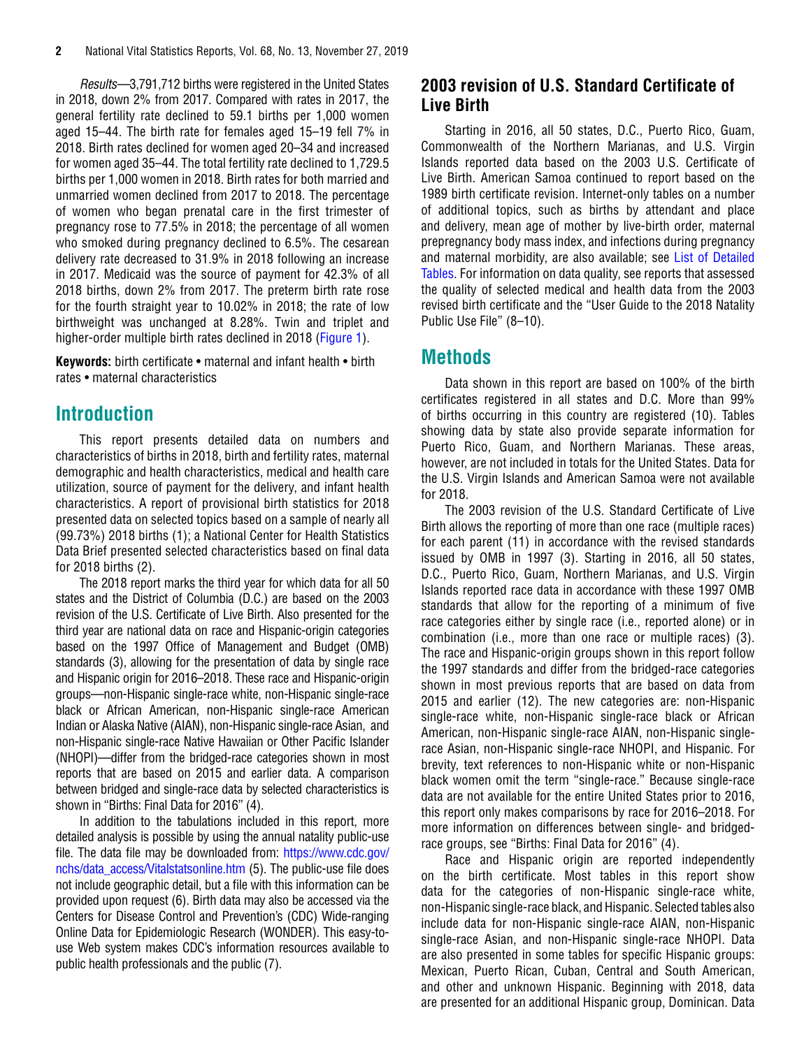<span id="page-1-0"></span>*Results—*3,791,712 births were registered in the United States in 2018, down 2% from 2017. Compared with rates in 2017, the general fertility rate declined to 59.1 births per 1,000 women aged 15–44. The birth rate for females aged 15–19 fell 7% in 2018. Birth rates declined for women aged 20–34 and increased for women aged 35–44. The total fertility rate declined to 1,729.5 births per 1,000 women in 2018. Birth rates for both married and unmarried women declined from 2017 to 2018. The percentage of women who began prenatal care in the first trimester of pregnancy rose to 77.5% in 2018; the percentage of all women who smoked during pregnancy declined to 6.5%. The cesarean delivery rate decreased to 31.9% in 2018 following an increase in 2017. Medicaid was the source of payment for 42.3% of all 2018 births, down 2% from 2017. The preterm birth rate rose for the fourth straight year to 10.02% in 2018; the rate of low birthweight was unchanged at 8.28%. Twin and triplet and higher-order multiple birth rates declined in 2018 [\(Figure 1](#page-0-0)).

**Keywords:** birth certificate • maternal and infant health • birth rates • maternal characteristics

### **Introduction**

This report presents detailed data on numbers and characteristics of births in 2018, birth and fertility rates, maternal demographic and health characteristics, medical and health care utilization, source of payment for the delivery, and infant health characteristics. A report of provisional birth statistics for 2018 presented data on selected topics based on a sample of nearly all (99.73%) 2018 births (1); a National Center for Health Statistics Data Brief presented selected characteristics based on final data for 2018 births (2).

The 2018 report marks the third year for which data for all 50 states and the District of Columbia (D.C.) are based on the 2003 revision of the U.S. Certificate of Live Birth. Also presented for the third year are national data on race and Hispanic-origin categories based on the 1997 Office of Management and Budget (OMB) standards (3), allowing for the presentation of data by single race and Hispanic origin for 2016–2018. These race and Hispanic-origin groups—non-Hispanic single-race white, non-Hispanic single-race black or African American, non-Hispanic single-race American Indian or Alaska Native (AIAN), non-Hispanic single-race Asian, and non-Hispanic single-race Native Hawaiian or Other Pacific Islander (NHOPI)—differ from the bridged-race categories shown in most reports that are based on 2015 and earlier data. A comparison between bridged and single-race data by selected characteristics is shown in "Births: Final Data for 2016" (4).

In addition to the tabulations included in this report, more detailed analysis is possible by using the annual natality public-use file. The data file may be downloaded from: [https://www.cdc.gov/](https://www.cdc.gov/nchs/data_access/Vitalstatsonline.htm) [nchs/data\\_access/Vitalstatsonline.htm](https://www.cdc.gov/nchs/data_access/Vitalstatsonline.htm) (5). The public-use file does not include geographic detail, but a file with this information can be provided upon request (6). Birth data may also be accessed via the Centers for Disease Control and Prevention's (CDC) Wide-ranging Online Data for Epidemiologic Research (WONDER). This easy-touse Web system makes CDC's information resources available to public health professionals and the public (7).

### **2003 revision of U.S. Standard Certificate of Live Birth**

Starting in 2016, all 50 states, D.C., Puerto Rico, Guam, Commonwealth of the Northern Marianas, and U.S. Virgin Islands reported data based on the 2003 U.S. Certificate of Live Birth. American Samoa continued to report based on the 1989 birth certificate revision. Internet-only tables on a number of additional topics, such as births by attendant and place and delivery, mean age of mother by live-birth order, maternal prepregnancy body mass index, and infections during pregnancy and maternal morbidity, are also available; see [List of Detailed](#page-10-0)  [Tables.](#page-10-0) For information on data quality, see reports that assessed the quality of selected medical and health data from the 2003 revised birth certificate and the "User Guide to the 2018 Natality Public Use File" (8-10).

## **Methods**

Data shown in this report are based on 100% of the birth certificates registered in all states and D.C. More than 99% of births occurring in this country are registered (10). Tables showing data by state also provide separate information for Puerto Rico, Guam, and Northern Marianas. These areas, however, are not included in totals for the United States. Data for the U.S. Virgin Islands and American Samoa were not available for 2018.

The 2003 revision of the U.S. Standard Certificate of Live Birth allows the reporting of more than one race (multiple races) for each parent (11) in accordance with the revised standards issued by OMB in 1997 (3). Starting in 2016, all 50 states, D.C., Puerto Rico, Guam, Northern Marianas, and U.S. Virgin Islands reported race data in accordance with these 1997 OMB standards that allow for the reporting of a minimum of five race categories either by single race (i.e., reported alone) or in combination (i.e., more than one race or multiple races) (3). The race and Hispanic-origin groups shown in this report follow the 1997 standards and differ from the bridged-race categories shown in most previous reports that are based on data from 2015 and earlier (12). The new categories are: non-Hispanic single-race white, non-Hispanic single-race black or African American, non-Hispanic single-race AIAN, non-Hispanic singlerace Asian, non-Hispanic single-race NHOPI, and Hispanic. For brevity, text references to non-Hispanic white or non-Hispanic black women omit the term "single-race." Because single-race data are not available for the entire United States prior to 2016, this report only makes comparisons by race for 2016–2018. For more information on differences between single- and bridgedrace groups, see "Births: Final Data for 2016" (4).

Race and Hispanic origin are reported independently on the birth certificate. Most tables in this report show data for the categories of non-Hispanic single-race white, non-Hispanic single-race black, and Hispanic. Selected tables also include data for non-Hispanic single-race AIAN, non-Hispanic single-race Asian, and non-Hispanic single-race NHOPI. Data are also presented in some tables for specific Hispanic groups: Mexican, Puerto Rican, Cuban, Central and South American, and other and unknown Hispanic. Beginning with 2018, data are presented for an additional Hispanic group, Dominican. Data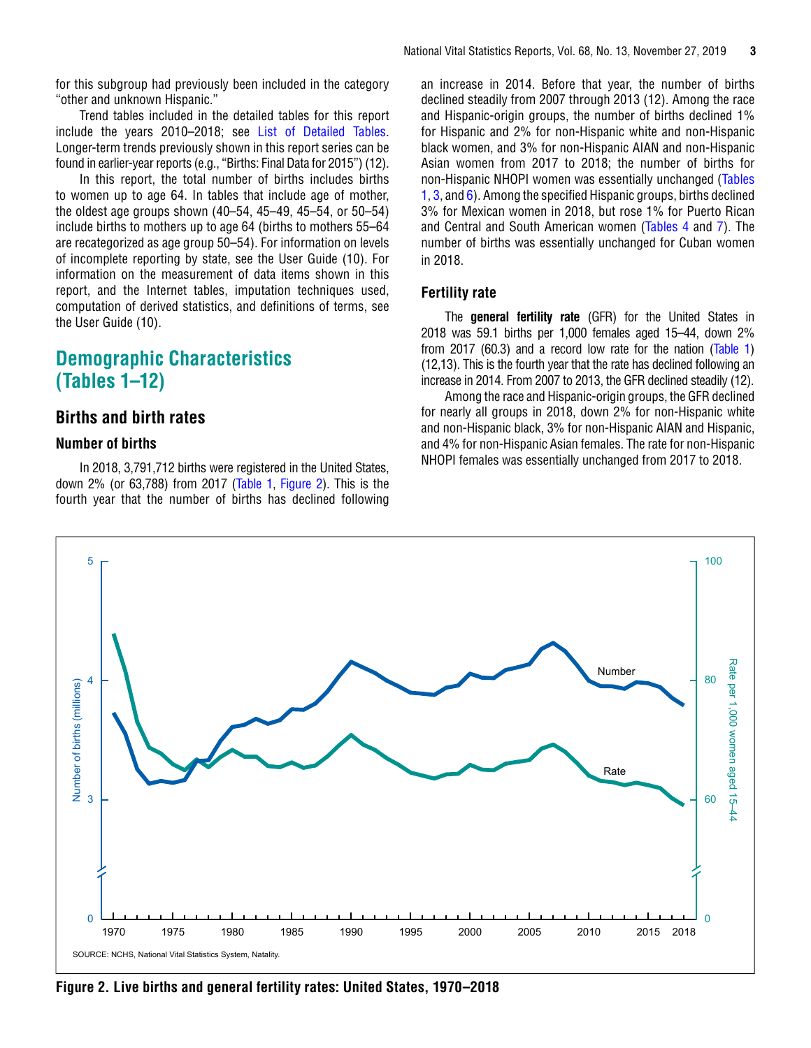<span id="page-2-0"></span>for this subgroup had previously been included in the category "other and unknown Hispanic."

Trend tables included in the detailed tables for this report include the years 2010–2018; see [List of Detailed Tables.](#page-10-0) Longer-term trends previously shown in this report series can be found in earlier-year reports (e.g., "Births: Final Data for 2015") (12).

In this report, the total number of births includes births to women up to age 64. In tables that include age of mother, the oldest age groups shown (40–54, 45–49, 45–54, or 50–54) include births to mothers up to age 64 (births to mothers 55–64 are recategorized as age group 50–54). For information on levels of incomplete reporting by state, see the User Guide (10). For information on the measurement of data items shown in this report, and the Internet tables, imputation techniques used, computation of derived statistics, and definitions of terms, see the User Guide (10).

### **Demographic Characteristics (Tables 1–12)**

### **Births and birth rates**

#### **Number of births**

In 2018, 3,791,712 births were registered in the United States, down 2% (or 63,788) from 2017 ([Table 1,](#page-11-0) Figure 2). This is the fourth year that the number of births has declined following

an increase in 2014. Before that year, the number of births declined steadily from 2007 through 2013 (12). Among the race and Hispanic-origin groups, the number of births declined 1% for Hispanic and 2% for non-Hispanic white and non-Hispanic black women, and 3% for non-Hispanic AIAN and non-Hispanic Asian women from 2017 to 2018; the number of births for non-Hispanic NHOPI women was essentially unchanged [\(Tables](#page-11-0) [1,](#page-11-0) [3, a](#page-13-0)nd [6\)](#page-19-0). Among the specified Hispanic groups, births declined 3% for Mexican women in 2018, but rose 1% for Puerto Rican and Central and South American women ([Tables 4](#page-15-0) and [7\)](#page-21-0). The number of births was essentially unchanged for Cuban women in 2018.

#### **Fertility rate**

The **general fertility rate** (GFR) for the United States in 2018 was 59.1 births per 1,000 females aged 15–44, down 2% from 2017 (60.3) and a record low rate for the nation ([Table 1\)](#page-11-0) (12,13). This is the fourth year that the rate has declined following an increase in 2014. From 2007 to 2013, the GFR declined steadily (12).

Among the race and Hispanic-origin groups, the GFR declined for nearly all groups in 2018, down 2% for non-Hispanic white and non-Hispanic black, 3% for non-Hispanic AIAN and Hispanic, and 4% for non-Hispanic Asian females. The rate for non-Hispanic NHOPI females was essentially unchanged from 2017 to 2018.



**Figure 2. Live births and general fertility rates: United States, 1970–2018**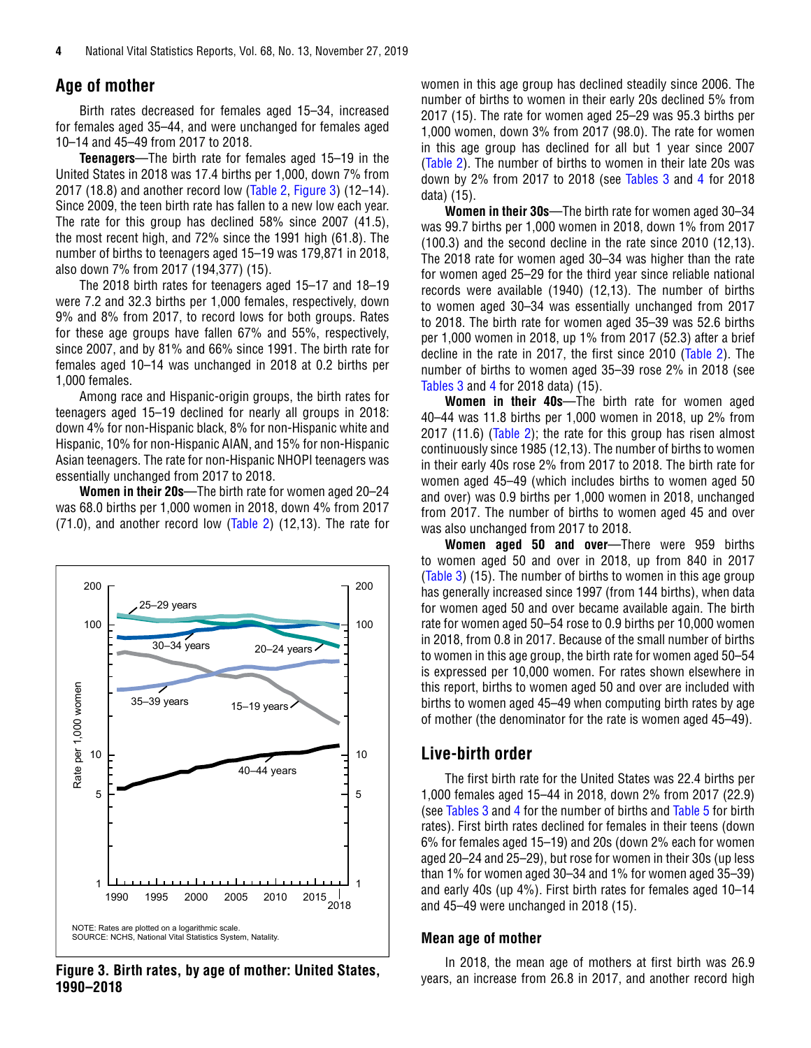#### <span id="page-3-0"></span>**Age of mother**

Birth rates decreased for females aged 15–34, increased for females aged 35–44, and were unchanged for females aged 10–14 and 45–49 from 2017 to 2018.

**Teenagers**—The birth rate for females aged 15–19 in the United States in 2018 was 17.4 births per 1,000, down 7% from 2017 (18.8) and another record low ([Table 2,](#page-12-0) Figure 3) (12–14). Since 2009, the teen birth rate has fallen to a new low each year. The rate for this group has declined 58% since 2007 (41.5), the most recent high, and 72% since the 1991 high (61.8). The number of births to teenagers aged 15–19 was 179,871 in 2018, also down 7% from 2017 (194,377) (15).

The 2018 birth rates for teenagers aged 15–17 and 18–19 were 7.2 and 32.3 births per 1,000 females, respectively, down 9% and 8% from 2017, to record lows for both groups. Rates for these age groups have fallen 67% and 55%, respectively, since 2007, and by 81% and 66% since 1991. The birth rate for females aged 10–14 was unchanged in 2018 at 0.2 births per 1,000 females.

Among race and Hispanic-origin groups, the birth rates for teenagers aged 15–19 declined for nearly all groups in 2018: down 4% for non-Hispanic black, 8% for non-Hispanic white and Hispanic, 10% for non-Hispanic AIAN, and 15% for non-Hispanic Asian teenagers. The rate for non-Hispanic NHOPI teenagers was essentially unchanged from 2017 to 2018.

**Women in their 20s**—The birth rate for women aged 20–24 was 68.0 births per 1,000 women in 2018, down 4% from 2017 (71.0), and another record low [\(Table 2\)](#page-12-0) (12,13). The rate for



**1990–2018**

women in this age group has declined steadily since 2006. The number of births to women in their early 20s declined 5% from 2017 (15). The rate for women aged 25–29 was 95.3 births per 1,000 women, down 3% from 2017 (98.0). The rate for women in this age group has declined for all but 1 year since 2007 [\(Table 2\)](#page-12-0). The number of births to women in their late 20s was down by 2% from 2017 to 2018 (see [Tables 3](#page-13-0) an[d 4 f](#page-15-0)or 2018 data) (15).

**Women in their 30s**—The birth rate for women aged 30–34 was 99.7 births per 1,000 women in 2018, down 1% from 2017 (100.3) and the second decline in the rate since 2010 (12,13). The 2018 rate for women aged 30–34 was higher than the rate for women aged 25–29 for the third year since reliable national records were available (1940) (12,13). The number of births to women aged 30–34 was essentially unchanged from 2017 to 2018. The birth rate for women aged 35–39 was 52.6 births per 1,000 women in 2018, up 1% from 2017 (52.3) after a brief decline in the rate in 2017, the first since 2010 [\(Table 2\).](#page-12-0) The number of births to women aged 35–39 rose 2% in 2018 (see [Tables 3 a](#page-13-0)nd [4](#page-15-0) for 2018 data) (15).

**Women in their 40s**—The birth rate for women aged 40–44 was 11.8 births per 1,000 women in 2018, up 2% from 2017 (11.6) ([Table 2](#page-12-0)); the rate for this group has risen almost continuously since 1985 (12,13). The number of births to women in their early 40s rose 2% from 2017 to 2018. The birth rate for women aged 45–49 (which includes births to women aged 50 and over) was 0.9 births per 1,000 women in 2018, unchanged from 2017. The number of births to women aged 45 and over was also unchanged from 2017 to 2018.

**Women aged 50 and over**—There were 959 births to women aged 50 and over in 2018, up from 840 in 2017 [\(Table 3\)](#page-13-0) (15). The number of births to women in this age group has generally increased since 1997 (from 144 births), when data for women aged 50 and over became available again. The birth rate for women aged 50–54 rose to 0.9 births per 10,000 women in 2018, from 0.8 in 2017. Because of the small number of births to women in this age group, the birth rate for women aged 50–54 is expressed per 10,000 women. For rates shown elsewhere in this report, births to women aged 50 and over are included with births to women aged 45–49 when computing birth rates by age of mother (the denominator for the rate is women aged 45–49).

#### **Live-birth order**

The first birth rate for the United States was 22.4 births per 1,000 females aged 15–44 in 2018, down 2% from 2017 (22.9) (se[e Tables 3 a](#page-13-0)nd [4](#page-15-0) for the number of births and [Table 5 f](#page-17-0)or birth rates). First birth rates declined for females in their teens (down 6% for females aged 15–19) and 20s (down 2% each for women aged 20–24 and 25–29), but rose for women in their 30s (up less than 1% for women aged 30–34 and 1% for women aged 35–39) and early 40s (up 4%). First birth rates for females aged 10–14 and 45–49 were unchanged in 2018 (15).

#### **Mean age of mother**

In 2018, the mean age of mothers at first birth was 26.9 years, an increase from 26.8 in 2017, and another record high **Figure 3. Birth rates, by age of mother: United States,**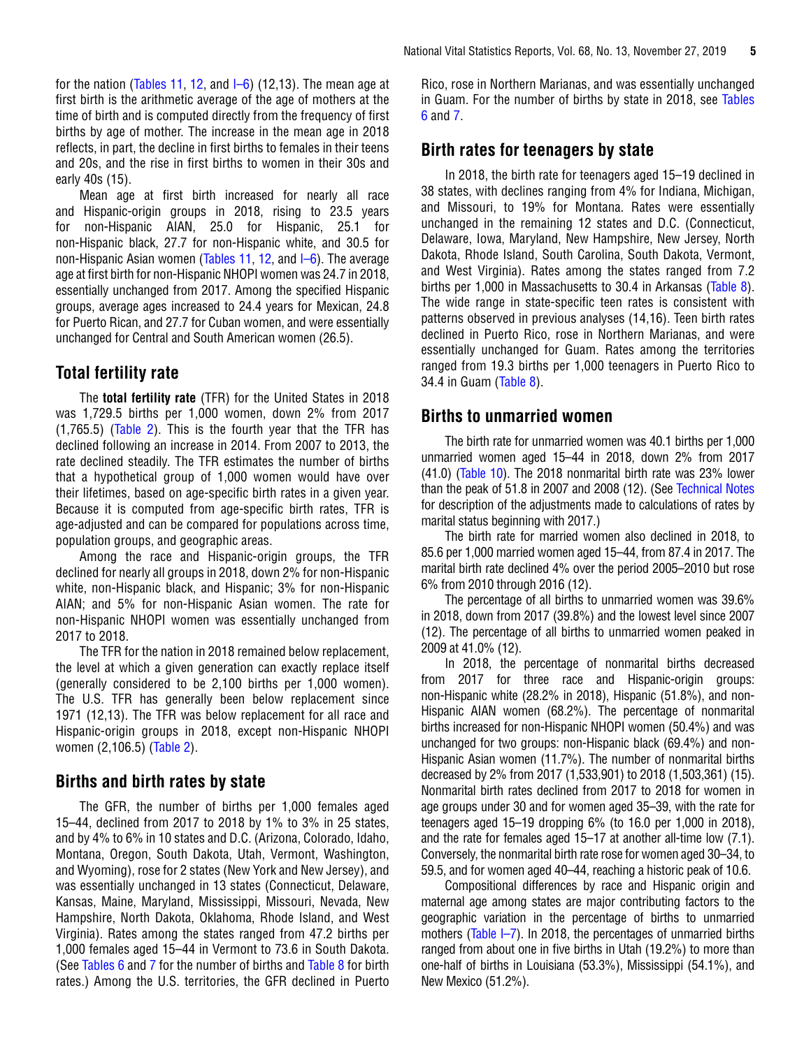<span id="page-4-0"></span>for the nation [\(Tables 11,](#page-26-0) [12,](#page-27-0) and  $I=6$ ) (12,13). The mean age at first birth is the arithmetic average of the age of mothers at the time of birth and is computed directly from the frequency of first births by age of mother. The increase in the mean age in 2018 reflects, in part, the decline in first births to females in their teens and 20s, and the rise in first births to women in their 30s and early 40s (15).

Mean age at first birth increased for nearly all race and Hispanic-origin groups in 2018, rising to 23.5 years for non-Hispanic AIAN, 25.0 for Hispanic, 25.1 for non-Hispanic black, 27.7 for non-Hispanic white, and 30.5 for non-Hispanic Asian women [\(Tables 11,](#page-26-0) [12,](#page-27-0) and [I–6\)](https://www.cdc.gov/nchs/data/nvsr/nvsr68/nvsr68_13_tables-508.pdf#I06). The average age at first birth for non-Hispanic NHOPI women was 24.7 in 2018, essentially unchanged from 2017. Among the specified Hispanic groups, average ages increased to 24.4 years for Mexican, 24.8 for Puerto Rican, and 27.7 for Cuban women, and were essentially unchanged for Central and South American women (26.5).

### **Total fertility rate**

The **total fertility rate** (TFR) for the United States in 2018 was 1,729.5 births per 1,000 women, down 2% from 2017 (1,765.5) ([Table 2\)](#page-12-0). This is the fourth year that the TFR has declined following an increase in 2014. From 2007 to 2013, the rate declined steadily. The TFR estimates the number of births that a hypothetical group of 1,000 women would have over their lifetimes, based on age-specific birth rates in a given year. Because it is computed from age-specific birth rates, TFR is age-adjusted and can be compared for populations across time, population groups, and geographic areas.

Among the race and Hispanic-origin groups, the TFR declined for nearly all groups in 2018, down 2% for non-Hispanic white, non-Hispanic black, and Hispanic; 3% for non-Hispanic AIAN; and 5% for non-Hispanic Asian women. The rate for non-Hispanic NHOPI women was essentially unchanged from 2017 to 2018.

The TFR for the nation in 2018 remained below replacement, the level at which a given generation can exactly replace itself (generally considered to be 2,100 births per 1,000 women). The U.S. TFR has generally been below replacement since 1971 (12,13). The TFR was below replacement for all race and Hispanic-origin groups in 2018, except non-Hispanic NHOPI women (2,106.5) [\(Table 2\)](#page-12-0).

#### **Births and birth rates by state**

The GFR, the number of births per 1,000 females aged 15–44, declined from 2017 to 2018 by 1% to 3% in 25 states, and by 4% to 6% in 10 states and D.C. (Arizona, Colorado, Idaho, Montana, Oregon, South Dakota, Utah, Vermont, Washington, and Wyoming), rose for 2 states (New York and New Jersey), and was essentially unchanged in 13 states (Connecticut, Delaware, Kansas, Maine, Maryland, Mississippi, Missouri, Nevada, New Hampshire, North Dakota, Oklahoma, Rhode Island, and West Virginia). Rates among the states ranged from 47.2 births per 1,000 females aged 15–44 in Vermont to 73.6 in South Dakota. (See [Tables 6](#page-19-0) and [7 f](#page-21-0)or the number of births and [Table 8](#page-22-0) for birth rates.) Among the U.S. territories, the GFR declined in Puerto

Rico, rose in Northern Marianas, and was essentially unchanged in Guam. For the number of births by state in 2018, see [Tables](#page-19-0)  [6](#page-19-0) and [7.](#page-21-0)

#### **Birth rates for teenagers by state**

In 2018, the birth rate for teenagers aged 15–19 declined in 38 states, with declines ranging from 4% for Indiana, Michigan, and Missouri, to 19% for Montana. Rates were essentially unchanged in the remaining 12 states and D.C. (Connecticut, Delaware, Iowa, Maryland, New Hampshire, New Jersey, North Dakota, Rhode Island, South Carolina, South Dakota, Vermont, and West Virginia). Rates among the states ranged from 7.2 births per 1,000 in Massachusetts to 30.4 in Arkansas [\(Table 8\)](#page-22-0). The wide range in state-specific teen rates is consistent with patterns observed in previous analyses (14,16). Teen birth rates declined in Puerto Rico, rose in Northern Marianas, and were essentially unchanged for Guam. Rates among the territories ranged from 19.3 births per 1,000 teenagers in Puerto Rico to 34.4 in Guam [\(Table 8\)](#page-22-0).

#### **Births to unmarried women**

The birth rate for unmarried women was 40.1 births per 1,000 unmarried women aged 15–44 in 2018, down 2% from 2017 (41.0) [\(Table 10\)](#page-25-0). The 2018 nonmarital birth rate was 23% lower than the peak of 51.8 in 2007 and 2008 (12). (See [Technical Notes](#page-44-0) for description of the adjustments made to calculations of rates by marital status beginning with 2017.)

The birth rate for married women also declined in 2018, to 85.6 per 1,000 married women aged 15–44, from 87.4 in 2017. The marital birth rate declined 4% over the period 2005–2010 but rose 6% from 2010 through 2016 (12).

The percentage of all births to unmarried women was 39.6% in 2018, down from 2017 (39.8%) and the lowest level since 2007 (12). The percentage of all births to unmarried women peaked in 2009 at 41.0% (12).

In 2018, the percentage of nonmarital births decreased from 2017 for three race and Hispanic-origin groups: non-Hispanic white (28.2% in 2018), Hispanic (51.8%), and non-Hispanic AIAN women (68.2%). The percentage of nonmarital births increased for non-Hispanic NHOPI women (50.4%) and was unchanged for two groups: non-Hispanic black (69.4%) and non-Hispanic Asian women (11.7%). The number of nonmarital births decreased by 2% from 2017 (1,533,901) to 2018 (1,503,361) (15). Nonmarital birth rates declined from 2017 to 2018 for women in age groups under 30 and for women aged 35–39, with the rate for teenagers aged 15–19 dropping 6% (to 16.0 per 1,000 in 2018), and the rate for females aged 15–17 at another all-time low (7.1). Conversely, the nonmarital birth rate rose for women aged 30–34, to 59.5, and for women aged 40–44, reaching a historic peak of 10.6.

Compositional differences by race and Hispanic origin and maternal age among states are major contributing factors to the geographic variation in the percentage of births to unmarried mothers ([Table I–7\)](https://www.cdc.gov/nchs/data/nvsr/nvsr68/nvsr68_13_tables-508.pdf#I07). In 2018, the percentages of unmarried births ranged from about one in five births in Utah (19.2%) to more than one-half of births in Louisiana (53.3%), Mississippi (54.1%), and New Mexico (51.2%).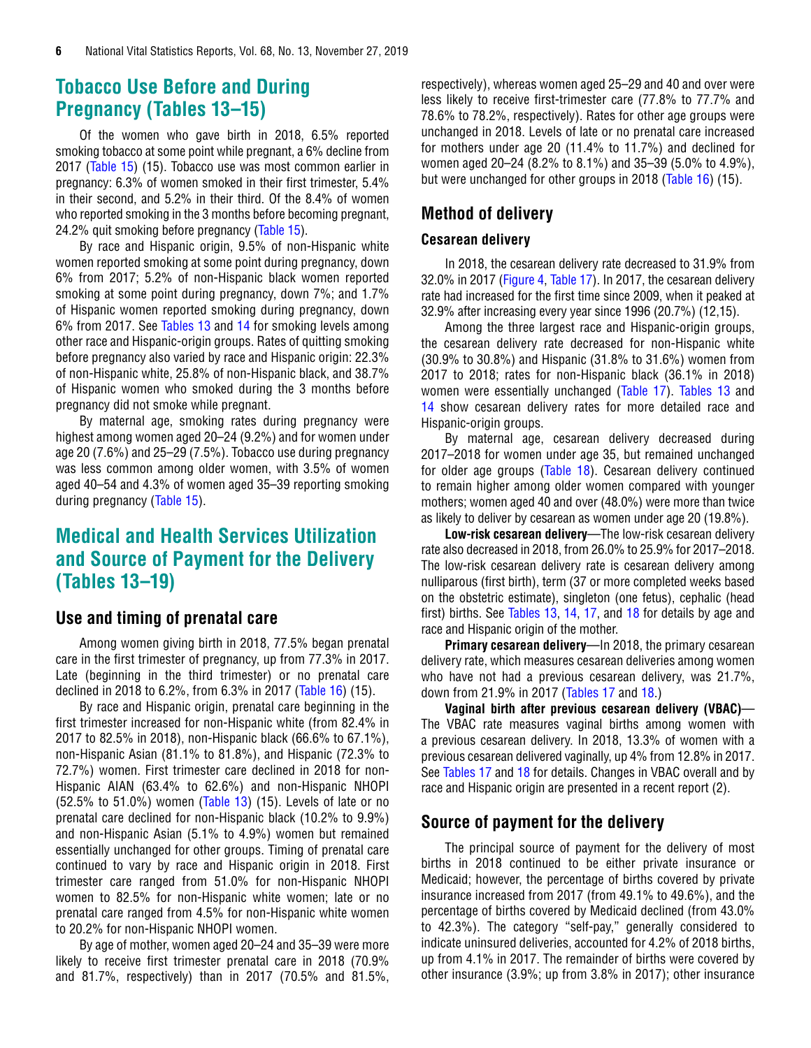### <span id="page-5-0"></span>**Tobacco Use Before and During Pregnancy (Tables 13–15)**

Of the women who gave birth in 2018, 6.5% reported smoking tobacco at some point while pregnant, a 6% decline from 2017 [\(Table 15\)](#page-30-0) (15). Tobacco use was most common earlier in pregnancy: 6.3% of women smoked in their first trimester, 5.4% in their second, and 5.2% in their third. Of the 8.4% of women who reported smoking in the 3 months before becoming pregnant, 24.2% quit smoking before pregnancy [\(Table 15\)](#page-30-0).

By race and Hispanic origin, 9.5% of non-Hispanic white women reported smoking at some point during pregnancy, down 6% from 2017; 5.2% of non-Hispanic black women reported smoking at some point during pregnancy, down 7%; and 1.7% of Hispanic women reported smoking during pregnancy, down 6% from 2017. See [Tables 13 a](#page-28-0)nd [14 f](#page-29-0)or smoking levels among other race and Hispanic-origin groups. Rates of quitting smoking before pregnancy also varied by race and Hispanic origin: 22.3% of non-Hispanic white, 25.8% of non-Hispanic black, and 38.7% of Hispanic women who smoked during the 3 months before pregnancy did not smoke while pregnant.

By maternal age, smoking rates during pregnancy were highest among women aged 20–24 (9.2%) and for women under age 20 (7.6%) and 25–29 (7.5%). Tobacco use during pregnancy was less common among older women, with 3.5% of women aged 40–54 and 4.3% of women aged 35–39 reporting smoking during pregnancy [\(Table 15\)](#page-30-0).

### **Medical and Health Services Utilization and Source of Payment for the Delivery (Tables 13–19)**

### **Use and timing of prenatal care**

Among women giving birth in 2018, 77.5% began prenatal care in the first trimester of pregnancy, up from 77.3% in 2017. Late (beginning in the third trimester) or no prenatal care declined in 2018 to 6.2%, from 6.3% in 2017 [\(Table 16\)](#page-32-0) (15).

By race and Hispanic origin, prenatal care beginning in the first trimester increased for non-Hispanic white (from 82.4% in 2017 to 82.5% in 2018), non-Hispanic black (66.6% to 67.1%), non-Hispanic Asian (81.1% to 81.8%), and Hispanic (72.3% to 72.7%) women. First trimester care declined in 2018 for non-Hispanic AIAN (63.4% to 62.6%) and non-Hispanic NHOPI (52.5% to 51.0%) women [\(Table 13\) \(](#page-28-0)15). Levels of late or no prenatal care declined for non-Hispanic black (10.2% to 9.9%) and non-Hispanic Asian (5.1% to 4.9%) women but remained essentially unchanged for other groups. Timing of prenatal care continued to vary by race and Hispanic origin in 2018. First trimester care ranged from 51.0% for non-Hispanic NHOPI women to 82.5% for non-Hispanic white women; late or no prenatal care ranged from 4.5% for non-Hispanic white women to 20.2% for non-Hispanic NHOPI women.

By age of mother, women aged 20–24 and 35–39 were more likely to receive first trimester prenatal care in 2018 (70.9% and 81.7%, respectively) than in 2017 (70.5% and 81.5%,

respectively), whereas women aged 25–29 and 40 and over were less likely to receive first-trimester care (77.8% to 77.7% and 78.6% to 78.2%, respectively). Rates for other age groups were unchanged in 2018. Levels of late or no prenatal care increased for mothers under age 20 (11.4% to 11.7%) and declined for women aged 20–24 (8.2% to 8.1%) and 35–39 (5.0% to 4.9%), but were unchanged for other groups in 2018 ([Table 16\)](#page-32-0) (15).

### **Method of delivery**

#### **Cesarean delivery**

In 2018, the cesarean delivery rate decreased to 31.9% from 32.0% in 2017 [\(Figure 4,](#page-6-0) [Table 17\)](#page-33-0). In 2017, the cesarean delivery rate had increased for the first time since 2009, when it peaked at 32.9% after increasing every year since 1996 (20.7%) (12,15).

Among the three largest race and Hispanic-origin groups, the cesarean delivery rate decreased for non-Hispanic white (30.9% to 30.8%) and Hispanic (31.8% to 31.6%) women from 2017 to 2018; rates for non-Hispanic black (36.1% in 2018) women were essentially unchanged [\(Table 17](#page-33-0)). [Tables 13](#page-28-0) and [14 s](#page-29-0)how cesarean delivery rates for more detailed race and Hispanic-origin groups.

By maternal age, cesarean delivery decreased during 2017–2018 for women under age 35, but remained unchanged for older age groups [\(Table 18](#page-34-0)). Cesarean delivery continued to remain higher among older women compared with younger mothers; women aged 40 and over (48.0%) were more than twice as likely to deliver by cesarean as women under age 20 (19.8%).

**Low-risk cesarean delivery**—The low-risk cesarean delivery rate also decreased in 2018, from 26.0% to 25.9% for 2017–2018. The low-risk cesarean delivery rate is cesarean delivery among nulliparous (first birth), term (37 or more completed weeks based on the obstetric estimate), singleton (one fetus), cephalic (head first) births. See [Tables 13](#page-28-0)[, 14,](#page-29-0) [17,](#page-33-0) and [18 f](#page-34-0)or details by age and race and Hispanic origin of the mother.

**Primary cesarean delivery—In 2018, the primary cesarean** delivery rate, which measures cesarean deliveries among women who have not had a previous cesarean delivery, was 21.7%, down from 21.9% in 2017 ([Tables 17](#page-33-0) and [18.\)](#page-34-0)

**Vaginal birth after previous cesarean delivery (VBAC)**— The VBAC rate measures vaginal births among women with a previous cesarean delivery. In 2018, 13.3% of women with a previous cesarean delivered vaginally, up 4% from 12.8% in 2017. See [Tables 17](#page-33-0) and [18 f](#page-34-0)or details. Changes in VBAC overall and by race and Hispanic origin are presented in a recent report (2).

### **Source of payment for the delivery**

The principal source of payment for the delivery of most births in 2018 continued to be either private insurance or Medicaid; however, the percentage of births covered by private insurance increased from 2017 (from 49.1% to 49.6%), and the percentage of births covered by Medicaid declined (from 43.0% to 42.3%). The category "self-pay," generally considered to indicate uninsured deliveries, accounted for 4.2% of 2018 births, up from 4.1% in 2017. The remainder of births were covered by other insurance (3.9%; up from 3.8% in 2017); other insurance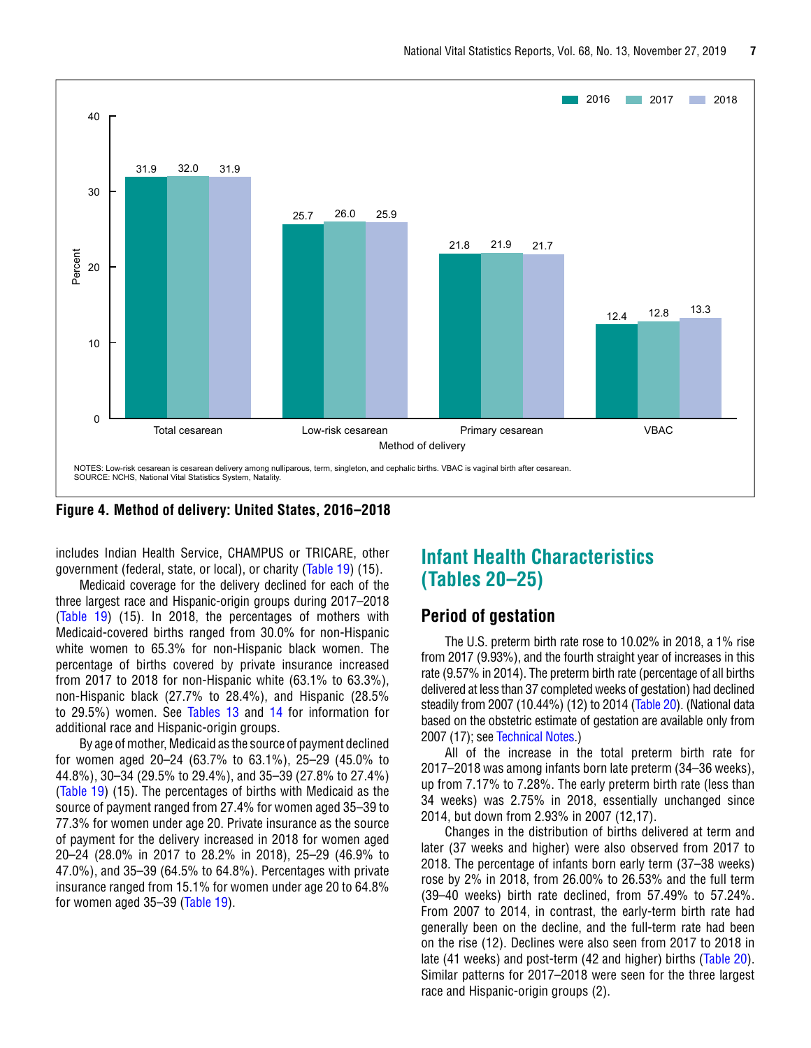<span id="page-6-0"></span>

**Figure 4. Method of delivery: United States, 2016–2018**

includes Indian Health Service, CHAMPUS or TRICARE, other government (federal, state, or local), or charity ([Table 19\)](#page-35-0) (15).

Medicaid coverage for the delivery declined for each of the three largest race and Hispanic-origin groups during 2017–2018 [\(Table 19](#page-35-0)) (15). In 2018, the percentages of mothers with Medicaid-covered births ranged from 30.0% for non-Hispanic white women to 65.3% for non-Hispanic black women. The percentage of births covered by private insurance increased from 2017 to 2018 for non-Hispanic white (63.1% to 63.3%), non-Hispanic black (27.7% to 28.4%), and Hispanic (28.5% to 29.5%) women. See [Tables 13](#page-28-0) and [14 f](#page-29-0)or information for additional race and Hispanic-origin groups.

By age of mother, Medicaid as the source of payment declined for women aged 20–24 (63.7% to 63.1%), 25–29 (45.0% to 44.8%), 30–34 (29.5% to 29.4%), and 35–39 (27.8% to 27.4%) [\(Table 19\)](#page-35-0) (15). The percentages of births with Medicaid as the source of payment ranged from 27.4% for women aged 35–39 to 77.3% for women under age 20. Private insurance as the source of payment for the delivery increased in 2018 for women aged 20–24 (28.0% in 2017 to 28.2% in 2018), 25–29 (46.9% to 47.0%), and 35–39 (64.5% to 64.8%). Percentages with private insurance ranged from 15.1% for women under age 20 to 64.8% for women aged 35–39 [\(Table 19\)](#page-35-0).

### **Infant Health Characteristics (Tables 20–25)**

#### **Period of gestation**

The U.S. preterm birth rate rose to 10.02% in 2018, a 1% rise from 2017 (9.93%), and the fourth straight year of increases in this rate (9.57% in 2014). The preterm birth rate (percentage of all births delivered at less than 37 completed weeks of gestation) had declined steadily from 2007 (10.44%) (12) to 2014 [\(Table 20\)](#page-36-0). (National data based on the obstetric estimate of gestation are available only from 2007 (17); see [Technical Notes.\)](#page-44-0)

All of the increase in the total preterm birth rate for 2017–2018 was among infants born late preterm (34–36 weeks), up from 7.17% to 7.28%. The early preterm birth rate (less than 34 weeks) was 2.75% in 2018, essentially unchanged since 2014, but down from 2.93% in 2007 (12,17).

Changes in the distribution of births delivered at term and later (37 weeks and higher) were also observed from 2017 to 2018. The percentage of infants born early term (37–38 weeks) rose by 2% in 2018, from 26.00% to 26.53% and the full term (39–40 weeks) birth rate declined, from 57.49% to 57.24%. From 2007 to 2014, in contrast, the early-term birth rate had generally been on the decline, and the full-term rate had been on the rise (12). Declines were also seen from 2017 to 2018 in late (41 weeks) and post-term (42 and higher) births [\(Table 20\)](#page-36-0). Similar patterns for 2017–2018 were seen for the three largest race and Hispanic-origin groups (2).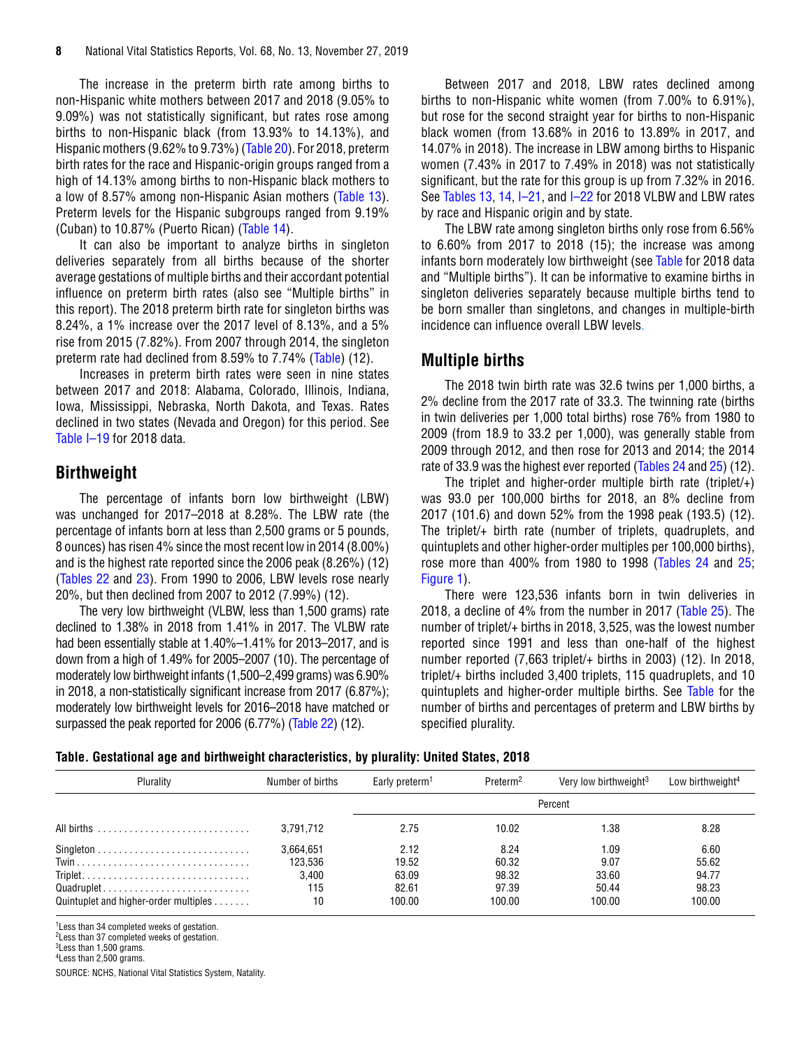<span id="page-7-0"></span>The increase in the preterm birth rate among births to non-Hispanic white mothers between 2017 and 2018 (9.05% to 9.09%) was not statistically significant, but rates rose among births to non-Hispanic black (from 13.93% to 14.13%), and Hispanic mothers (9.62% to 9.73%) [\(Table 20\).](#page-36-0) For 2018, preterm birth rates for the race and Hispanic-origin groups ranged from a high of 14.13% among births to non-Hispanic black mothers to a low of 8.57% among non-Hispanic Asian mothers [\(Table 13\)](#page-28-0). Preterm levels for the Hispanic subgroups ranged from 9.19% (Cuban) to 10.87% (Puerto Rican) [\(Table 14\).](#page-29-0)

It can also be important to analyze births in singleton deliveries separately from all births because of the shorter average gestations of multiple births and their accordant potential influence on preterm birth rates (also see "Multiple births" in this report). The 2018 preterm birth rate for singleton births was 8.24%, a 1% increase over the 2017 level of 8.13%, and a 5% rise from 2015 (7.82%). From 2007 through 2014, the singleton preterm rate had declined from 8.59% to 7.74% (Table) (12).

Increases in preterm birth rates were seen in nine states between 2017 and 2018: Alabama, Colorado, Illinois, Indiana, Iowa, Mississippi, Nebraska, North Dakota, and Texas. Rates declined in two states (Nevada and Oregon) for this period. See [Table I–19 f](https://www.cdc.gov/nchs/data/nvsr/nvsr68/nvsr68_13_tables-508.pdf#I19)or 2018 data.

### **Birthweight**

The percentage of infants born low birthweight (LBW) was unchanged for 2017–2018 at 8.28%. The LBW rate (the percentage of infants born at less than 2,500 grams or 5 pounds, 8 ounces) has risen 4% since the most recent low in 2014 (8.00%) and is the highest rate reported since the 2006 peak (8.26%) (12) [\(Tables 22](#page-38-0) and [23\)](#page-40-0). From 1990 to 2006, LBW levels rose nearly 20%, but then declined from 2007 to 2012 (7.99%) (12).

The very low birthweight (VLBW, less than 1,500 grams) rate declined to 1.38% in 2018 from 1.41% in 2017. The VLBW rate had been essentially stable at 1.40%–1.41% for 2013–2017, and is down from a high of 1.49% for 2005–2007 (10). The percentage of moderately low birthweight infants (1,500–2,499 grams) was 6.90% in 2018, a non-statistically significant increase from 2017 (6.87%); moderately low birthweight levels for 2016–2018 have matched or surpassed the peak reported for 2006 (6.77%) [\(Table 22\)](#page-38-0) (12).

Between 2017 and 2018, LBW rates declined among births to non-Hispanic white women (from 7.00% to 6.91%), but rose for the second straight year for births to non-Hispanic black women (from 13.68% in 2016 to 13.89% in 2017, and 14.07% in 2018). The increase in LBW among births to Hispanic women (7.43% in 2017 to 7.49% in 2018) was not statistically significant, but the rate for this group is up from 7.32% in 2016. See [Tables 13,](#page-28-0) [14,](#page-29-0) I-21, and I-22 for 2018 VLBW and LBW rates by race and Hispanic origin and by state.

The LBW rate among singleton births only rose from 6.56% to 6.60% from 2017 to 2018 (15); the increase was among infants born moderately low birthweight (see Table for 2018 data and "Multiple births"). It can be informative to examine births in singleton deliveries separately because multiple births tend to be born smaller than singletons, and changes in multiple-birth incidence can influence overall LBW levels.

#### **Multiple births**

The 2018 twin birth rate was 32.6 twins per 1,000 births, a 2% decline from the 2017 rate of 33.3. The twinning rate (births in twin deliveries per 1,000 total births) rose 76% from 1980 to 2009 (from 18.9 to 33.2 per 1,000), was generally stable from 2009 through 2012, and then rose for 2013 and 2014; the 2014 rate of 33.9 was the highest ever reported ([Tables 24](#page-42-0) an[d 25](#page-43-0)) (12).

The triplet and higher-order multiple birth rate (triplet/ $+$ ) was 93.0 per 100,000 births for 2018, an 8% decline from 2017 (101.6) and down 52% from the 1998 peak (193.5) (12). The triplet/+ birth rate (number of triplets, quadruplets, and quintuplets and other higher-order multiples per 100,000 births), rose more than 400% from 1980 to 1998 ([Tables 24](#page-42-0) and [25;](#page-43-0)  [Figure 1\)](#page-0-0).

There were 123,536 infants born in twin deliveries in 2018, a decline of 4% from the number in 2017 ([Table 25\)](#page-43-0). The number of triplet/+ births in 2018, 3,525, was the lowest number reported since 1991 and less than one-half of the highest number reported (7,663 triplet/+ births in 2003) (12). In 2018, triplet/+ births included 3,400 triplets, 115 quadruplets, and 10 quintuplets and higher-order multiple births. See Table for the number of births and percentages of preterm and LBW births by specified plurality.

|  | Table. Gestational age and birthweight characteristics, by plurality: United States, 2018 |  |  |  |  |  |
|--|-------------------------------------------------------------------------------------------|--|--|--|--|--|
|--|-------------------------------------------------------------------------------------------|--|--|--|--|--|

| Plurality                             | Number of births | Early preterm <sup>1</sup> | Preterm <sup>2</sup> | Very low birthweight <sup>3</sup> | Low birthweight <sup>4</sup> |
|---------------------------------------|------------------|----------------------------|----------------------|-----------------------------------|------------------------------|
|                                       |                  |                            |                      | Percent                           |                              |
|                                       | 3.791.712        | 2.75                       | 10.02                | 1.38                              | 8.28                         |
|                                       | 3.664.651        | 2.12                       | 8.24                 | 1.09                              | 6.60                         |
|                                       | 123.536          | 19.52                      | 60.32                | 9.07                              | 55.62                        |
|                                       | 3.400            | 63.09                      | 98.32                | 33.60                             | 94.77                        |
| Quadruplet                            | 115              | 82.61                      | 97.39                | 50.44                             | 98.23                        |
| Quintuplet and higher-order multiples | 10               | 100.00                     | 100.00               | 100.00                            | 100.00                       |

<sup>1</sup> Less than 34 completed weeks of gestation.

2Less than 37 completed weeks of gestation.

3Less than 1,500 grams. 4Less than 2,500 grams.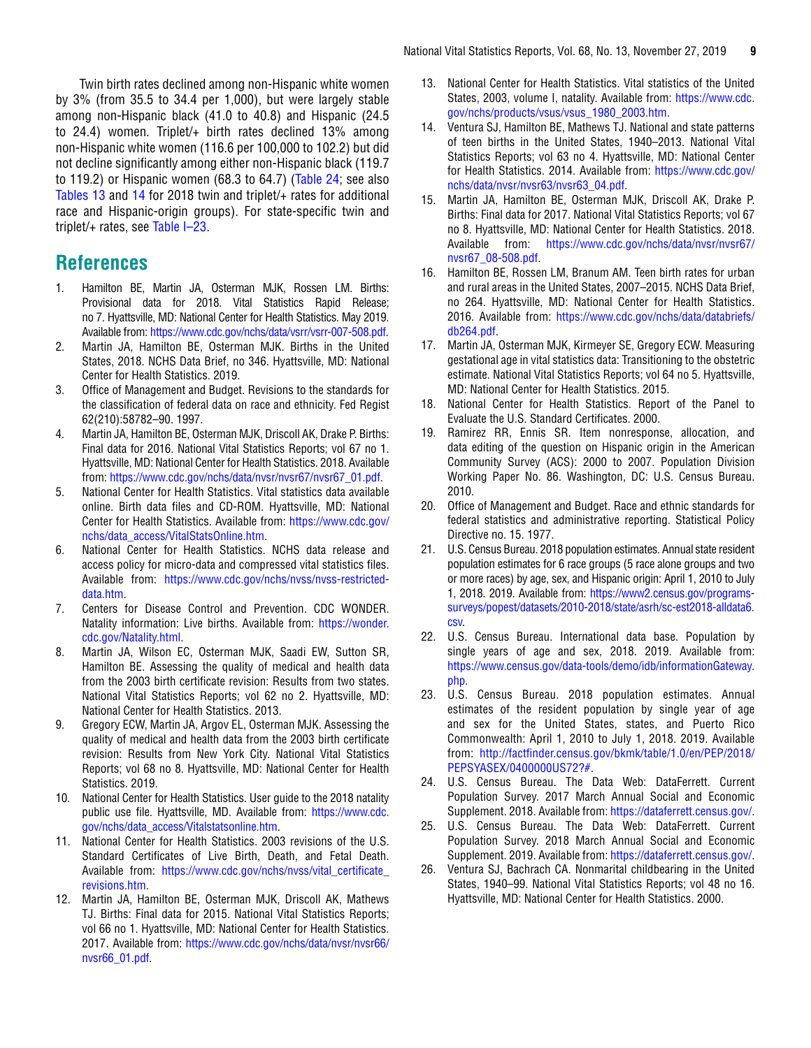<span id="page-8-0"></span>Twin birth rates declined among non-Hispanic white women by 3% (from 35.5 to 34.4 per 1,000), but were largely stable among non-Hispanic black (41.0 to 40.8) and Hispanic (24.5 to 24.4) women. Triplet/+ birth rates declined 13% among non-Hispanic white women (116.6 per 100,000 to 102.2) but did not decline significantly among either non-Hispanic black (119.7 to 119.2) or Hispanic women (68.3 to 64.7) ([Table 24; s](#page-42-0)ee also [Tables 13 a](#page-28-0)nd [14 f](#page-29-0)or 2018 twin and triplet/+ rates for additional race and Hispanic-origin groups). For state-specific twin and triplet/+ rates, see [Table I–23.](https://www.cdc.gov/nchs/data/nvsr/nvsr68/nvsr68_13_tables-508.pdf#I23)

### **References**

- 1. Hamilton BE, Martin JA, Osterman MJK, Rossen LM. Births: Provisional data for 2018. Vital Statistics Rapid Release; no 7. Hyattsville, MD: National Center for Health Statistics. May 2019. Available from:<https://www.cdc.gov/nchs/data/vsrr/vsrr-007-508.pdf>.
- 2. Martin JA, Hamilton BE, Osterman MJK. Births in the United States, 2018. NCHS Data Brief, no 346. Hyattsville, MD: National Center for Health Statistics. 2019.
- 3. Office of Management and Budget. Revisions to the standards for the classification of federal data on race and ethnicity. Fed Regist 62(210):58782–90. 1997.
- 4. Martin JA, Hamilton BE, Osterman MJK, Driscoll AK, Drake P. Births: Final data for 2016. National Vital Statistics Reports; vol 67 no 1. Hyattsville, MD: National Center for Health Statistics. 2018. Available from[: https://www.cdc.gov/nchs/data/nvsr/nvsr67/nvsr67\\_01.pdf.](https://www.cdc.gov/nchs/data/nvsr/nvsr67/nvsr67_01.pdf)
- 5. National Center for Health Statistics. Vital statistics data available online. Birth data files and CD-ROM. Hyattsville, MD: National Center for Health Statistics. Available from: [https://www.cdc.gov/](https://www.cdc.gov/nchs/data_access/VitalStatsOnline.htm) [nchs/data\\_access/VitalStatsOnline.htm.](https://www.cdc.gov/nchs/data_access/VitalStatsOnline.htm)
- 6. National Center for Health Statistics. NCHS data release and access policy for micro-data and compressed vital statistics files. Available from: [https://www.cdc.gov/nchs/nvss/nvss-restricted](https://www.cdc.gov/nchs/nvss/nvss-restricted-data.htm)[data.htm](https://www.cdc.gov/nchs/nvss/nvss-restricted-data.htm).
- 7. Centers for Disease Control and Prevention. CDC WONDER. Natality information: Live births. Available from: [https://wonder.](https://wonder.cdc.gov/Natality.html) [cdc.gov/Natality.html](https://wonder.cdc.gov/Natality.html).
- 8. Martin JA, Wilson EC, Osterman MJK, Saadi EW, Sutton SR, Hamilton BE. Assessing the quality of medical and health data from the 2003 birth certificate revision: Results from two states. National Vital Statistics Reports; vol 62 no 2. Hyattsville, MD: National Center for Health Statistics. 2013.
- 9. Gregory ECW, Martin JA, Argov EL, Osterman MJK. Assessing the quality of medical and health data from the 2003 birth certificate revision: Results from New York City. National Vital Statistics Reports; vol 68 no 8. Hyattsville, MD: National Center for Health Statistics. 2019.
- 10. National Center for Health Statistics. User guide to the 2018 natality public use file. Hyattsville, MD. Available from: [https://www.cdc.](https://www.cdc.gov/nchs/data_access/Vitalstatsonline.htm) [gov/nchs/data\\_access/Vitalstatsonline.htm.](https://www.cdc.gov/nchs/data_access/Vitalstatsonline.htm)
- 11. National Center for Health Statistics. 2003 revisions of the U.S. Standard Certificates of Live Birth, Death, and Fetal Death. Available from: [https://www.cdc.gov/nchs/nvss/vital\\_certificate\\_](https://www.cdc.gov/nchs/nvss/vital_certificate_revisions.htm) [revisions.htm](https://www.cdc.gov/nchs/nvss/vital_certificate_revisions.htm).
- 12. Martin JA, Hamilton BE, Osterman MJK, Driscoll AK, Mathews TJ. Births: Final data for 2015. National Vital Statistics Reports; vol 66 no 1. Hyattsville, MD: National Center for Health Statistics. 2017. Available from: [https://www.cdc.gov/nchs/data/nvsr/nvsr66/](https://www.cdc.gov/nchs/data/nvsr/nvsr66/nvsr66_01.pdf) [nvsr66\\_01.pdf.](https://www.cdc.gov/nchs/data/nvsr/nvsr66/nvsr66_01.pdf)
- 13. National Center for Health Statistics. Vital statistics of the United States. 2003, volume I, natality. Available from: [https://www.cdc.](https://www.cdc.gov/nchs/products/vsus/vsus_1980_2003.htm) [gov/nchs/products/vsus/vsus\\_1980\\_2003.htm.](https://www.cdc.gov/nchs/products/vsus/vsus_1980_2003.htm)
- 14. Ventura SJ, Hamilton BE, Mathews TJ. National and state patterns of teen births in the United States, 1940–2013. National Vital Statistics Reports; vol 63 no 4. Hyattsville, MD: National Center for Health Statistics. 2014. Available from: [https://www.cdc.gov/](https://www.cdc.gov/nchs/data/nvsr/nvsr63/nvsr63_04.pdf) [nchs/data/nvsr/nvsr63/nvsr63\\_04.pdf.](https://www.cdc.gov/nchs/data/nvsr/nvsr63/nvsr63_04.pdf)
- 15. Martin JA, Hamilton BE, Osterman MJK, Driscoll AK, Drake P. Births: Final data for 2017. National Vital Statistics Reports; vol 67 no 8. Hyattsville, MD: National Center for Health Statistics. 2018. Available from: [https://www.cdc.gov/nchs/data/nvsr/nvsr67/](https://www.cdc.gov/nchs/data/nvsr/nvsr67/nvsr67_08-508.pdf) [nvsr67\\_08-508.pdf](https://www.cdc.gov/nchs/data/nvsr/nvsr67/nvsr67_08-508.pdf).
- 16. Hamilton BE, Rossen LM, Branum AM. Teen birth rates for urban and rural areas in the United States, 2007–2015. NCHS Data Brief, no 264. Hyattsville, MD: National Center for Health Statistics. 2016. Available from: [https://www.cdc.gov/nchs/data/databriefs/](https://www.cdc.gov/nchs/data/databriefs/db264.pdf) [db264.pdf](https://www.cdc.gov/nchs/data/databriefs/db264.pdf).
- 17. Martin JA, Osterman MJK, Kirmeyer SE, Gregory ECW. Measuring gestational age in vital statistics data: Transitioning to the obstetric estimate. National Vital Statistics Reports; vol 64 no 5. Hyattsville, MD: National Center for Health Statistics. 2015.
- 18. National Center for Health Statistics. Report of the Panel to Evaluate the U.S. Standard Certificates. 2000.
- 19. Ramirez RR, Ennis SR. Item nonresponse, allocation, and data editing of the question on Hispanic origin in the American Community Survey (ACS): 2000 to 2007. Population Division Working Paper No. 86. Washington, DC: U.S. Census Bureau. 2010.
- 20. Office of Management and Budget. Race and ethnic standards for federal statistics and administrative reporting. Statistical Policy Directive no. 15. 1977.
- 21. U.S. Census Bureau. 2018 population estimates. Annual state resident population estimates for 6 race groups (5 race alone groups and two or more races) by age, sex, and Hispanic origin: April 1, 2010 to July 1, 2018. 2019. Available from: [https://www2.census.gov/programs](https://www2.census.gov/programs-surveys/popest/datasets/2010-2018/state/asrh/sc-est2018-alldata6.csv)[surveys/popest/datasets/2010-2018/state/asrh/sc-est2018-alldata6.](https://www2.census.gov/programs-surveys/popest/datasets/2010-2018/state/asrh/sc-est2018-alldata6.csv) [csv.](https://www2.census.gov/programs-surveys/popest/datasets/2010-2018/state/asrh/sc-est2018-alldata6.csv)
- 22. U.S. Census Bureau. International data base. Population by single years of age and sex, 2018. 2019. Available from: [https://www.census.gov/data-tools/demo/idb/informationGateway.](https://www.census.gov/data-tools/demo/idb/informationGateway.php) [php](https://www.census.gov/data-tools/demo/idb/informationGateway.php).
- 23. U.S. Census Bureau. 2018 population estimates. Annual estimates of the resident population by single year of age and sex for the United States, states, and Puerto Rico Commonwealth: April 1, 2010 to July 1, 2018. 2019. Available from: [http://factfinder.census.gov/bkmk/table/1.0/en/PEP/2018/](http://factfinder.census.gov/bkmk/table/1.0/en/PEP/2018/PEPSYASEX/0400000US72?#) [PEPSYASEX/0400000US72?#](http://factfinder.census.gov/bkmk/table/1.0/en/PEP/2018/PEPSYASEX/0400000US72?#).
- 24. U.S. Census Bureau. The Data Web: DataFerrett. Current Population Survey. 2017 March Annual Social and Economic Supplement. 2018. Available from: [https://dataferrett.census.gov/.](https://dataferrett.census.gov/)
- 25. U.S. Census Bureau. The Data Web: DataFerrett. Current Population Survey. 2018 March Annual Social and Economic Supplement. 2019. Available from: [https://dataferrett.census.gov/.](https://dataferrett.census.gov/)
- 26. Ventura SJ, Bachrach CA. Nonmarital childbearing in the United States, 1940–99. National Vital Statistics Reports; vol 48 no 16. Hyattsville, MD: National Center for Health Statistics. 2000.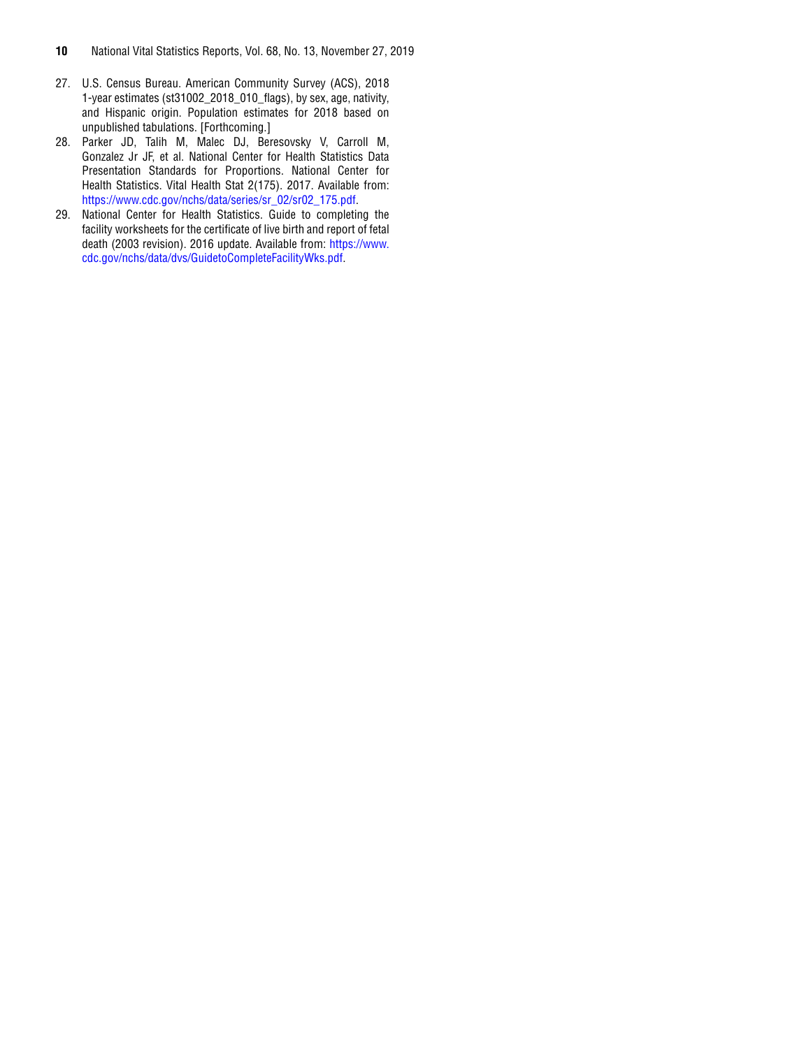- 27. U.S. Census Bureau. American Community Survey (ACS), 2018 1-year estimates (st31002\_2018\_010\_flags), by sex, age, nativity, and Hispanic origin. Population estimates for 2018 based on unpublished tabulations. [Forthcoming.]
- 28. Parker JD, Talih M, Malec DJ, Beresovsky V, Carroll M, Gonzalez Jr JF, et al. National Center for Health Statistics Data Presentation Standards for Proportions. National Center for Health Statistics. Vital Health Stat 2(175). 2017. Available from: [https://www.cdc.gov/nchs/data/series/sr\\_02/sr02\\_175.pdf.](https://www.cdc.gov/nchs/data/series/sr_02/sr02_175.pdf)
- 29. National Center for Health Statistics. Guide to completing the facility worksheets for the certificate of live birth and report of fetal death (2003 revision). 2016 update. Available from: [https://www.](https://www.cdc.gov/nchs/data/dvs/GuidetoCompleteFacilityWks.pdf) [cdc.gov/nchs/data/dvs/GuidetoCompleteFacilityWks.pdf.](https://www.cdc.gov/nchs/data/dvs/GuidetoCompleteFacilityWks.pdf)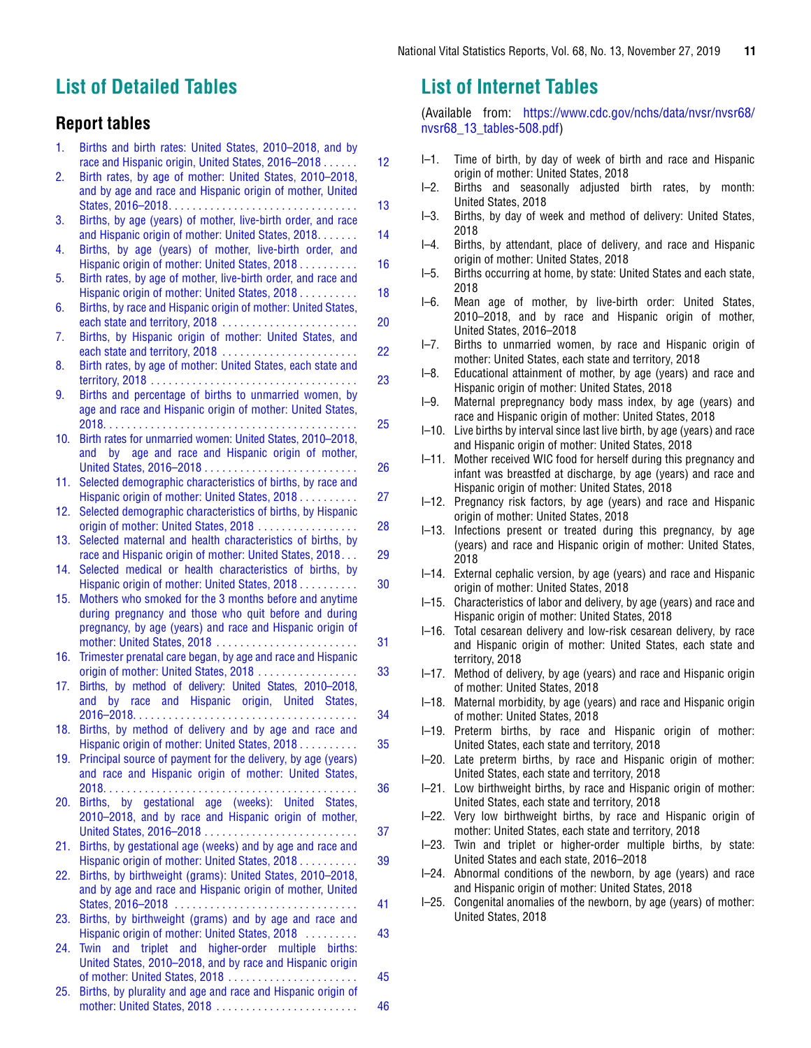### <span id="page-10-0"></span>**List of Detailed Tables**

### **Report tables**

| 1.  | Births and birth rates: United States, 2010-2018, and by                                                            |                 |
|-----|---------------------------------------------------------------------------------------------------------------------|-----------------|
|     | race and Hispanic origin, United States, 2016-2018                                                                  | 12              |
| 2.  | Birth rates, by age of mother: United States, 2010-2018,                                                            |                 |
|     | and by age and race and Hispanic origin of mother, United                                                           |                 |
|     |                                                                                                                     | 13              |
| 3.  | Births, by age (years) of mother, live-birth order, and race<br>and Hispanic origin of mother: United States, 2018. | 14              |
|     |                                                                                                                     |                 |
| 4.  | Births, by age (years) of mother, live-birth order, and                                                             |                 |
|     | Hispanic origin of mother: United States, 2018                                                                      | 16              |
| 5.  | Birth rates, by age of mother, live-birth order, and race and<br>Hispanic origin of mother: United States, 2018.    | 18              |
|     | Births, by race and Hispanic origin of mother: United States,                                                       |                 |
| 6.  | each state and territory, 2018                                                                                      | 20              |
| 7.  | Births, by Hispanic origin of mother: United States, and                                                            |                 |
|     | each state and territory, 2018                                                                                      | 22              |
| 8.  | Birth rates, by age of mother: United States, each state and                                                        |                 |
|     |                                                                                                                     | 23              |
| 9.  | Births and percentage of births to unmarried women, by                                                              |                 |
|     | age and race and Hispanic origin of mother: United States,                                                          |                 |
|     |                                                                                                                     | 25              |
| 10. | Birth rates for unmarried women: United States, 2010-2018,                                                          |                 |
|     | by age and race and Hispanic origin of mother,<br>and                                                               |                 |
|     |                                                                                                                     | 26              |
| 11. | Selected demographic characteristics of births, by race and                                                         |                 |
|     | Hispanic origin of mother: United States, 2018.                                                                     | $\overline{27}$ |
| 12. | Selected demographic characteristics of births, by Hispanic                                                         |                 |
|     | origin of mother: United States, 2018                                                                               | 28              |
| 13. | Selected maternal and health characteristics of births, by                                                          |                 |
|     | race and Hispanic origin of mother: United States, 2018                                                             | 29              |
| 14. | Selected medical or health characteristics of births, by                                                            |                 |
|     | Hispanic origin of mother: United States, 2018.                                                                     | 30              |
| 15. | Mothers who smoked for the 3 months before and anytime                                                              |                 |
|     | during pregnancy and those who quit before and during                                                               |                 |
|     | pregnancy, by age (years) and race and Hispanic origin of                                                           |                 |
|     |                                                                                                                     | 31              |
| 16. | Trimester prenatal care began, by age and race and Hispanic                                                         |                 |
|     | origin of mother: United States, 2018                                                                               | 33              |
| 17. | Births, by method of delivery: United States, 2010-2018,                                                            |                 |
|     | by race and Hispanic origin, United States,<br>and                                                                  |                 |
|     |                                                                                                                     | 34              |
| 18. | Births, by method of delivery and by age and race and                                                               |                 |
|     | Hispanic origin of mother: United States, 2018                                                                      | 35              |
| 19. | Principal source of payment for the delivery, by age (years)                                                        |                 |
|     | and race and Hispanic origin of mother: United States,                                                              |                 |
|     | Births, by gestational age (weeks): United States,                                                                  | 36              |
| 20. | 2010-2018, and by race and Hispanic origin of mother,                                                               |                 |
|     |                                                                                                                     | 37              |
| 21. | Births, by gestational age (weeks) and by age and race and                                                          |                 |
|     | Hispanic origin of mother: United States, 2018                                                                      | 39              |
| 22. | Births, by birthweight (grams): United States, 2010-2018,                                                           |                 |
|     | and by age and race and Hispanic origin of mother, United                                                           |                 |
|     | States, 2016-2018                                                                                                   | 41              |
| 23. | Births, by birthweight (grams) and by age and race and                                                              |                 |
|     | Hispanic origin of mother: United States, 2018                                                                      | 43              |
| 24. | and triplet and higher-order multiple births:<br>Twin                                                               |                 |
|     | United States, 2010-2018, and by race and Hispanic origin                                                           |                 |
|     | of mother: United States, 2018                                                                                      | 45              |
| 25. | Births, by plurality and age and race and Hispanic origin of                                                        |                 |
|     | mother: United States, 2018                                                                                         | 46              |

### **List of Internet Tables**

(Available from: [https://www.cdc.gov/nchs/data/nvsr/nvsr68/](https://www.cdc.gov/nchs/data/nvsr/nvsr68/nvsr68_13_tables-508.pdf) nvsr68 13 tables-508.pdf)

- I–1. Time of birth, by day of week of birth and race and Hispanic origin of mother: United States, 2018
- I–2. Births and seasonally adjusted birth rates, by month: United States, 2018
- I–3. Births, by day of week and method of delivery: United States, 2018
- I–4. Births, by attendant, place of delivery, and race and Hispanic origin of mother: United States, 2018
- I–5. Births occurring at home, by state: United States and each state, 2018
- I–6. Mean age of mother, by live-birth order: United States, 2010–2018, and by race and Hispanic origin of mother, United States, 2016–2018
- I–7. Births to unmarried women, by race and Hispanic origin of mother: United States, each state and territory, 2018
- I–8. Educational attainment of mother, by age (years) and race and Hispanic origin of mother: United States, 2018
- I–9. Maternal prepregnancy body mass index, by age (years) and race and Hispanic origin of mother: United States, 2018
- I–10. Live births by interval since last live birth, by age (years) and race and Hispanic origin of mother: United States, 2018
- I–11. Mother received WIC food for herself during this pregnancy and infant was breastfed at discharge, by age (years) and race and Hispanic origin of mother: United States, 2018
- I–12. Pregnancy risk factors, by age (years) and race and Hispanic origin of mother: United States, 2018
- I–13. Infections present or treated during this pregnancy, by age (years) and race and Hispanic origin of mother: United States, 2018
- I–14. External cephalic version, by age (years) and race and Hispanic origin of mother: United States, 2018
- I–15. Characteristics of labor and delivery, by age (years) and race and Hispanic origin of mother: United States, 2018
- I–16. Total cesarean delivery and low-risk cesarean delivery, by race and Hispanic origin of mother: United States, each state and territory, 2018
- I–17. Method of delivery, by age (years) and race and Hispanic origin of mother: United States, 2018
- I–18. Maternal morbidity, by age (years) and race and Hispanic origin of mother: United States, 2018
- I–19. Preterm births, by race and Hispanic origin of mother: United States, each state and territory, 2018
- I–20. Late preterm births, by race and Hispanic origin of mother: United States, each state and territory, 2018
- I–21. Low birthweight births, by race and Hispanic origin of mother: United States, each state and territory, 2018
- I–22. Very low birthweight births, by race and Hispanic origin of mother: United States, each state and territory, 2018
- I–23. Twin and triplet or higher-order multiple births, by state: United States and each state, 2016–2018
- I–24. Abnormal conditions of the newborn, by age (years) and race and Hispanic origin of mother: United States, 2018
- I–25. Congenital anomalies of the newborn, by age (years) of mother: United States, 2018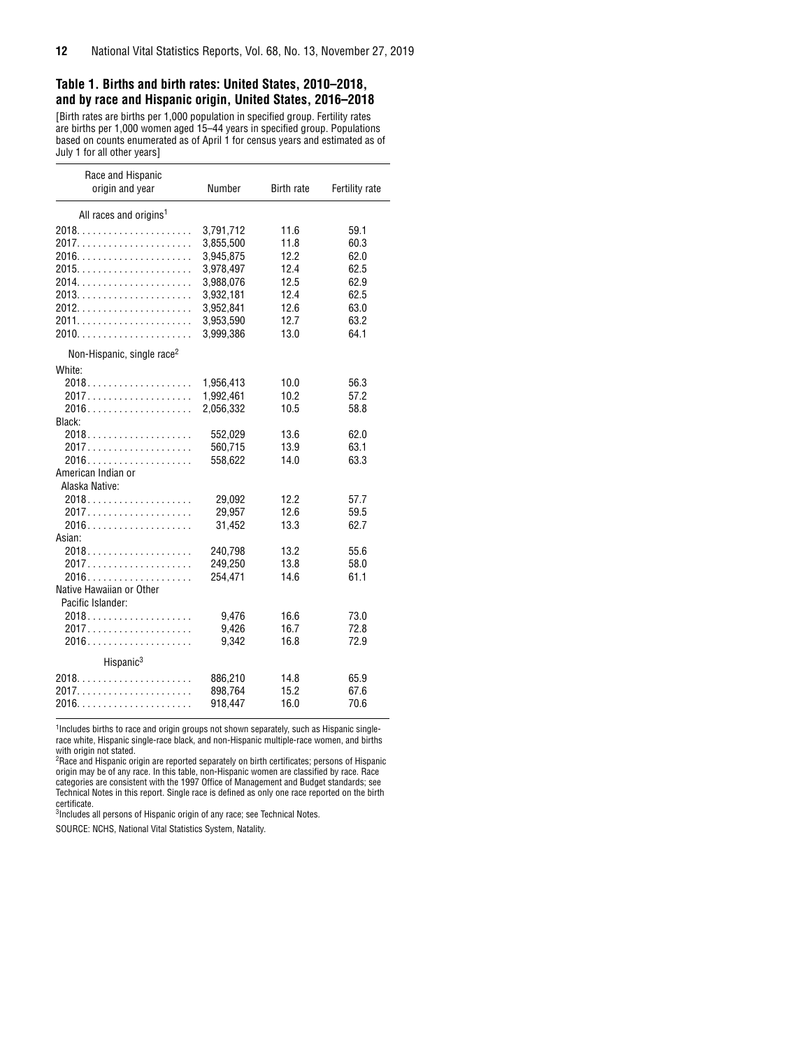#### <span id="page-11-0"></span>**Table 1. Births and birth rates: United States, 2010–2018, and by race and Hispanic origin, United States, 2016–2018**

[Birth rates are births per 1,000 population in specified group. Fertility rates are births per 1,000 women aged 15–44 years in specified group. Populations based on counts enumerated as of April 1 for census years and estimated as of July 1 for all other years]

| Race and Hispanic<br>origin and year   | Number             | <b>Birth rate</b> | Fertility rate |
|----------------------------------------|--------------------|-------------------|----------------|
| All races and origins <sup>1</sup>     |                    |                   |                |
|                                        | 3,791,712          | 11.6              | 59.1           |
|                                        | 3,855,500          | 11.8              | 60.3           |
|                                        | 3,945,875          | 12.2              | 62.0           |
|                                        | 3,978,497          | 12.4              | 62.5           |
|                                        | 3,988,076          | 12.5              | 62.9           |
|                                        | 3,932,181          | 12.4              | 62.5           |
|                                        | 3,952,841          | 12.6              | 63.0           |
|                                        | 3,953,590          | 12.7              | 63.2           |
|                                        | 3,999,386          | 13.0              | 64.1           |
| Non-Hispanic, single race <sup>2</sup> |                    |                   |                |
|                                        |                    |                   |                |
| White:                                 |                    |                   |                |
|                                        | 1,956,413          | 10.0              | 56.3           |
|                                        | 1,992,461          | 10.2              | 57.2           |
| Black:                                 | 2,056,332          | 10.5              | 58.8           |
|                                        |                    | 13.6              | 62.0           |
|                                        | 552,029<br>560,715 | 13.9              | 63.1           |
|                                        | 558,622            | 14.0              | 63.3           |
| American Indian or                     |                    |                   |                |
| Alaska Native:                         |                    |                   |                |
|                                        | 29,092             | 12.2              | 57.7           |
| 2017                                   | 29,957             | 12.6              | 59.5           |
|                                        | 31,452             | 13.3              | 62.7           |
| Asian:                                 |                    |                   |                |
|                                        | 240,798            | 13.2              | 55.6           |
| 2017                                   | 249,250            | 13.8              | 58.0           |
|                                        | 254.471            | 14.6              | 61.1           |
| Native Hawaiian or Other               |                    |                   |                |
| Pacific Islander:                      |                    |                   |                |
| 2018                                   | 9,476              | 16.6              | 73.0           |
|                                        | 9,426              | 16.7              | 72.8           |
|                                        | 9,342              | 16.8              | 72.9           |
|                                        |                    |                   |                |
| Hispanic <sup>3</sup>                  |                    |                   |                |
|                                        | 886,210            | 14.8              | 65.9           |
| 2017                                   | 898,764            | 15.2              | 67.6           |
|                                        | 918,447            | 16.0              | 70.6           |
|                                        |                    |                   |                |

<sup>1</sup>Includes births to race and origin groups not shown separately, such as Hispanic singlerace white, Hispanic single-race black, and non-Hispanic multiple-race women, and births

with origin not stated. 2 Race and Hispanic origin are reported separately on birth certificates; persons of Hispanic origin may be of any race. In this table, non-Hispanic women are classified by race. Race categories are consistent with the 1997 Office of Management and Budget standards; see Technical Notes in this report. Single race is defined as only one race reported on the birth certificate.

<sup>3</sup>Includes all persons of Hispanic origin of any race; see Technical Notes.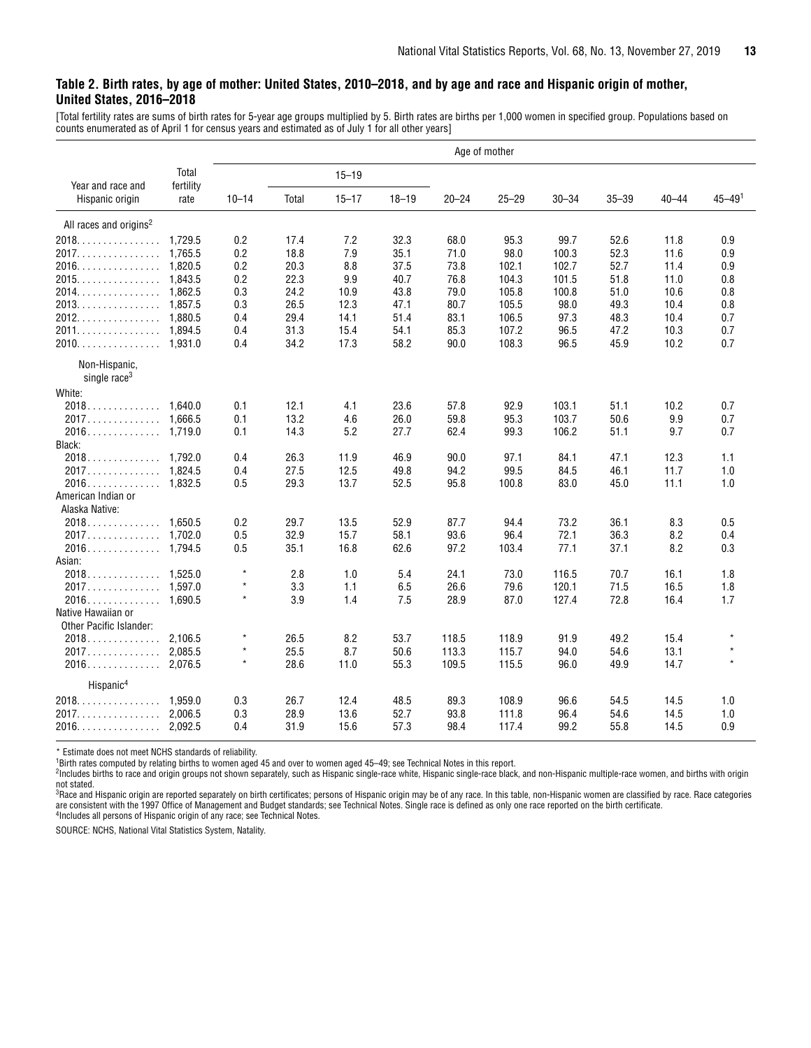#### <span id="page-12-0"></span>**Table 2. Birth rates, by age of mother: United States, 2010–2018, and by age and race and Hispanic origin of mother, United States, 2016–2018**

[Total fertility rates are sums of birth rates for 5-year age groups multiplied by 5. Birth rates are births per 1,000 women in specified group. Populations based on counts enumerated as of April 1 for census years and estimated as of July 1 for all other years]

|                                     |                    |           |       |           |           |           | Age of mother |           |           |           |                        |
|-------------------------------------|--------------------|-----------|-------|-----------|-----------|-----------|---------------|-----------|-----------|-----------|------------------------|
| Year and race and                   | Total<br>fertility |           |       | $15 - 19$ |           |           |               |           |           |           |                        |
| Hispanic origin                     | rate               | $10 - 14$ | Total | $15 - 17$ | $18 - 19$ | $20 - 24$ | $25 - 29$     | $30 - 34$ | $35 - 39$ | $40 - 44$ | $45 - 49$ <sup>1</sup> |
| All races and origins <sup>2</sup>  |                    |           |       |           |           |           |               |           |           |           |                        |
|                                     |                    | 0.2       | 17.4  | 7.2       | 32.3      | 68.0      | 95.3          | 99.7      | 52.6      | 11.8      | 0.9                    |
| 2017.                               | 1.765.5            | 0.2       | 18.8  | 7.9       | 35.1      | 71.0      | 98.0          | 100.3     | 52.3      | 11.6      | 0.9                    |
| 2016.                               | 1.820.5            | 0.2       | 20.3  | 8.8       | 37.5      | 73.8      | 102.1         | 102.7     | 52.7      | 11.4      | 0.9                    |
| 2015.                               | 1,843.5            | 0.2       | 22.3  | 9.9       | 40.7      | 76.8      | 104.3         | 101.5     | 51.8      | 11.0      | 0.8                    |
| 2014. 1,862.5                       |                    | 0.3       | 24.2  | 10.9      | 43.8      | 79.0      | 105.8         | 100.8     | 51.0      | 10.6      | 0.8                    |
| 2013.                               | 1.857.5            | 0.3       | 26.5  | 12.3      | 47.1      | 80.7      | 105.5         | 98.0      | 49.3      | 10.4      | 0.8                    |
| 2012.<br>.                          | 1.880.5            | 0.4       | 29.4  | 14.1      | 51.4      | 83.1      | 106.5         | 97.3      | 48.3      | 10.4      | 0.7                    |
| 2011. 1,894.5                       |                    | 0.4       | 31.3  | 15.4      | 54.1      | 85.3      | 107.2         | 96.5      | 47.2      | 10.3      | 0.7                    |
| 2010.                               | 1.931.0            | 0.4       | 34.2  | 17.3      | 58.2      | 90.0      | 108.3         | 96.5      | 45.9      | 10.2      | 0.7                    |
| Non-Hispanic,                       |                    |           |       |           |           |           |               |           |           |           |                        |
| single race <sup>3</sup>            |                    |           |       |           |           |           |               |           |           |           |                        |
| White:                              |                    |           |       |           |           |           |               |           |           |           |                        |
| 2018.                               | 1.640.0            | 0.1       | 12.1  | 4.1       | 23.6      | 57.8      | 92.9          | 103.1     | 51.1      | 10.2      | 0.7                    |
|                                     |                    | 0.1       | 13.2  | 4.6       | 26.0      | 59.8      | 95.3          | 103.7     | 50.6      | 9.9       | 0.7                    |
| 2016.                               | 1,719.0            | 0.1       | 14.3  | 5.2       | 27.7      | 62.4      | 99.3          | 106.2     | 51.1      | 9.7       | 0.7                    |
| Black:                              |                    |           |       |           |           |           |               |           |           |           |                        |
| 2018.                               | 1.792.0            | 0.4       | 26.3  | 11.9      | 46.9      | 90.0      | 97.1          | 84.1      | 47.1      | 12.3      | 1.1                    |
| 2017.                               | 1.824.5            | 0.4       | 27.5  | 12.5      | 49.8      | 94.2      | 99.5          | 84.5      | 46.1      | 11.7      | 1.0                    |
|                                     |                    | 0.5       | 29.3  | 13.7      | 52.5      | 95.8      | 100.8         | 83.0      | 45.0      | 11.1      | 1.0                    |
| American Indian or                  |                    |           |       |           |           |           |               |           |           |           |                        |
| Alaska Native:                      |                    |           |       |           |           |           |               |           |           |           |                        |
| 2018.                               | 1.650.5            | 0.2       | 29.7  | 13.5      | 52.9      | 87.7      | 94.4          | 73.2      | 36.1      | 8.3       | 0.5                    |
| 2017.                               | 1.702.0            | 0.5       | 32.9  | 15.7      | 58.1      | 93.6      | 96.4          | 72.1      | 36.3      | 8.2       | 0.4                    |
| 2016.                               | 1.794.5            | 0.5       | 35.1  | 16.8      | 62.6      | 97.2      | 103.4         | 77.1      | 37.1      | 8.2       | 0.3                    |
| Asian:                              |                    |           |       |           |           |           |               |           |           |           |                        |
| 2018.                               | 1.525.0            | $\star$   | 2.8   | 1.0       | 5.4       | 24.1      | 73.0          | 116.5     | 70.7      | 16.1      | 1.8                    |
|                                     |                    | $\star$   | 3.3   | 1.1       | 6.5       |           |               |           |           |           |                        |
|                                     |                    | $\star$   |       |           |           | 26.6      | 79.6          | 120.1     | 71.5      | 16.5      | 1.8                    |
| 2016.                               | 1.690.5            |           | 3.9   | 1.4       | 7.5       | 28.9      | 87.0          | 127.4     | 72.8      | 16.4      | 1.7                    |
| Native Hawaiian or                  |                    |           |       |           |           |           |               |           |           |           |                        |
| Other Pacific Islander:             |                    |           |       |           |           |           |               |           |           |           |                        |
| 2018.                               | 2,106.5            | $\star$   | 26.5  | 8.2       | 53.7      | 118.5     | 118.9         | 91.9      | 49.2      | 15.4      |                        |
| 2017.                               | 2,085.5            | $\star$   | 25.5  | 8.7       | 50.6      | 113.3     | 115.7         | 94.0      | 54.6      | 13.1      | $\star$                |
| 2016.                               | 2,076.5            | $\star$   | 28.6  | 11.0      | 55.3      | 109.5     | 115.5         | 96.0      | 49.9      | 14.7      | $\star$                |
| Hispanic <sup>4</sup>               |                    |           |       |           |           |           |               |           |           |           |                        |
| $2018. \ldots \ldots \ldots \ldots$ | 1.959.0            | 0.3       | 26.7  | 12.4      | 48.5      | 89.3      | 108.9         | 96.6      | 54.5      | 14.5      | 1.0                    |
| 2017.                               | 2.006.5            | 0.3       | 28.9  | 13.6      | 52.7      | 93.8      | 111.8         | 96.4      | 54.6      | 14.5      | 1.0                    |
| 2016.                               | 2.092.5            | 0.4       | 31.9  | 15.6      | 57.3      | 98.4      | 117.4         | 99.2      | 55.8      | 14.5      | 0.9                    |
|                                     |                    |           |       |           |           |           |               |           |           |           |                        |

\* Estimate does not meet NCHS standards of reliability. 1Birth rates computed by relating births to women aged 45 and over to women aged 45–49; see Technical Notes in this report.

2Includes births to race and origin groups not shown separately, such as Hispanic single-race white, Hispanic single-race black, and non-Hispanic multiple-race women, and births with origin not stated.<br><sup>3</sup>Race and Hispanic origin are reported separately on birth certificates; persons of Hispanic origin may be of any race. In this table, non-Hispanic women are classified by race. Race categories

are consistent with the 1997 Office of Management and Budget standards; see Technical Notes. Single race is defined as only one race reported on the birth certificate.<br><sup>4</sup>Includes all persons of Hispanic origin of any race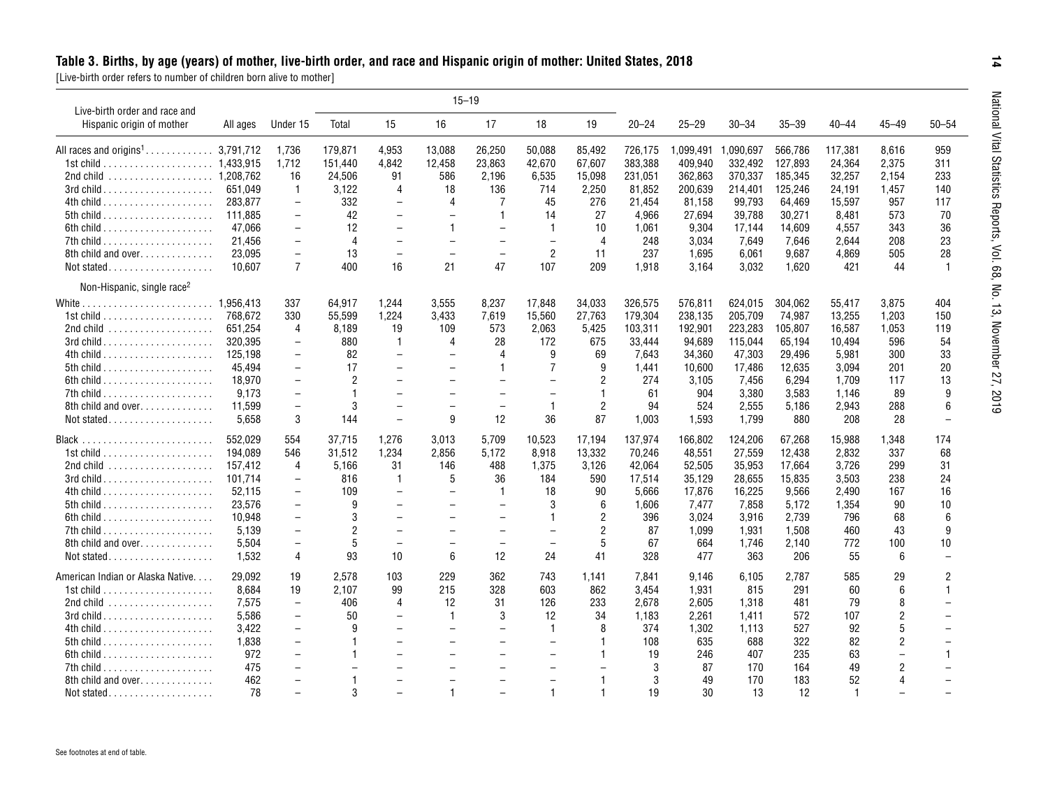<span id="page-13-0"></span>

| Live-birth order and race and                            |          |                          |                |                          |                          | $15 - 19$                |                          |                |           |           |           |           |           |                          |                          |
|----------------------------------------------------------|----------|--------------------------|----------------|--------------------------|--------------------------|--------------------------|--------------------------|----------------|-----------|-----------|-----------|-----------|-----------|--------------------------|--------------------------|
| Hispanic origin of mother                                | All ages | Under 15                 | Total          | 15                       | 16                       | 17                       | 18                       | 19             | $20 - 24$ | $25 - 29$ | $30 - 34$ | $35 - 39$ | $40 - 44$ | $45 - 49$                | $50 - 54$                |
| All races and origins <sup>1</sup> 3,791,712             |          | 1,736                    | 179,871        | 4,953                    | 13,088                   | 26,250                   | 50,088                   | 85,492         | 726,175   | 1,099,491 | 1,090,697 | 566,786   | 117,381   | 8,616                    | 959                      |
|                                                          |          | 1,712                    | 151,440        | 4,842                    | 12,458                   | 23,863                   | 42,670                   | 67,607         | 383,388   | 409,940   | 332,492   | 127,893   | 24,364    | 2,375                    | 311                      |
| 2nd child  1,208,762                                     |          | 16                       | 24,506         | 91                       | 586                      | 2,196                    | 6,535                    | 15,098         | 231,051   | 362,863   | 370,337   | 185,345   | 32,257    | 2,154                    | 233                      |
|                                                          | 651.049  | $\overline{1}$           | 3.122          | $\overline{4}$           | 18                       | 136                      | 714                      | 2.250          | 81.852    | 200.639   | 214.401   | 125.246   | 24.191    | 1.457                    | 140                      |
|                                                          | 283.877  | $\overline{\phantom{0}}$ | 332            | $\overline{\phantom{0}}$ | 4                        | 7                        | 45                       | 276            | 21.454    | 81,158    | 99,793    | 64,469    | 15,597    | 957                      | 117                      |
|                                                          | 111.885  | $\overline{\phantom{m}}$ | 42             | $\overline{\phantom{0}}$ |                          | $\overline{1}$           | 14                       | 27             | 4.966     | 27,694    | 39,788    | 30,271    | 8.481     | 573                      | 70                       |
|                                                          | 47,066   | $\overline{\phantom{m}}$ | 12             | $\overline{\phantom{0}}$ | $\mathbf{1}$             |                          | $\mathbf{1}$             | 10             | 1.061     | 9,304     | 17,144    | 14,609    | 4,557     | 343                      | 36                       |
|                                                          | 21.456   | $\overline{\phantom{m}}$ | $\overline{4}$ | $\overline{\phantom{a}}$ | $\overline{\phantom{0}}$ | $\overline{\phantom{m}}$ | $\equiv$                 | $\overline{4}$ | 248       | 3,034     | 7,649     | 7,646     | 2.644     | 208                      | 23                       |
|                                                          |          |                          |                | $\overline{\phantom{0}}$ | $\overline{\phantom{0}}$ | $\overline{\phantom{0}}$ |                          | 11             |           |           |           |           |           |                          |                          |
| 8th child and over                                       | 23,095   | $\overline{\phantom{m}}$ | 13             |                          |                          |                          | $\overline{2}$           |                | 237       | 1,695     | 6,061     | 9,687     | 4,869     | 505                      | 28                       |
| Not stated                                               | 10.607   | $\overline{7}$           | 400            | 16                       | 21                       | 47                       | 107                      | 209            | 1,918     | 3,164     | 3,032     | 1,620     | 421       | 44                       | $\mathbf{1}$             |
| Non-Hispanic, single race <sup>2</sup>                   |          |                          |                |                          |                          |                          |                          |                |           |           |           |           |           |                          |                          |
|                                                          |          | 337                      | 64,917         | 1,244                    | 3,555                    | 8.237                    | 17,848                   | 34,033         | 326,575   | 576,811   | 624,015   | 304,062   | 55,417    | 3,875                    | 404                      |
|                                                          | 768,672  | 330                      | 55,599         | 1,224                    | 3,433                    | 7,619                    | 15,560                   | 27,763         | 179,304   | 238,135   | 205,709   | 74,987    | 13,255    | 1,203                    | 150                      |
| 2nd child $\ldots \ldots \ldots \ldots \ldots \ldots$    | 651,254  | $\overline{4}$           | 8,189          | 19                       | 109                      | 573                      | 2,063                    | 5,425          | 103,311   | 192,901   | 223,283   | 105,807   | 16,587    | 1,053                    | 119                      |
|                                                          | 320,395  | $\overline{\phantom{a}}$ | 880            | $\mathbf{1}$             | $\overline{4}$           | 28                       | 172                      | 675            | 33,444    | 94,689    | 115,044   | 65,194    | 10,494    | 596                      | 54                       |
|                                                          | 125.198  | $\overline{\phantom{0}}$ | 82             | $\overline{\phantom{0}}$ | $\overline{\phantom{0}}$ | 4                        | 9                        | 69             | 7.643     | 34,360    | 47,303    | 29,496    | 5,981     | 300                      | 33                       |
|                                                          | 45,494   | $\overline{\phantom{m}}$ | 17             |                          |                          | 1                        | 7                        | 9              | 1,441     | 10,600    | 17,486    | 12,635    | 3,094     | 201                      | 20                       |
|                                                          | 18.970   |                          | 2              |                          | $\overline{\phantom{0}}$ | $\overline{\phantom{0}}$ | $\overline{a}$           | $\overline{2}$ | 274       | 3,105     | 7,456     | 6,294     | 1,709     | 117                      | 13                       |
|                                                          |          |                          | 1              | $\overline{\phantom{0}}$ |                          |                          | $\overline{\phantom{0}}$ | $\mathbf{1}$   |           |           |           |           |           | 89                       | 9                        |
|                                                          | 9,173    | $\overline{\phantom{m}}$ |                |                          |                          | $\overline{\phantom{0}}$ |                          |                | 61        | 904       | 3,380     | 3,583     | 1,146     |                          |                          |
| 8th child and over                                       | 11,599   | $\overline{\phantom{m}}$ | 3              | $\overline{\phantom{0}}$ |                          | $\overline{\phantom{m}}$ | $\mathbf{1}$             | 2              | 94        | 524       | 2,555     | 5,186     | 2,943     | 288                      | 6                        |
| Not stated                                               | 5,658    | 3                        | 144            | $\overline{\phantom{m}}$ | 9                        | 12                       | 36                       | 87             | 1,003     | 1,593     | 1,799     | 880       | 208       | 28                       |                          |
|                                                          | 552.029  | 554                      | 37,715         | 1,276                    | 3,013                    | 5,709                    | 10,523                   | 17,194         | 137,974   | 166,802   | 124,206   | 67,268    | 15,988    | 1,348                    | 174                      |
| 1st child $\ldots \ldots \ldots \ldots \ldots \ldots$    | 194,089  | 546                      | 31,512         | 1,234                    | 2,856                    | 5,172                    | 8,918                    | 13,332         | 70,246    | 48,551    | 27,559    | 12,438    | 2,832     | 337                      | 68                       |
| $2$ nd child $\ldots \ldots \ldots \ldots \ldots$        | 157,412  | $\overline{4}$           | 5,166          | 31                       | 146                      | 488                      | 1,375                    | 3,126          | 42,064    | 52,505    | 35,953    | 17,664    | 3,726     | 299                      | 31                       |
| $3$ rd child $\ldots \ldots \ldots \ldots \ldots \ldots$ | 101,714  | $\overline{\phantom{m}}$ | 816            | $\mathbf{1}$             | 5                        | 36                       | 184                      | 590            | 17,514    | 35,129    | 28,655    | 15,835    | 3,503     | 238                      | 24                       |
|                                                          | 52,115   | $\overline{\phantom{0}}$ | 109            | $\overline{\phantom{0}}$ | $\overline{\phantom{0}}$ | $\mathbf{1}$             | 18                       | 90             | 5.666     | 17,876    | 16,225    | 9,566     | 2,490     | 167                      | 16                       |
|                                                          | 23,576   | $\overline{\phantom{m}}$ | 9              | $\overline{\phantom{0}}$ |                          | $\qquad \qquad -$        | 3                        | 6              | 1,606     | 7,477     | 7,858     | 5,172     | 1,354     | 90                       | 10                       |
|                                                          | 10.948   |                          | 3              |                          |                          |                          |                          | $\overline{2}$ | 396       | 3,024     | 3,916     | 2,739     | 796       | 68                       | 6                        |
|                                                          | 5,139    | $\overline{\phantom{m}}$ | $\overline{2}$ |                          |                          | $\overline{\phantom{0}}$ | $\overline{\phantom{0}}$ | 2              | 87        | 1,099     | 1,931     | 1,508     | 460       | 43                       | 9                        |
| 8th child and over                                       | 5,504    | $\overline{\phantom{0}}$ | 5              | $\overline{\phantom{0}}$ | $\overline{\phantom{0}}$ | $\overline{\phantom{0}}$ | $\!-$                    | 5              | 67        | 664       | 1,746     | 2,140     | 772       | 100                      | 10                       |
| Not stated                                               | 1,532    | $\overline{4}$           | 93             | 10                       | 6                        | 12                       | 24                       | 41             | 328       | 477       | 363       | 206       | 55        | 6                        | $\overline{\phantom{0}}$ |
| American Indian or Alaska Native.                        | 29,092   | 19                       | 2,578          | 103                      | 229                      | 362                      | 743                      | 1.141          |           | 9,146     | 6,105     | 2,787     | 585       | 29                       | $\overline{2}$           |
|                                                          |          |                          |                | 99                       |                          | 328                      |                          |                | 7,841     |           |           |           | 60        | 6                        | $\mathbf{1}$             |
| 1st child $\ldots \ldots \ldots \ldots \ldots \ldots$    | 8,684    | 19                       | 2,107          |                          | 215                      |                          | 603                      | 862            | 3,454     | 1,931     | 815       | 291       |           | 8                        |                          |
| 2nd child $\ldots \ldots \ldots \ldots \ldots$           | 7,575    | $\overline{\phantom{a}}$ | 406            | $\overline{4}$           | 12                       | 31                       | 126                      | 233            | 2.678     | 2,605     | 1,318     | 481       | 79        |                          |                          |
| $3$ rd child $\ldots \ldots \ldots \ldots \ldots \ldots$ | 5,586    | $\overline{\phantom{m}}$ | 50             |                          | $\mathbf{1}$             | 3                        | 12                       | 34             | 1,183     | 2,261     | 1,411     | 572       | 107       | 2                        |                          |
|                                                          | 3,422    |                          | 9              |                          |                          | $\overline{\phantom{0}}$ | $\mathbf{1}$             | 8              | 374       | 1,302     | 1,113     | 527       | 92        | 5                        |                          |
|                                                          | 1,838    | $\overline{\phantom{m}}$ |                | $\overline{\phantom{0}}$ |                          | $\overline{\phantom{0}}$ | $\overline{\phantom{0}}$ |                | 108       | 635       | 688       | 322       | 82        | 2                        |                          |
|                                                          | 972      | $\overline{\phantom{0}}$ |                |                          | $\overline{\phantom{0}}$ | $\overline{\phantom{0}}$ | $\overline{\phantom{0}}$ |                | 19        | 246       | 407       | 235       | 63        | $\overline{\phantom{a}}$ |                          |
|                                                          | 475      | $\overline{\phantom{0}}$ |                |                          | $\overline{\phantom{0}}$ | $\overline{\phantom{0}}$ | $\overline{\phantom{0}}$ |                | 3         | 87        | 170       | 164       | 49        | 2                        |                          |
| 8th child and over                                       | 462      |                          |                |                          |                          |                          |                          |                | 3         | 49        | 170       | 183       | 52        | $\overline{A}$           |                          |
|                                                          | 78       |                          | 3              |                          |                          |                          |                          |                | 19        | 30        | 13        | 12        |           |                          |                          |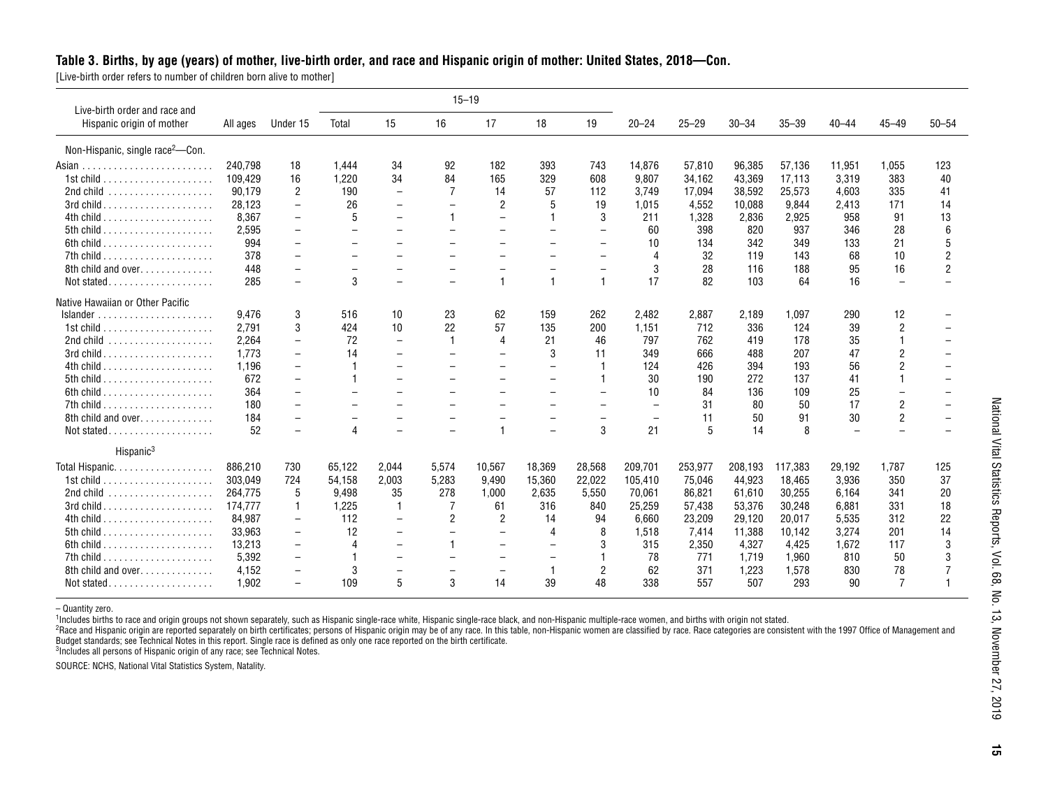#### **Table 3. Births, by age (years) of mother, live-birth order, and race and Hispanic origin of mother: United States, 2018—Con.**

[Live-birth order refers to number of children born alive to mother]

| Live-birth order and race and                |          |                          |                          |                          |                          | $15 - 19$                |                          |                          |                |             |           |           |                          |                          |                |
|----------------------------------------------|----------|--------------------------|--------------------------|--------------------------|--------------------------|--------------------------|--------------------------|--------------------------|----------------|-------------|-----------|-----------|--------------------------|--------------------------|----------------|
| Hispanic origin of mother                    | All ages | Under 15                 | Total                    | 15                       | 16                       | 17                       | 18                       | 19                       | $20 - 24$      | $25 - 29$   | $30 - 34$ | $35 - 39$ | $40 - 44$                | $45 - 49$                | $50 - 54$      |
| Non-Hispanic, single race <sup>2</sup> -Con. |          |                          |                          |                          |                          |                          |                          |                          |                |             |           |           |                          |                          |                |
|                                              | 240.798  | 18                       | 1.444                    | 34                       | 92                       | 182                      | 393                      | 743                      | 14,876         | 57,810      | 96.385    | 57,136    | 11,951                   | 1.055                    | 123            |
|                                              | 109,429  | 16                       | 1.220                    | 34                       | 84                       | 165                      | 329                      | 608                      | 9,807          | 34,162      | 43,369    | 17,113    | 3,319                    | 383                      | 40             |
|                                              | 90.179   | 2                        | 190                      | $\overline{\phantom{0}}$ | $\overline{7}$           | 14                       | 57                       | 112                      | 3,749          | 17,094      | 38,592    | 25,573    | 4,603                    | 335                      | 41             |
|                                              | 28,123   | $\overline{\phantom{0}}$ | 26                       |                          | $\overline{\phantom{m}}$ | $\overline{2}$           | 5                        | 19                       | 1,015          | 4,552       | 10,088    | 9,844     | 2,413                    | 171                      | 14             |
|                                              | 8.367    |                          | 5                        | $\overline{\phantom{0}}$ | $\overline{1}$           |                          |                          | 3                        | 211            | 1,328       | 2,836     | 2,925     | 958                      | 91                       | 13             |
|                                              | 2.595    | $\overline{\phantom{0}}$ | $\overline{\phantom{0}}$ | $\overline{\phantom{0}}$ | $\overline{\phantom{0}}$ | $\overline{\phantom{0}}$ | $\overline{\phantom{m}}$ | $\overline{\phantom{0}}$ | 60             | 398         | 820       | 937       | 346                      | 28                       | 6              |
|                                              | 994      |                          |                          |                          |                          |                          |                          | $\overline{\phantom{m}}$ | 10             | 134         | 342       | 349       | 133                      | 21                       | 5              |
|                                              | 378      |                          |                          | $\overline{\phantom{0}}$ |                          | $\overline{\phantom{0}}$ | $\overline{\phantom{0}}$ | $\overline{\phantom{m}}$ | $\overline{4}$ | 32          | 119       | 143       | 68                       | 10                       | $\overline{2}$ |
| 8th child and over.                          | 448      | $\overline{\phantom{0}}$ | $\overline{\phantom{a}}$ | $\equiv$                 | $\overline{\phantom{0}}$ | $\overline{\phantom{0}}$ |                          | $\overline{\phantom{m}}$ | 3              | 28          | 116       | 188       | 95                       | 16                       | $\overline{2}$ |
| Not stated                                   | 285      | $\overline{\phantom{0}}$ | 3                        | $\overline{\phantom{0}}$ | $\!-$                    | $\mathbf{1}$             | $\mathbf{1}$             | $\overline{1}$           | 17             | 82          | 103       | 64        | 16                       | $\overline{\phantom{0}}$ |                |
| Native Hawaiian or Other Pacific             |          |                          |                          |                          |                          |                          |                          |                          |                |             |           |           |                          |                          |                |
|                                              | 9.476    | 3                        | 516                      | 10                       | 23                       | 62                       | 159                      | 262                      | 2.482          | 2,887       | 2.189     | 1.097     | 290                      | 12                       |                |
|                                              | 2.791    | 3                        | 424                      | 10                       | 22                       | 57                       | 135                      | 200                      | 1,151          | 712         | 336       | 124       | 39                       | $\overline{2}$           |                |
|                                              | 2.264    |                          | 72                       | $\overline{\phantom{m}}$ | $\mathbf{1}$             | 4                        | 21                       | 46                       | 797            | 762         | 419       | 178       | 35                       |                          |                |
|                                              | 1.773    |                          | 14                       |                          |                          | $\overline{\phantom{0}}$ | 3                        | 11                       | 349            | 666         | 488       | 207       | 47                       | $\overline{2}$           |                |
|                                              | 1,196    | $\overline{\phantom{0}}$ | $\overline{\mathbf{1}}$  | $\overline{\phantom{0}}$ | $\overline{\phantom{a}}$ | $\overline{\phantom{0}}$ | $\overline{\phantom{0}}$ |                          | 124            | 426         | 394       | 193       | 56                       | $\overline{2}$           |                |
|                                              | 672      |                          |                          |                          |                          |                          |                          |                          | 30             | 190         | 272       | 137       | 41                       |                          |                |
|                                              | 364      | $\overline{\phantom{0}}$ |                          | $\overline{\phantom{0}}$ |                          |                          |                          | $\overline{\phantom{0}}$ | 10             | 84          | 136       | 109       | 25                       |                          |                |
|                                              | 180      | $\overline{\phantom{0}}$ |                          |                          |                          |                          |                          | $\overline{\phantom{0}}$ |                | 31          | 80        | 50        | 17                       | 2                        |                |
| 8th child and over.                          | 184      |                          |                          |                          |                          |                          |                          | $\overline{\phantom{0}}$ |                | 11          | 50        | 91        | 30                       | $\overline{2}$           |                |
| Not stated                                   | 52       |                          | $\overline{4}$           | $\overline{\phantom{0}}$ | $\overline{\phantom{a}}$ | 1                        | $\overline{\phantom{m}}$ | 3                        | 21             | $5^{\circ}$ | 14        | 8         | $\overline{\phantom{0}}$ |                          |                |
| Hispanic <sup>3</sup>                        |          |                          |                          |                          |                          |                          |                          |                          |                |             |           |           |                          |                          |                |
| Total Hispanic.                              | 886,210  | 730                      | 65,122                   | 2,044                    | 5,574                    | 10,567                   | 18,369                   | 28,568                   | 209,701        | 253,977     | 208,193   | 117,383   | 29,192                   | 1,787                    | 125            |
|                                              | 303.049  | 724                      | 54,158                   | 2,003                    | 5,283                    | 9,490                    | 15,360                   | 22,022                   | 105,410        | 75,046      | 44,923    | 18,465    | 3,936                    | 350                      | 37             |
|                                              | 264.775  | 5                        | 9,498                    | 35                       | 278                      | 1,000                    | 2,635                    | 5,550                    | 70,061         | 86,821      | 61,610    | 30,255    | 6.164                    | 341                      | 20             |
|                                              | 174.777  | 1                        | 1,225                    | $\mathbf{1}$             | 7                        | 61                       | 316                      | 840                      | 25,259         | 57,438      | 53,376    | 30,248    | 6,881                    | 331                      | 18             |
|                                              | 84,987   | $\overline{\phantom{0}}$ | 112                      | $\overline{\phantom{0}}$ | 2                        | 2                        | 14                       | 94                       | 6,660          | 23,209      | 29,120    | 20,017    | 5,535                    | 312                      | 22             |
|                                              | 33,963   | $\overline{\phantom{m}}$ | 12                       |                          | $\overline{\phantom{m}}$ |                          | 4                        | 8                        | 1,518          | 7,414       | 11,388    | 10,142    | 3,274                    | 201                      | 14             |
|                                              | 13.213   | $\overline{\phantom{a}}$ | $\overline{4}$           |                          |                          | $\overline{\phantom{0}}$ |                          | 3                        | 315            | 2,350       | 4,327     | 4,425     | 1,672                    | 117                      | 3              |
|                                              | 5.392    |                          |                          |                          | $\overline{\phantom{a}}$ |                          |                          |                          | 78             | 771         | 1.719     | 1.960     | 810                      | 50                       |                |
| 8th child and over                           | 4,152    |                          | 3                        | $\overline{\phantom{0}}$ | $\overline{\phantom{m}}$ | $\overline{\phantom{0}}$ |                          | $\overline{2}$           | 62             | 371         | 1,223     | 1,578     | 830                      | 78                       |                |
| Not stated                                   | 1.902    |                          | 109                      | 5                        | 3                        | 14                       | 39                       | 48                       | 338            | 557         | 507       | 293       | 90                       | $\overline{7}$           |                |

– Quantity zero.<br><sup>1</sup>Includes births to race and origin groups not shown separately, such as Hispanic single-race white, Hispanic single-race black, and non-Hispanic multiple-race women, and births with origin not stated.

<sup>2</sup>Race and Hispanic origin are reported separately on birth certificates; persons of Hispanic origin may be of any race. In this table, non-Hispanic women are classified by race. Race categories are consistent with the 19 Budget standards; see Technical Notes in this report. Single race is defined as only one race reported on the birth certificate.

<sup>3</sup>Includes all persons of Hispanic origin of any race; see Technical Notes.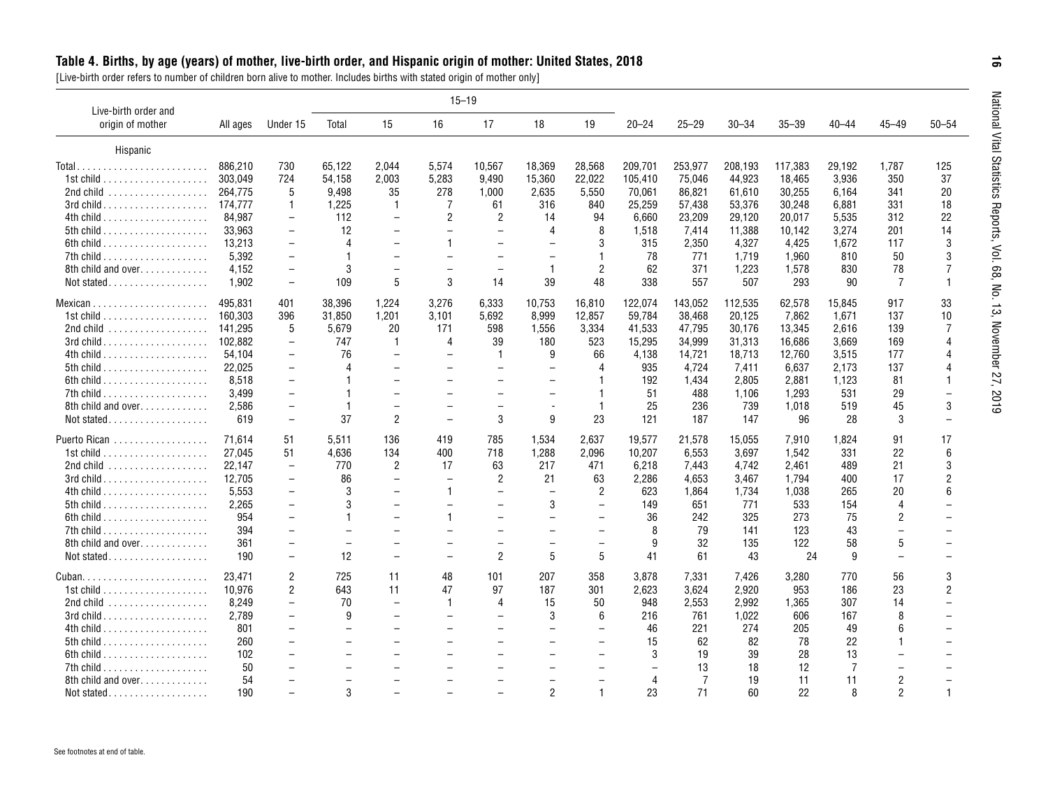<span id="page-15-0"></span>

| Live-birth order and                                  |          |                          |                          |                          |                          | $15 - 19$                |                          |                          |           |                |           |           |                |                          |                          |
|-------------------------------------------------------|----------|--------------------------|--------------------------|--------------------------|--------------------------|--------------------------|--------------------------|--------------------------|-----------|----------------|-----------|-----------|----------------|--------------------------|--------------------------|
| origin of mother                                      | All ages | Under 15                 | Total                    | 15                       | 16                       | 17                       | 18                       | 19                       | $20 - 24$ | $25 - 29$      | $30 - 34$ | $35 - 39$ | $40 - 44$      | $45 - 49$                | $50 - 54$                |
| Hispanic                                              |          |                          |                          |                          |                          |                          |                          |                          |           |                |           |           |                |                          |                          |
| Total                                                 | 886.210  | 730                      | 65.122                   | 2.044                    | 5.574                    | 10.567                   | 18.369                   | 28.568                   | 209.701   | 253,977        | 208.193   | 117,383   | 29.192         | 1.787                    | 125                      |
| 1st child $\ldots \ldots \ldots \ldots \ldots \ldots$ | 303.049  | 724                      | 54,158                   | 2,003                    | 5,283                    | 9,490                    | 15,360                   | 22,022                   | 105,410   | 75,046         | 44,923    | 18,465    | 3,936          | 350                      | 37                       |
| 2nd child  264,775                                    |          | 5                        | 9.498                    | 35                       | 278                      | 1,000                    | 2,635                    | 5,550                    | 70,061    | 86,821         | 61,610    | 30,255    | 6.164          | 341                      | 20                       |
| 3rd child 174,777                                     |          | 1                        | 1,225                    | $\mathbf{1}$             | 7                        | 61                       | 316                      | 840                      | 25,259    | 57,438         | 53,376    | 30,248    | 6,881          | 331                      | 18                       |
|                                                       | 84,987   | $\overline{\phantom{a}}$ | 112                      | $\overline{\phantom{0}}$ | $\overline{2}$           | $\overline{2}$           | 14                       | 94                       | 6,660     | 23,209         | 29,120    | 20,017    | 5,535          | 312                      | 22                       |
|                                                       | 33,963   | $\overline{\phantom{m}}$ | 12                       | $\overline{\phantom{0}}$ |                          |                          | 4                        | 8                        | 1,518     | 7,414          | 11,388    | 10,142    | 3,274          | 201                      | 14                       |
|                                                       | 13,213   | $\overline{\phantom{0}}$ | 4                        | $\overline{\phantom{0}}$ |                          |                          |                          | 3                        | 315       | 2,350          | 4,327     | 4,425     | 1,672          | 117                      | 3                        |
|                                                       | 5,392    | $\overline{\phantom{m}}$ |                          | $\overline{\phantom{0}}$ | $\overline{\phantom{0}}$ | $\overline{\phantom{0}}$ | $\overline{\phantom{0}}$ | 1                        | 78        | 771            | 1,719     | 1,960     | 810            | 50                       | 3                        |
| 8th child and over                                    | 4,152    | $\overline{\phantom{a}}$ | 3                        | $\overline{\phantom{0}}$ | $\overline{\phantom{0}}$ | $\overline{\phantom{0}}$ | $\overline{1}$           | $\overline{2}$           | 62        | 371            | 1,223     | 1,578     | 830            | 78                       | 7                        |
| Not stated                                            | 1,902    | $\overline{\phantom{a}}$ | 109                      | 5                        | 3                        | 14                       | 39                       | 48                       | 338       | 557            | 507       | 293       | 90             | 7                        | $\overline{1}$           |
|                                                       | 495.831  | 401                      | 38.396                   | 1.224                    | 3,276                    | 6.333                    | 10.753                   | 16.810                   | 122.074   | 143,052        | 112,535   | 62,578    | 15.845         | 917                      | 33                       |
| 1st child $\ldots \ldots \ldots \ldots \ldots \ldots$ | 160.303  | 396                      | 31,850                   | 1,201                    | 3.101                    | 5,692                    | 8.999                    | 12,857                   | 59,784    | 38,468         | 20,125    | 7,862     | 1,671          | 137                      | 10                       |
| 2nd child  141,295                                    |          | 5                        | 5,679                    | 20                       | 171                      | 598                      | 1,556                    | 3,334                    | 41,533    | 47,795         | 30,176    | 13,345    | 2.616          | 139                      | 7                        |
|                                                       |          | $\overline{\phantom{a}}$ | 747                      | $\mathbf{1}$             | 4                        | 39                       | 180                      | 523                      | 15,295    | 34,999         | 31,313    | 16,686    | 3,669          | 169                      | $\overline{4}$           |
|                                                       | 54,104   | $\overline{\phantom{a}}$ | 76                       | $\overline{\phantom{a}}$ | $\overline{\phantom{0}}$ | $\mathbf{1}$             | 9                        | 66                       | 4,138     | 14,721         | 18,713    | 12,760    | 3,515          | 177                      | $\overline{4}$           |
|                                                       | 22,025   | $\overline{\phantom{a}}$ |                          | $\overline{\phantom{0}}$ |                          |                          | $\equiv$                 | 4                        | 935       | 4,724          | 7,411     | 6,637     | 2,173          | 137                      | $\overline{4}$           |
|                                                       | 8,518    | $\overline{\phantom{0}}$ |                          |                          |                          |                          |                          |                          | 192       | 1,434          | 2,805     | 2,881     | 1,123          | 81                       | $\overline{1}$           |
|                                                       | 3,499    | $\overline{\phantom{a}}$ |                          | $\overline{\phantom{0}}$ | $\overline{\phantom{0}}$ | $\overline{\phantom{0}}$ | $\overline{\phantom{m}}$ | 1                        | 51        | 488            | 1,106     | 1,293     | 531            | 29                       | $\overline{\phantom{0}}$ |
| 8th child and over                                    | 2,586    | $\overline{\phantom{0}}$ | $\mathbf{1}$             | $\overline{\phantom{0}}$ |                          | $\overline{\phantom{a}}$ | $\overline{a}$           | $\mathbf{1}$             | 25        | 236            | 739       | 1.018     | 519            | 45                       | $\mathbf{3}$             |
| Not stated                                            | 619      | $\overline{\phantom{a}}$ | 37                       | $\overline{2}$           | $\overline{\phantom{0}}$ | 3                        | 9                        | 23                       | 121       | 187            | 147       | 96        | 28             | 3                        |                          |
| Puerto Rican                                          | 71.614   | 51                       | 5.511                    | 136                      | 419                      | 785                      | 1.534                    | 2.637                    | 19.577    | 21,578         | 15.055    | 7.910     | 1.824          | 91                       | 17                       |
| 1st child $\ldots \ldots \ldots \ldots \ldots \ldots$ | 27.045   | 51                       | 4,636                    | 134                      | 400                      | 718                      | 1,288                    | 2,096                    | 10,207    | 6,553          | 3,697     | 1,542     | 331            | 22                       | 6                        |
|                                                       | 22,147   | $\overline{\phantom{m}}$ | 770                      | $\overline{2}$           | 17                       | 63                       | 217                      | 471                      | 6,218     | 7,443          | 4,742     | 2.461     | 489            | 21                       | 3                        |
|                                                       | 12,705   | $\overline{\phantom{m}}$ | 86                       | $\overline{\phantom{0}}$ | $\overline{\phantom{0}}$ | 2                        | 21                       | 63                       | 2,286     | 4,653          | 3,467     | 1,794     | 400            | 17                       | $\overline{2}$           |
|                                                       | 5,553    | $\overline{\phantom{a}}$ | 3                        |                          | $\mathbf{1}$             |                          |                          | $\overline{2}$           | 623       | 1,864          | 1,734     | 1,038     | 265            | 20                       | 6                        |
|                                                       | 2,265    | $\overline{\phantom{a}}$ | 3                        |                          | $\overline{\phantom{0}}$ |                          | 3                        | $\overline{\phantom{0}}$ | 149       | 651            | 771       | 533       | 154            | 4                        |                          |
|                                                       | 954      | $\overline{\phantom{0}}$ |                          | $\overline{\phantom{0}}$ |                          | $\overline{\phantom{0}}$ | $\equiv$                 |                          | 36        | 242            | 325       | 273       | 75             | $\overline{2}$           |                          |
|                                                       | 394      | $\overline{\phantom{0}}$ | $\overline{\phantom{0}}$ | $\overline{\phantom{0}}$ | $\overline{\phantom{0}}$ | $\overline{\phantom{0}}$ | $\overline{\phantom{0}}$ | $\overline{\phantom{0}}$ | 8         | 79             | 141       | 123       | 43             | $\overline{\phantom{0}}$ |                          |
| 8th child and over.                                   | 361      | $\overline{\phantom{0}}$ | $\overline{\phantom{0}}$ | $\overline{\phantom{0}}$ |                          |                          | $\overline{\phantom{0}}$ |                          | 9         | 32             | 135       | 122       | 58             | 5                        |                          |
|                                                       | 190      | $\overline{\phantom{m}}$ | 12                       | $\overline{\phantom{0}}$ | $\overline{\phantom{0}}$ | $\overline{2}$           | 5                        | 5                        | 41        | 61             | 43        | 24        | 9              | $\overline{\phantom{0}}$ |                          |
|                                                       | 23.471   | 2                        | 725                      | 11                       | 48                       | 101                      | 207                      | 358                      | 3.878     | 7.331          | 7.426     | 3.280     | 770            | 56                       | 3                        |
| 1st child $\ldots \ldots \ldots \ldots \ldots \ldots$ | 10,976   | 2                        | 643                      | 11                       | 47                       | 97                       | 187                      | 301                      | 2,623     | 3.624          | 2,920     | 953       | 186            | 23                       | 2                        |
|                                                       | 8,249    | $\overline{\phantom{a}}$ | 70                       | $\overline{\phantom{0}}$ | $\mathbf{1}$             | $\overline{4}$           | 15                       | 50                       | 948       | 2,553          | 2.992     | 1,365     | 307            | 14                       |                          |
|                                                       | 2,789    | $\overline{\phantom{0}}$ | 9                        | $\overline{\phantom{0}}$ |                          |                          | 3                        | 6                        | 216       | 761            | 1,022     | 606       | 167            | 8                        |                          |
|                                                       | 801      | $\overline{\phantom{0}}$ | $\overline{\phantom{0}}$ | $\overline{\phantom{0}}$ |                          |                          | $\overline{\phantom{0}}$ |                          | 46        | 221            | 274       | 205       | 49             | 6                        |                          |
|                                                       | 260      | $\overline{\phantom{0}}$ | $\overline{\phantom{0}}$ | $\overline{\phantom{0}}$ | $\overline{\phantom{0}}$ | $\overline{\phantom{0}}$ | $\equiv$                 |                          | 15        | 62             | 82        | 78        | 22             |                          |                          |
|                                                       | 102      |                          |                          | $\overline{\phantom{0}}$ |                          |                          |                          |                          | 3         | 19             | 39        | 28        | 13             |                          |                          |
| $7th$ child $\ldots \ldots \ldots \ldots \ldots$      | 50       | $\overline{\phantom{0}}$ | $\overline{\phantom{0}}$ | $\overline{\phantom{0}}$ |                          |                          |                          |                          |           | 13             | 18        | 12        | $\overline{7}$ | $\overline{\phantom{0}}$ |                          |
| 8th child and over                                    | 54       |                          | $\overline{\phantom{0}}$ |                          |                          |                          |                          |                          | 4         | $\overline{7}$ | 19        | 11        | 11             | $\overline{2}$           |                          |
|                                                       |          |                          |                          |                          |                          |                          |                          |                          |           |                |           |           |                |                          |                          |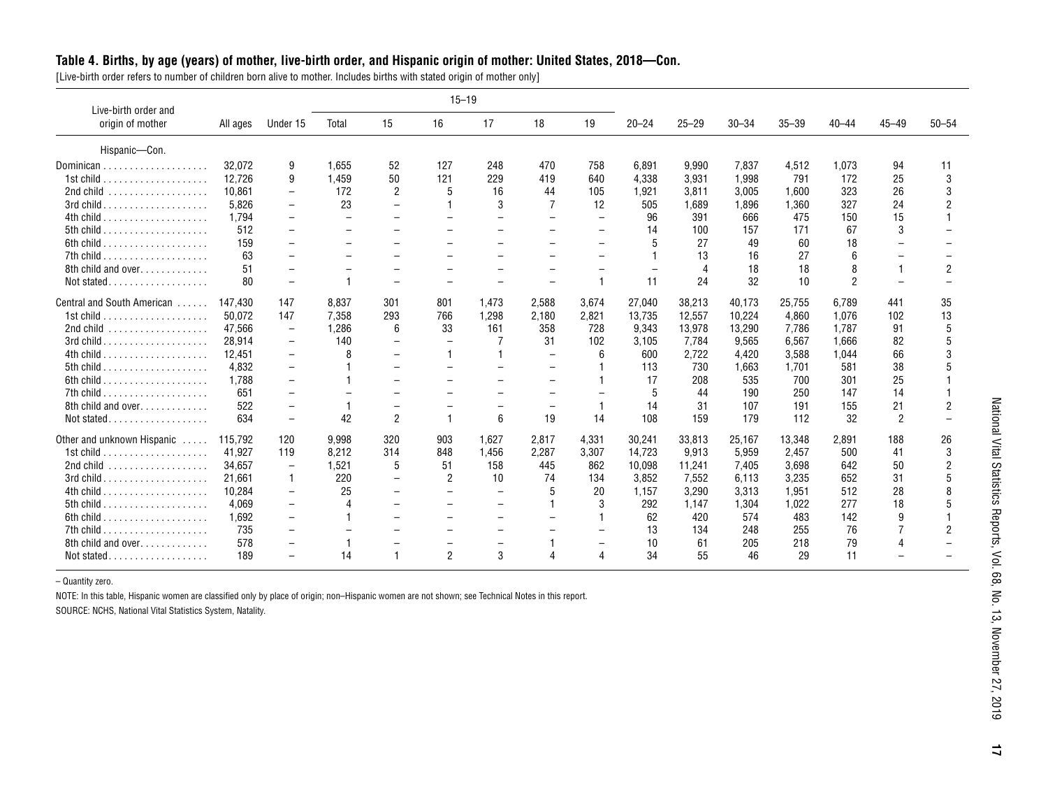#### **Table 4. Births, by age (years) of mother, live-birth order, and Hispanic origin of mother: United States, 2018—Con.**

[Live-birth order refers to number of children born alive to mother. Includes births with stated origin of mother only]

| Live-birth order and                                  |          |                          |                          |                          | $15 - 19$                |                          |                          |                          |           |           |           |           |               |                |           |
|-------------------------------------------------------|----------|--------------------------|--------------------------|--------------------------|--------------------------|--------------------------|--------------------------|--------------------------|-----------|-----------|-----------|-----------|---------------|----------------|-----------|
| origin of mother                                      | All ages | Under 15                 | Total                    | 15                       | 16                       | 17                       | 18                       | 19                       | $20 - 24$ | $25 - 29$ | $30 - 34$ | $35 - 39$ | $40 - 44$     | $45 - 49$      | $50 - 54$ |
| Hispanic-Con.                                         |          |                          |                          |                          |                          |                          |                          |                          |           |           |           |           |               |                |           |
|                                                       | 32.072   | 9                        | 1.655                    | 52                       | 127                      | 248                      | 470                      | 758                      | 6.891     | 9.990     | 7.837     | 4.512     | 1.073         | 94             | 11        |
| 1st child $\ldots \ldots \ldots \ldots \ldots \ldots$ | 12.726   | 9                        | 1.459                    | 50                       | 121                      | 229                      | 419                      | 640                      | 4.338     | 3,931     | 1,998     | 791       | 172           | 25             | 3         |
|                                                       | 10.861   | $\overline{\phantom{a}}$ | 172                      | $\overline{2}$           | 5                        | 16                       | 44                       | 105                      | 1,921     | 3,811     | 3,005     | 1,600     | 323           | 26             |           |
|                                                       | 5.826    | $\overline{\phantom{a}}$ | 23                       | $\overline{\phantom{0}}$ |                          | 3                        |                          | 12                       | 505       | 1.689     | 1,896     | 1.360     | 327           | 24             |           |
|                                                       | 1.794    | $\overline{\phantom{m}}$ | $\overline{\phantom{m}}$ | $\overline{\phantom{0}}$ | $\overline{\phantom{0}}$ | $\equiv$                 |                          | $\overline{\phantom{0}}$ | 96        | 391       | 666       | 475       | 150           | 15             |           |
|                                                       | 512      | $\overline{\phantom{0}}$ | $\overline{\phantom{m}}$ | $\overline{\phantom{0}}$ | $\overline{\phantom{0}}$ | $\overline{\phantom{0}}$ | $\equiv$                 | —                        | 14        | 100       | 157       | 171       | 67            | 3              |           |
|                                                       | 159      | $\overline{\phantom{0}}$ |                          | $\overline{\phantom{0}}$ |                          | $\overline{\phantom{0}}$ |                          | $\overline{\phantom{0}}$ | 5         | 27        | 49        | 60        | 18            |                |           |
| 7th child $\ldots \ldots \ldots \ldots \ldots \ldots$ | 63       |                          |                          |                          |                          |                          |                          | $\equiv$                 |           | 13        | 16        | 27        | 6             |                |           |
| 8th child and over                                    | 51       | $\overline{\phantom{0}}$ |                          |                          |                          | $\overline{\phantom{0}}$ |                          | $\overline{\phantom{0}}$ |           | $\Delta$  | 18        | 18        | 8             |                | 2         |
| Not stated                                            | 80       | $\overline{\phantom{a}}$ |                          | $\equiv$                 |                          |                          | $\equiv$                 | $\overline{1}$           | 11        | 24        | 32        | 10        | $\mathcal{P}$ |                |           |
| Central and South American                            | 147.430  | 147                      | 8.837                    | 301                      | 801                      | 1.473                    | 2,588                    | 3,674                    | 27.040    | 38.213    | 40.173    | 25.755    | 6.789         | 441            | 35        |
| 1st child $\ldots \ldots \ldots \ldots \ldots \ldots$ | 50.072   | 147                      | 7.358                    | 293                      | 766                      | 1,298                    | 2,180                    | 2,821                    | 13,735    | 12,557    | 10,224    | 4.860     | 1.076         | 102            | 13        |
|                                                       | 47,566   | $\overline{\phantom{m}}$ | 1,286                    | 6                        | 33                       | 161                      | 358                      | 728                      | 9,343     | 13,978    | 13,290    | 7,786     | 1.787         | 91             | 5         |
|                                                       | 28.914   | $\overline{\phantom{a}}$ | 140                      | $\overline{\phantom{0}}$ | $\overline{\phantom{m}}$ |                          | 31                       | 102                      | 3,105     | 7.784     | 9,565     | 6,567     | 1.666         | 82             |           |
|                                                       | 12.451   | $\overline{\phantom{a}}$ |                          |                          | 1                        |                          | $\overline{\phantom{0}}$ | 6                        | 600       | 2,722     | 4.420     | 3,588     | 1.044         | 66             |           |
|                                                       | 4.832    | $\overline{\phantom{a}}$ |                          | $\overline{\phantom{0}}$ | $\overline{\phantom{0}}$ |                          |                          |                          | 113       | 730       | 1.663     | 1,701     | 581           | 38             |           |
| 6th child $\ldots \ldots \ldots \ldots \ldots \ldots$ | 1.788    | $\overline{\phantom{a}}$ |                          |                          | $\overline{\phantom{0}}$ |                          |                          |                          | 17        | 208       | 535       | 700       | 301           | 25             |           |
|                                                       | 651      | $\overline{\phantom{0}}$ |                          |                          |                          |                          | $\equiv$                 |                          | 5         | 44        | 190       | 250       | 147           | 14             |           |
| 8th child and over                                    | 522      | $\overline{\phantom{m}}$ |                          |                          |                          |                          |                          |                          | 14        | 31        | 107       | 191       | 155           | 21             |           |
|                                                       | 634      | $\overline{\phantom{a}}$ | 42                       | $\overline{2}$           |                          | 6                        | 19                       | 14                       | 108       | 159       | 179       | 112       | 32            | $\overline{2}$ |           |
| Other and unknown Hispanic                            | 115.792  | 120                      | 9,998                    | 320                      | 903                      | 1.627                    | 2,817                    | 4,331                    | 30,241    | 33,813    | 25,167    | 13,348    | 2,891         | 188            | 26        |
|                                                       | 41.927   | 119                      | 8.212                    | 314                      | 848                      | 1.456                    | 2,287                    | 3,307                    | 14,723    | 9.913     | 5.959     | 2.457     | 500           | 41             | 3         |
|                                                       | 34.657   | $\overline{\phantom{m}}$ | 1,521                    | 5                        | 51                       | 158                      | 445                      | 862                      | 10,098    | 11,241    | 7,405     | 3.698     | 642           | 50             |           |
|                                                       | 21,661   | $\mathbf{1}$             | 220                      | $\overline{\phantom{0}}$ | $\overline{2}$           | 10                       | 74                       | 134                      | 3,852     | 7,552     | 6,113     | 3,235     | 652           | 31             |           |
|                                                       | 10.284   | $\overline{\phantom{a}}$ | 25                       |                          | $\overline{\phantom{0}}$ | $\overline{\phantom{a}}$ | 5                        | 20                       | 1,157     | 3,290     | 3,313     | 1.951     | 512           | 28             |           |
|                                                       | 4.069    | $\overline{\phantom{m}}$ |                          |                          | $\overline{\phantom{0}}$ | $\overline{\phantom{0}}$ |                          | 3                        | 292       | 1.147     | 1,304     | 1,022     | 277           | 18             |           |
| 6th child $\ldots \ldots \ldots \ldots \ldots \ldots$ | 1.692    | $\overline{\phantom{a}}$ |                          |                          |                          | $\overline{\phantom{0}}$ |                          |                          | 62        | 420       | 574       | 483       | 142           | 9              |           |
|                                                       | 735      | $\overline{\phantom{a}}$ |                          |                          |                          |                          |                          |                          | 13        | 134       | 248       | 255       | 76            |                |           |
| 8th child and over                                    | 578      |                          |                          |                          |                          |                          |                          |                          | 10        | 61        | 205       | 218       | 79            | 4              |           |
|                                                       | 189      |                          | 14                       | 1                        | $\overline{2}$           | 3                        |                          | Δ                        | 34        | 55        | 46        | 29        | 11            |                |           |

– Quantity zero.

NOTE: In this table, Hispanic women are classified only by place of origin; non–Hispanic women are not shown; see Technical Notes in this report.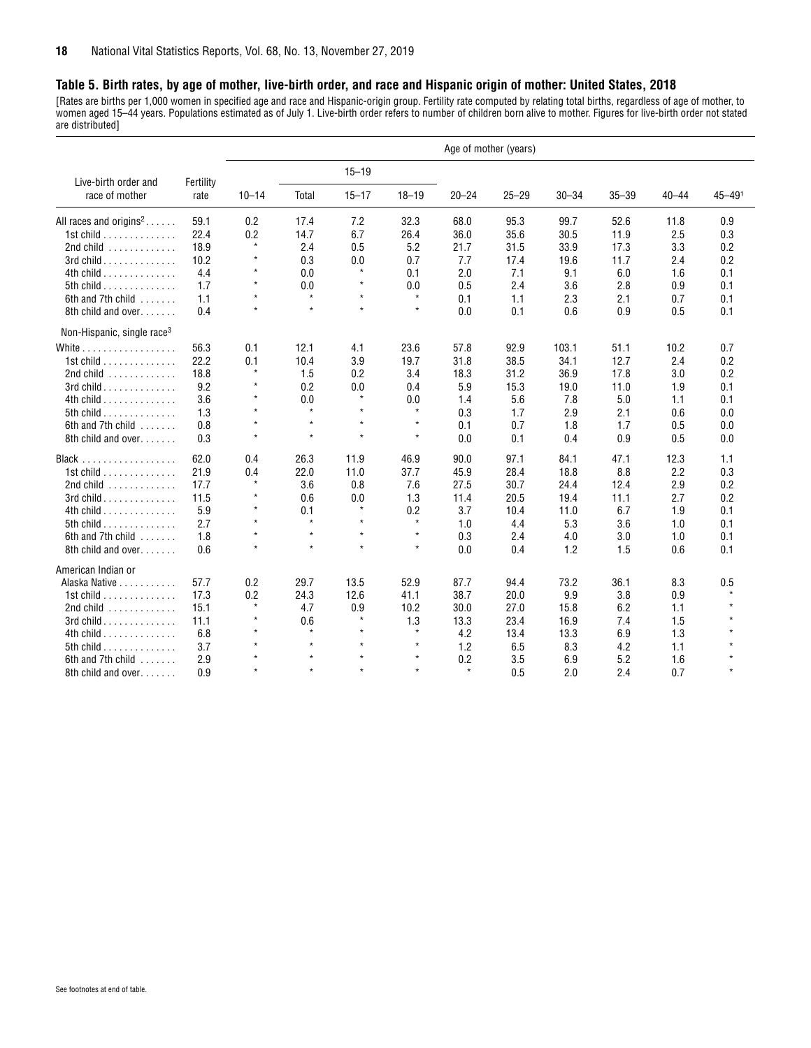#### <span id="page-17-0"></span>**Table 5. Birth rates, by age of mother, live-birth order, and race and Hispanic origin of mother: United States, 2018**

[Rates are births per 1,000 women in specified age and race and Hispanic-origin group. Fertility rate computed by relating total births, regardless of age of mother, to women aged 15–44 years. Populations estimated as of July 1. Live-birth order refers to number of children born alive to mother. Figures for live-birth order not stated are distributed]

|                                                 |           |           |         |           |           |           | Age of mother (years) |           |           |           |            |
|-------------------------------------------------|-----------|-----------|---------|-----------|-----------|-----------|-----------------------|-----------|-----------|-----------|------------|
| Live-birth order and                            | Fertility |           |         | $15 - 19$ |           |           |                       |           |           |           |            |
| race of mother                                  | rate      | $10 - 14$ | Total   | $15 - 17$ | $18 - 19$ | $20 - 24$ | $25 - 29$             | $30 - 34$ | $35 - 39$ | $40 - 44$ | $45 - 491$ |
| All races and origins <sup>2</sup>              | 59.1      | 0.2       | 17.4    | 7.2       | 32.3      | 68.0      | 95.3                  | 99.7      | 52.6      | 11.8      | 0.9        |
| 1st child $\ldots \ldots \ldots \ldots$         | 22.4      | 0.2       | 14.7    | 6.7       | 26.4      | 36.0      | 35.6                  | 30.5      | 11.9      | 2.5       | 0.3        |
| 2nd child $\dots\dots\dots\dots$                | 18.9      | $\star$   | 2.4     | 0.5       | 5.2       | 21.7      | 31.5                  | 33.9      | 17.3      | 3.3       | 0.2        |
| 3rd child                                       | 10.2      | $\star$   | 0.3     | 0.0       | 0.7       | 7.7       | 17.4                  | 19.6      | 11.7      | 2.4       | 0.2        |
| 4th child                                       | 4.4       | $\star$   | 0.0     | $\star$   | 0.1       | 2.0       | 7.1                   | 9.1       | 6.0       | 1.6       | 0.1        |
| 5th child $\ldots$ , $\ldots$ , $\ldots$        | 1.7       | $\star$   | 0.0     | $\star$   | 0.0       | 0.5       | 2.4                   | 3.6       | 2.8       | 0.9       | 0.1        |
| 6th and 7th child                               | 1.1       | $\star$   | $\star$ | $\star$   | $\star$   | 0.1       | 1.1                   | 2.3       | 2.1       | 0.7       | 0.1        |
| 8th child and over.                             | 0.4       | $\star$   | $\star$ | $\star$   | $\star$   | 0.0       | 0.1                   | 0.6       | 0.9       | 0.5       | 0.1        |
| Non-Hispanic, single race <sup>3</sup>          |           |           |         |           |           |           |                       |           |           |           |            |
| White $\ldots$ , $\ldots$ , $\ldots$ , $\ldots$ | 56.3      | 0.1       | 12.1    | 4.1       | 23.6      | 57.8      | 92.9                  | 103.1     | 51.1      | 10.2      | 0.7        |
| 1st child                                       | 22.2      | 0.1       | 10.4    | 3.9       | 19.7      | 31.8      | 38.5                  | 34.1      | 12.7      | 2.4       | 0.2        |
| $2nd$ child $\ldots \ldots \ldots$              | 18.8      | $\star$   | 1.5     | 0.2       | 3.4       | 18.3      | 31.2                  | 36.9      | 17.8      | 3.0       | 0.2        |
| 3rd child                                       | 9.2       | $\star$   | 0.2     | 0.0       | 0.4       | 5.9       | 15.3                  | 19.0      | 11.0      | 1.9       | 0.1        |
| 4th child                                       | 3.6       | $\star$   | 0.0     | $\star$   | 0.0       | 1.4       | 5.6                   | 7.8       | 5.0       | 1.1       | 0.1        |
| 5th child $\ldots$ , $\ldots$ , $\ldots$        | 1.3       | $\star$   | $\star$ | $\star$   | $\star$   | 0.3       | 1.7                   | 2.9       | 2.1       | 0.6       | 0.0        |
| 6th and 7th child                               | 0.8       | $\star$   | $\star$ | $\star$   | $\star$   | 0.1       | 0.7                   | 1.8       | 1.7       | 0.5       | 0.0        |
| 8th child and over                              | 0.3       | $\star$   | $\star$ | $\star$   | $\star$   | 0.0       | 0.1                   | 0.4       | 0.9       | 0.5       | 0.0        |
|                                                 | 62.0      | 0.4       | 26.3    | 11.9      | 46.9      | 90.0      | 97.1                  | 84.1      | 47.1      | 12.3      | 1.1        |
| 1st child                                       | 21.9      | 0.4       | 22.0    | 11.0      | 37.7      | 45.9      | 28.4                  | 18.8      | 8.8       | 2.2       | 0.3        |
| 2nd child $\dots\dots\dots\dots$                | 17.7      | $\star$   | 3.6     | 0.8       | 7.6       | 27.5      | 30.7                  | 24.4      | 12.4      | 2.9       | 0.2        |
| 3rd child                                       | 11.5      | $\star$   | 0.6     | 0.0       | 1.3       | 11.4      | 20.5                  | 19.4      | 11.1      | 2.7       | 0.2        |
| 4th child                                       | 5.9       | $\star$   | 0.1     | $\star$   | 0.2       | 3.7       | 10.4                  | 11.0      | 6.7       | 1.9       | 0.1        |
| 5th child $\ldots$ , $\ldots$ , $\ldots$        | 2.7       | $\star$   | $\star$ | $\star$   | $\star$   | 1.0       | 4.4                   | 5.3       | 3.6       | 1.0       | 0.1        |
| 6th and 7th child                               | 1.8       | $\star$   | $\star$ | $\star$   | $\star$   | 0.3       | 2.4                   | 4.0       | 3.0       | 1.0       | 0.1        |
| 8th child and over                              | 0.6       | $\star$   | $\star$ | $\star$   | $\star$   | 0.0       | 0.4                   | 1.2       | 1.5       | 0.6       | 0.1        |
| American Indian or                              |           |           |         |           |           |           |                       |           |           |           |            |
| Alaska Native                                   | 57.7      | 0.2       | 29.7    | 13.5      | 52.9      | 87.7      | 94.4                  | 73.2      | 36.1      | 8.3       | 0.5        |
| 1st child $\ldots \ldots \ldots \ldots$         | 17.3      | 0.2       | 24.3    | 12.6      | 41.1      | 38.7      | 20.0                  | 9.9       | 3.8       | 0.9       |            |
| 2nd child $\dots\dots\dots\dots$                | 15.1      | $\star$   | 4.7     | 0.9       | 10.2      | 30.0      | 27.0                  | 15.8      | 6.2       | 1.1       |            |
| $3rd$ child $\ldots \ldots \ldots \ldots$       | 11.1      | $\star$   | 0.6     | $\star$   | 1.3       | 13.3      | 23.4                  | 16.9      | 7.4       | 1.5       |            |
| 4th child $\ldots$ ,                            | 6.8       | $\star$   | $\star$ | $\star$   | $\star$   | 4.2       | 13.4                  | 13.3      | 6.9       | 1.3       |            |
| 5th child $\ldots$ , $\ldots$ , $\ldots$        | 3.7       |           | $\star$ | $\star$   | $\star$   | 1.2       | 6.5                   | 8.3       | 4.2       | 1.1       |            |
| 6th and 7th child                               | 2.9       | $\star$   | $\star$ | $\star$   | $\star$   | 0.2       | 3.5                   | 6.9       | 5.2       | 1.6       |            |
| 8th child and over                              | 0.9       | $\star$   | $\star$ | $\star$   | $\star$   | $\star$   | 0.5                   | 2.0       | 2.4       | 0.7       | $\star$    |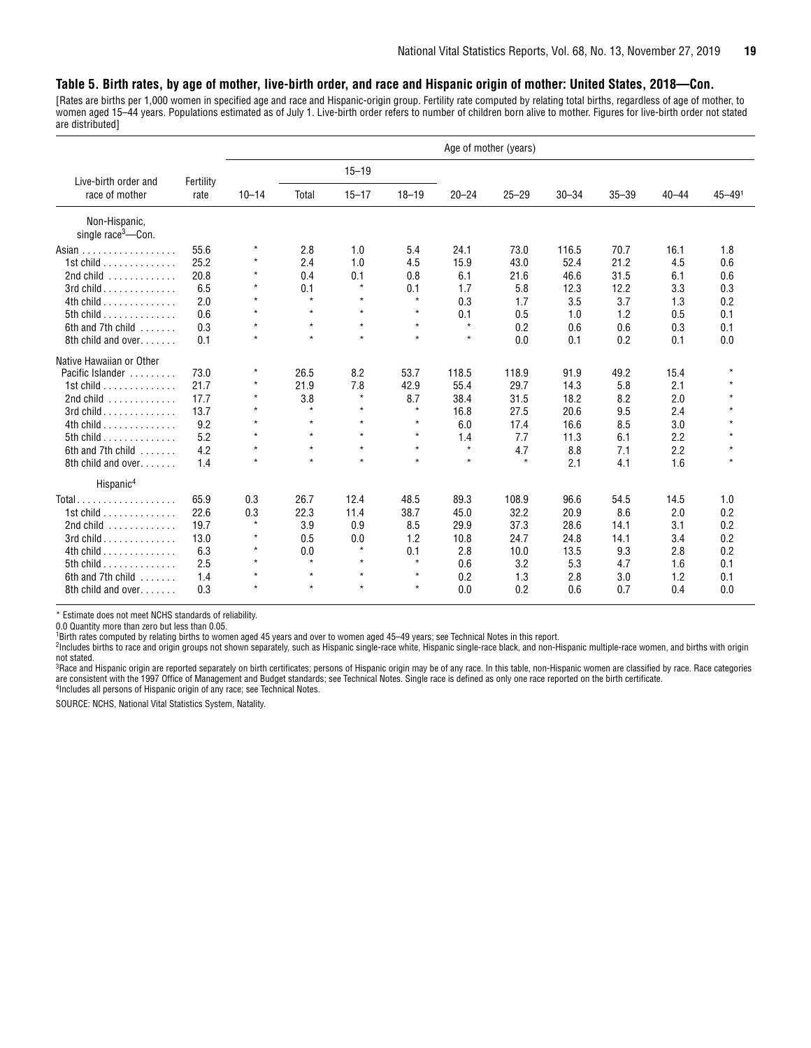#### **Table 5. Birth rates, by age of mother, live-birth order, and race and Hispanic origin of mother: United States, 2018—Con.**

[Rates are births per 1,000 women in specified age and race and Hispanic-origin group. Fertility rate computed by relating total births, regardless of age of mother, to women aged 15–44 years. Populations estimated as of July 1. Live-birth order refers to number of children born alive to mother. Figures for live-birth order not stated are distributed]

|                                                 |           |           |         |           |           |           | Age of mother (years) |           |           |           |                        |
|-------------------------------------------------|-----------|-----------|---------|-----------|-----------|-----------|-----------------------|-----------|-----------|-----------|------------------------|
| Live-birth order and                            | Fertility |           |         | $15 - 19$ |           |           |                       |           |           |           |                        |
| race of mother                                  | rate      | $10 - 14$ | Total   | $15 - 17$ | $18 - 19$ | $20 - 24$ | $25 - 29$             | $30 - 34$ | $35 - 39$ | $40 - 44$ | $45 - 49$ <sup>1</sup> |
| Non-Hispanic,<br>single $race3$ --Con.          |           |           |         |           |           |           |                       |           |           |           |                        |
| Asian $\ldots \ldots \ldots \ldots \ldots$      | 55.6      | $\star$   | 2.8     | 1.0       | 5.4       | 24.1      | 73.0                  | 116.5     | 70.7      | 16.1      | 1.8                    |
| 1st child $\ldots \ldots \ldots \ldots$         | 25.2      | ×         | 2.4     | 1.0       | 4.5       | 15.9      | 43.0                  | 52.4      | 21.2      | 4.5       | 0.6                    |
| 2nd child $\ldots$ ,                            | 20.8      | $\star$   | 0.4     | 0.1       | 0.8       | 6.1       | 21.6                  | 46.6      | 31.5      | 6.1       | 0.6                    |
| 3rd child                                       | 6.5       | $\star$   | 0.1     | $\star$   | 0.1       | 1.7       | 5.8                   | 12.3      | 12.2      | 3.3       | 0.3                    |
| $4th$ child                                     | 2.0       | $\star$   | $\star$ | $\star$   | $\star$   | 0.3       | 1.7                   | 3.5       | 3.7       | 1.3       | 0.2                    |
| 5th child $\ldots$                              | 0.6       | $\star$   | $\star$ | $\star$   | $\star$   | 0.1       | 0.5                   | 1.0       | 1.2       | 0.5       | 0.1                    |
| 6th and 7th child                               | 0.3       | $\star$   | $\star$ | $\star$   | $\star$   | $\star$   | 0.2                   | 0.6       | 0.6       | 0.3       | 0.1                    |
| 8th child and over                              | 0.1       | $\star$   | $\star$ | $\star$   | $\star$   | $\star$   | 0.0                   | 0.1       | 0.2       | 0.1       | 0.0                    |
| Native Hawaiian or Other                        |           |           |         |           |           |           |                       |           |           |           |                        |
| Pacific Islander                                | 73.0      | $\star$   | 26.5    | 8.2       | 53.7      | 118.5     | 118.9                 | 91.9      | 49.2      | 15.4      | $\star$                |
| 1st child.<br>.                                 | 21.7      | $\star$   | 21.9    | 7.8       | 42.9      | 55.4      | 29.7                  | 14.3      | 5.8       | 2.1       | $\star$                |
| 2nd child $\ldots$ ,                            | 17.7      | $\star$   | 3.8     | $\star$   | 8.7       | 38.4      | 31.5                  | 18.2      | 8.2       | 2.0       |                        |
| $3rd$ child $\ldots$ $\ldots$ $\ldots$ $\ldots$ | 13.7      | $\star$   | $\star$ | $\star$   | $\star$   | 16.8      | 27.5                  | 20.6      | 9.5       | 2.4       |                        |
| 4th child                                       | 9.2       | $\star$   | $\star$ | $\star$   | $\star$   | 6.0       | 17.4                  | 16.6      | 8.5       | 3.0       |                        |
| 5th child $\ldots$ , $\ldots$ , $\ldots$        | 5.2       | $\star$   | $\star$ | $\star$   | $\star$   | 1.4       | 7.7                   | 11.3      | 6.1       | 2.2       |                        |
| 6th and 7th child                               | 4.2       | $\star$   | $\star$ | $\star$   | $\star$   | $\star$   | 4.7                   | 8.8       | 7.1       | 2.2       |                        |
| 8th child and over.                             | 1.4       | $\star$   | $\star$ | $\star$   | $\star$   | $\star$   | $\star$               | 2.1       | 4.1       | 1.6       | $\star$                |
| Hispanic <sup>4</sup>                           |           |           |         |           |           |           |                       |           |           |           |                        |
| $Total$                                         | 65.9      | 0.3       | 26.7    | 12.4      | 48.5      | 89.3      | 108.9                 | 96.6      | 54.5      | 14.5      | 1.0                    |
| 1st child $\ldots \ldots \ldots \ldots$         | 22.6      | 0.3       | 22.3    | 11.4      | 38.7      | 45.0      | 32.2                  | 20.9      | 8.6       | 2.0       | 0.2                    |
| 2nd child $\dots\dots\dots\dots$                | 19.7      | $\star$   | 3.9     | 0.9       | 8.5       | 29.9      | 37.3                  | 28.6      | 14.1      | 3.1       | 0.2                    |
| $3rd$ child $\ldots \ldots \ldots \ldots$       | 13.0      | $\star$   | 0.5     | 0.0       | 1.2       | 10.8      | 24.7                  | 24.8      | 14.1      | 3.4       | 0.2                    |
| $4th$ child                                     | 6.3       | $\star$   | 0.0     | $\star$   | 0.1       | 2.8       | 10.0                  | 13.5      | 9.3       | 2.8       | 0.2                    |
| 5th child $\ldots$ , $\ldots$ , $\ldots$        | 2.5       | $\star$   | $\star$ | $\star$   | $\star$   | 0.6       | 3.2                   | 5.3       | 4.7       | 1.6       | 0.1                    |
| 6th and 7th child                               | 1.4       | $\star$   | $\star$ | $\star$   | $\star$   | 0.2       | 1.3                   | 2.8       | 3.0       | 1.2       | 0.1                    |
| 8th child and over                              | 0.3       | $\star$   | $\star$ | $\star$   | $\star$   | 0.0       | 0.2                   | 0.6       | 0.7       | 0.4       | 0.0                    |

\* Estimate does not meet NCHS standards of reliability.

0.0 Quantity more than zero but less than 0.05.

1 Birth rates computed by relating births to women aged 45 years and over to women aged 45–49 years; see Technical Notes in this report.

2 Includes births to race and origin groups not shown separately, such as Hispanic single-race white, Hispanic single-race black, and non-Hispanic multiple-race women, and births with origin not stated.

<sup>3</sup>Race and Hispanic origin are reported separately on birth certificates; persons of Hispanic origin may be of any race. In this table, non-Hispanic women are classified by race. Race categories are consistent with the 1997 Office of Management and Budget standards; see Technical Notes. Single race is defined as only one race reported on the birth certificate.<br><sup>4</sup>Includes all persons of Hispanic origin of any race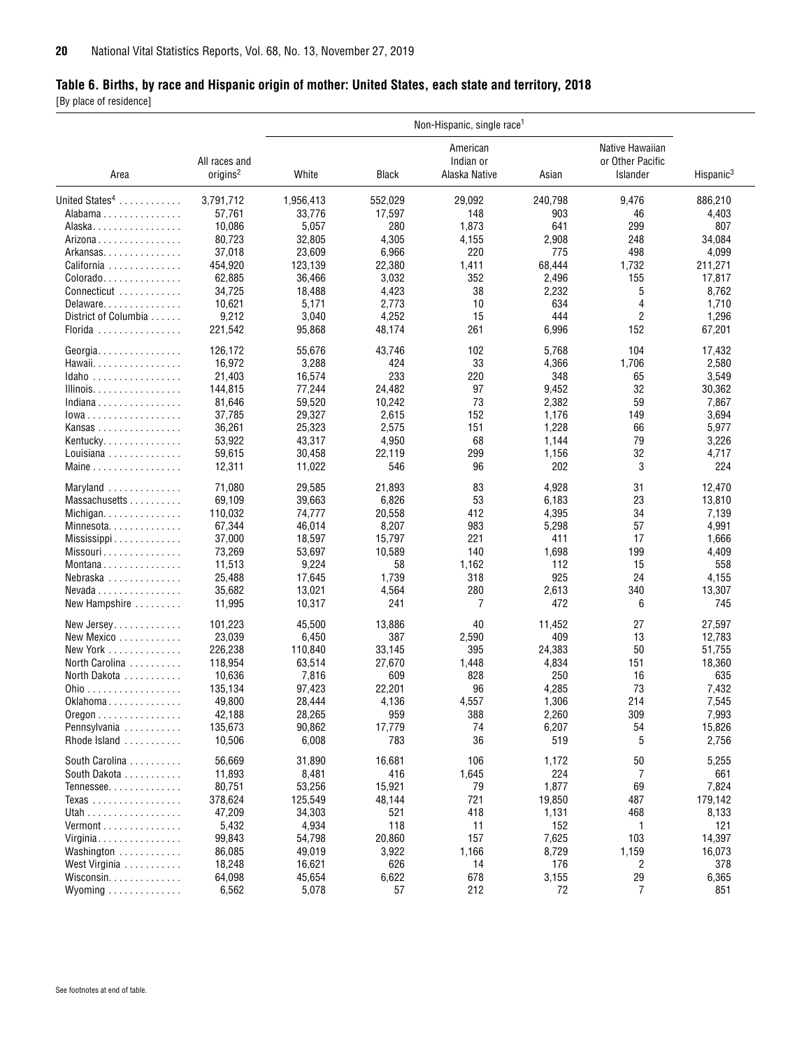#### <span id="page-19-0"></span>**Table 6. Births, by race and Hispanic origin of mother: United States, each state and territory, 2018**

[By place of residence]

|                                                 |                                       |           |              | Non-Hispanic, single race <sup>1</sup> |         |                                                 |                       |
|-------------------------------------------------|---------------------------------------|-----------|--------------|----------------------------------------|---------|-------------------------------------------------|-----------------------|
| Area                                            | All races and<br>origins <sup>2</sup> | White     | <b>Black</b> | American<br>Indian or<br>Alaska Native | Asian   | Native Hawaiian<br>or Other Pacific<br>Islander | Hispanic <sup>3</sup> |
| United States <sup>4</sup>                      | 3,791,712                             | 1,956,413 | 552,029      | 29,092                                 | 240,798 | 9,476                                           | 886,210               |
| Alabama                                         | 57,761                                | 33,776    | 17,597       | 148                                    | 903     | 46                                              | 4,403                 |
| Alaska                                          | 10,086                                | 5,057     | 280          | 1,873                                  | 641     | 299                                             | 807                   |
| Arizona                                         | 80,723                                | 32,805    | 4,305        | 4,155                                  | 2,908   | 248                                             | 34,084                |
| Arkansas                                        | 37,018                                | 23,609    | 6,966        | 220                                    | 775     | 498                                             | 4,099                 |
| California                                      | 454,920                               | 123,139   | 22,380       | 1,411                                  | 68,444  | 1,732                                           | 211,271               |
| $\text{Colorado} \dots \dots \dots \dots \dots$ | 62,885                                | 36,466    | 3,032        | 352                                    | 2,496   | 155                                             | 17,817                |
| Connecticut                                     | 34,725                                | 18,488    | 4,423        | 38                                     | 2,232   | 5                                               | 8,762                 |
| Delaware                                        | 10,621                                | 5,171     | 2,773        | 10                                     | 634     | 4                                               | 1,710                 |
| District of Columbia                            | 9,212                                 | 3,040     | 4,252        | 15                                     | 444     | $\overline{c}$                                  | 1,296                 |
| Florida                                         | 221,542                               | 95,868    | 48,174       | 261                                    | 6,996   | 152                                             | 67,201                |
|                                                 |                                       |           |              |                                        |         |                                                 |                       |
| Georgia                                         | 126,172                               | 55,676    | 43,746       | 102                                    | 5,768   | 104                                             | 17,432                |
| Hawaii                                          | 16,972                                | 3,288     | 424          | 33                                     | 4,366   | 1,706                                           | 2,580                 |
| Idaho                                           | 21,403                                | 16,574    | 233          | 220                                    | 348     | 65                                              | 3,549                 |
| Illinois.                                       | 144.815                               | 77,244    | 24,482       | 97                                     | 9,452   | 32                                              | 30,362                |
| Indiana                                         | 81,646                                | 59,520    | 10,242       | 73                                     | 2,382   | 59                                              | 7,867                 |
| $lowa$                                          | 37,785                                | 29,327    | 2,615        | 152                                    | 1,176   | 149                                             | 3,694                 |
| Kansas                                          | 36,261                                | 25,323    | 2,575        | 151                                    | 1,228   | 66                                              | 5,977                 |
| Kentucky                                        | 53,922                                | 43,317    | 4,950        | 68                                     | 1,144   | 79                                              | 3,226                 |
| Louisiana $\ldots \ldots \ldots \ldots$         | 59,615                                | 30,458    | 22,119       | 299                                    | 1,156   | 32                                              | 4,717                 |
| Maine                                           | 12,311                                | 11,022    | 546          | 96                                     | 202     | 3                                               | 224                   |
| Maryland                                        | 71,080                                | 29,585    | 21,893       | 83                                     | 4,928   | 31                                              | 12,470                |
| Massachusetts                                   | 69,109                                | 39,663    | 6,826        | 53                                     | 6,183   | 23                                              | 13,810                |
| Michigan                                        | 110,032                               | 74,777    | 20,558       | 412                                    | 4,395   | 34                                              | 7,139                 |
| Minnesota                                       | 67,344                                | 46,014    | 8,207        | 983                                    | 5,298   | 57                                              | 4,991                 |
| Mississippi                                     | 37,000                                | 18,597    | 15,797       | 221                                    | 411     | 17                                              | 1,666                 |
| Missouri                                        | 73,269                                | 53,697    | 10,589       | 140                                    | 1,698   | 199                                             | 4,409                 |
| Montana                                         | 11,513                                | 9,224     | 58           | 1,162                                  | 112     | 15                                              | 558                   |
|                                                 |                                       |           | 1,739        | 318                                    | 925     | 24                                              | 4,155                 |
| Nebraska                                        | 25,488                                | 17,645    |              |                                        |         |                                                 |                       |
| $Nevada \ldots \ldots \ldots \ldots$            | 35,682                                | 13,021    | 4,564        | 280                                    | 2,613   | 340                                             | 13,307                |
| New Hampshire                                   | 11,995                                | 10,317    | 241          | 7                                      | 472     | 6                                               | 745                   |
| New Jersey                                      | 101,223                               | 45,500    | 13,886       | 40                                     | 11,452  | 27                                              | 27,597                |
| New Mexico                                      | 23,039                                | 6,450     | 387          | 2,590                                  | 409     | 13                                              | 12,783                |
| New York                                        | 226,238                               | 110,840   | 33,145       | 395                                    | 24,383  | 50                                              | 51,755                |
| North Carolina                                  | 118,954                               | 63,514    | 27,670       | 1,448                                  | 4,834   | 151                                             | 18,360                |
| North Dakota                                    | 10,636                                | 7,816     | 609          | 828                                    | 250     | 16                                              | 635                   |
| <u>Ohio</u>                                     | 135.134                               | 97,423    | 22,201       | 96                                     | 4,285   | 73                                              | 7,432                 |
| Oklahoma                                        | 49,800                                | 28,444    | 4,136        | 4,557                                  | 1,306   | 214                                             | 7,545                 |
| $0$ regon $\ldots \ldots \ldots \ldots$         | 42,188                                | 28,265    | 959          | 388                                    | 2,260   | 309                                             | 7,993                 |
| Pennsylvania                                    | 135,673                               | 90,862    | 17,779       | 74                                     | 6,207   | 54                                              | 15,826                |
| Rhode Island                                    | 10,506                                | 6,008     | 783          | 36                                     | 519     | 5                                               | 2,756                 |
| South Carolina                                  | 56,669                                | 31,890    | 16,681       | 106                                    | 1,172   | 50                                              | 5,255                 |
| South Dakota                                    | 11,893                                | 8,481     | 416          | 1,645                                  | 224     | 7                                               | 661                   |
| Tennessee                                       | 80,751                                | 53,256    | 15,921       | 79                                     | 1,877   | 69                                              | 7,824                 |
| Texas                                           | 378,624                               | 125,549   | 48,144       | 721                                    | 19,850  | 487                                             | 179,142               |
| Utah                                            | 47,209                                | 34,303    | 521          | 418                                    | 1,131   | 468                                             | 8,133                 |
| $Vermont$                                       | 5,432                                 | 4,934     | 118          | 11                                     | 152     | 1                                               | 121                   |
| Virginia                                        | 99,843                                | 54,798    | 20,860       | 157                                    | 7,625   | 103                                             | 14,397                |
| Washington                                      | 86,085                                | 49,019    |              | 1,166                                  | 8,729   | 1,159                                           |                       |
|                                                 |                                       |           | 3,922        |                                        |         |                                                 | 16,073                |
| West Virginia                                   | 18,248                                | 16,621    | 626          | 14                                     | 176     | 2                                               | 378                   |
| Wisconsin.                                      | 64,098                                | 45,654    | 6,622        | 678                                    | 3,155   | 29                                              | 6,365                 |
| Wyoming                                         | 6,562                                 | 5,078     | 57           | 212                                    | 72      | $\overline{7}$                                  | 851                   |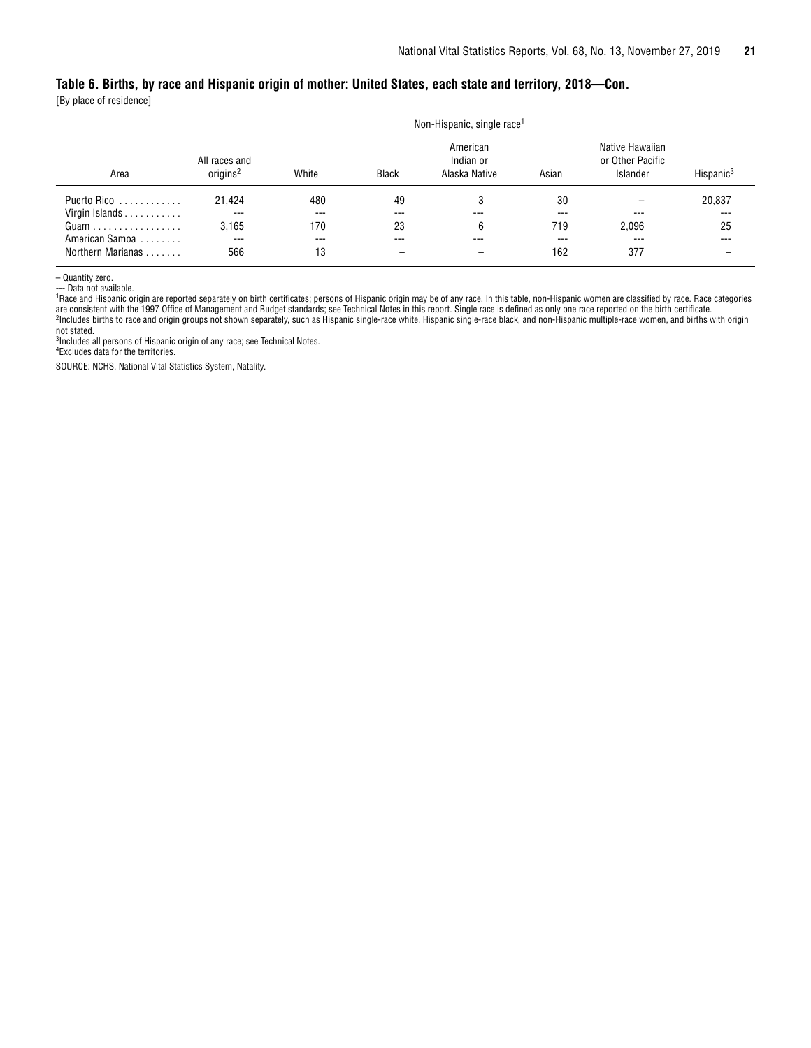#### **Table 6. Births, by race and Hispanic origin of mother: United States, each state and territory, 2018—Con.**

[By place of residence]

|                   |                                        | Non-Hispanic, single race <sup>1</sup> |              |                                        |       |                                                        |                       |  |  |
|-------------------|----------------------------------------|----------------------------------------|--------------|----------------------------------------|-------|--------------------------------------------------------|-----------------------|--|--|
| Area              | All races and<br>original <sup>2</sup> | White                                  | <b>Black</b> | American<br>Indian or<br>Alaska Native | Asian | Native Hawaiian<br>or Other Pacific<br><b>Islander</b> | Hispanic <sup>3</sup> |  |  |
| Puerto Rico       | 21,424                                 | 480                                    | 49           | 3                                      | 30    |                                                        | 20,837                |  |  |
| Virgin Islands    | $---$                                  | $---$                                  | $---$        | $- - -$                                | $---$ | ---                                                    | $---$                 |  |  |
|                   | 3.165                                  | 170                                    | 23           | 6                                      | 719   | 2.096                                                  | 25                    |  |  |
| American Samoa    | $---$                                  | $---$                                  | $---$        | ---                                    | ---   | $---$                                                  |                       |  |  |
| Northern Marianas | 566                                    | 13                                     |              |                                        | 162   | 377                                                    |                       |  |  |

– Quantity zero.

--- Data not available.

1Race and Hispanic origin are reported separately on birth certificates; persons of Hispanic origin may be of any race. In this table, non-Hispanic women are classified by race. Race categories are consistent with the 1997 Office of Management and Budget standards; see Technical Notes in this report. Single race is defined as only one race reported on the birth certificate.<br><sup>2</sup>Includes births to race and origin g

not stated. 3Includes all persons of Hispanic origin of any race; see Technical Notes.

4Excludes data for the territories.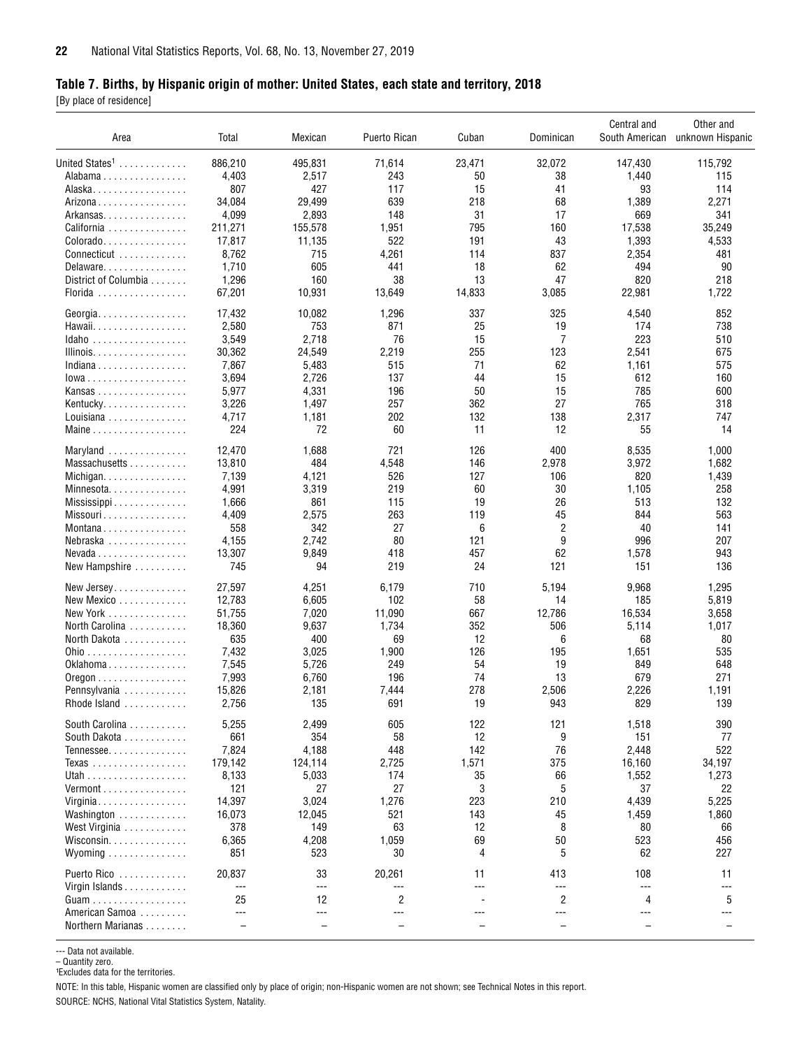#### <span id="page-21-0"></span>**Table 7. Births, by Hispanic origin of mother: United States, each state and territory, 2018**

[By place of residence]

| Area                       | Total        | Mexican                  | Puerto Rican             | Cuban     | Dominican                | Central and              | Other and<br>South American unknown Hispanic |
|----------------------------|--------------|--------------------------|--------------------------|-----------|--------------------------|--------------------------|----------------------------------------------|
| United States <sup>1</sup> | 886,210      | 495,831                  | 71,614                   | 23,471    | 32,072                   | 147,430                  | 115,792                                      |
| Alabama                    | 4,403        | 2,517                    | 243                      | 50        | 38                       | 1,440                    | 115                                          |
| Alaska.                    | 807          | 427                      | 117                      | 15        | 41                       | 93                       | 114                                          |
| Arizona                    | 34,084       | 29,499                   | 639                      | 218       | 68                       | 1,389                    | 2,271                                        |
| Arkansas                   | 4,099        | 2,893                    | 148                      | 31        | 17                       | 669                      | 341                                          |
| California                 | 211,271      | 155,578                  | 1,951                    | 795       | 160                      | 17,538                   | 35,249                                       |
| Colorado                   | 17,817       | 11,135                   | 522                      | 191       | 43                       | 1,393                    | 4,533                                        |
| Connecticut                | 8,762        | 715                      | 4,261                    | 114       | 837                      | 2,354                    | 481                                          |
| Delaware                   | 1,710        | 605                      | 441                      | 18        | 62                       | 494                      | 90                                           |
| District of Columbia       | 1,296        | 160                      | 38                       | 13        | 47                       | 820                      | 218                                          |
| Florida                    | 67,201       | 10,931                   | 13,649                   | 14,833    | 3,085                    | 22,981                   | 1,722                                        |
| Georgia.                   | 17,432       | 10,082                   | 1,296                    | 337       | 325                      | 4,540                    | 852                                          |
| Hawaii.                    | 2,580        | 753                      | 871                      | 25        | 19                       | 174                      | 738                                          |
| Idaho                      | 3,549        | 2,718                    | 76                       | 15        | 7                        | 223                      | 510                                          |
| Illinois.                  | 30,362       | 24,549                   | 2,219                    | 255       | 123                      | 2,541                    | 675                                          |
| Indiana                    | 7,867        | 5,483                    | 515                      | 71        | 62                       | 1,161                    | 575                                          |
| $Iowa$                     | 3,694        | 2,726                    | 137                      | 44        | 15                       | 612                      | 160                                          |
|                            | 5,977        | 4,331                    | 196                      | 50        | 15                       | 785                      | 600                                          |
| Kansas                     | 3,226        |                          | 257                      | 362       | 27                       | 765                      | 318                                          |
| Kentucky.                  |              | 1,497                    |                          |           |                          |                          |                                              |
| Louisiana<br>Maine         | 4,717<br>224 | 1,181<br>72              | 202<br>60                | 132<br>11 | 138<br>12                | 2,317<br>55              | 747<br>14                                    |
|                            |              |                          |                          |           |                          |                          |                                              |
| Maryland                   | 12,470       | 1,688                    | 721                      | 126       | 400                      | 8,535                    | 1,000                                        |
| Massachusetts              | 13,810       | 484                      | 4,548                    | 146       | 2,978                    | 3,972                    | 1,682                                        |
| Michigan                   | 7,139        | 4,121                    | 526                      | 127       | 106                      | 820                      | 1,439                                        |
| Minnesota                  | 4,991        | 3,319                    | 219                      | 60        | 30                       | 1,105                    | 258                                          |
| Mississippi                | 1,666        | 861                      | 115                      | 19        | 26                       | 513                      | 132                                          |
| Missouri                   | 4,409        | 2,575                    | 263                      | 119       | 45                       | 844                      | 563                                          |
| Montana                    | 558          | 342                      | 27                       | 6         | 2                        | 40                       | 141                                          |
| Nebraska                   | 4,155        | 2,742                    | 80                       | 121       | 9                        | 996                      | 207                                          |
| Nevada                     | 13,307       | 9,849                    | 418                      | 457       | 62                       | 1,578                    | 943                                          |
| New Hampshire              | 745          | 94                       | 219                      | 24        | 121                      | 151                      | 136                                          |
| New Jersey                 | 27,597       | 4,251                    | 6,179                    | 710       | 5,194                    | 9,968                    | 1,295                                        |
| New Mexico                 | 12,783       | 6,605                    | 102                      | 58        | 14                       | 185                      | 5,819                                        |
| New York                   | 51,755       | 7,020                    | 11,090                   | 667       | 12,786                   | 16,534                   | 3,658                                        |
| North Carolina             | 18,360       | 9,637                    | 1,734                    | 352       | 506                      | 5,114                    | 1,017                                        |
| North Dakota               | 635          | 400                      | 69                       | 12        | 6                        | 68                       | 80                                           |
|                            | 7,432        | 3,025                    | 1,900                    | 126       | 195                      | 1,651                    | 535                                          |
| Oklahoma                   | 7,545        | 5,726                    | 249                      | 54        | 19                       | 849                      | 648                                          |
| $0$ regon                  | 7,993        | 6,760                    | 196                      | 74        | 13                       | 679                      | 271                                          |
| Pennsylvania               | 15,826       | 2,181                    | 7,444                    | 278       | 2,506                    | 2,226                    | 1,191                                        |
| Rhode Island               | 2,756        | 135                      | 691                      | 19        | 943                      | 829                      | 139                                          |
| South Carolina             | 5,255        | 2,499                    | 605                      | 122       | 121                      | 1,518                    | 390                                          |
| South Dakota               | 661          | 354                      | 58                       | 12        | 9                        | 151                      | 77                                           |
| Tennessee                  | 7,824        | 4,188                    | 448                      | 142       | 76                       | 2,448                    | 522                                          |
| Texas                      | 179,142      | 124,114                  | 2,725                    | 1,571     | 375                      | 16,160                   | 34,197                                       |
|                            | 8,133        | 5,033                    | 174                      | 35        | 66                       | 1,552                    | 1,273                                        |
| Vermont                    | 121          | 27                       | 27                       | 3         | 5                        | 37                       | 22                                           |
| Virginia                   | 14,397       | 3,024                    | 1,276                    | 223       | 210                      | 4,439                    | 5,225                                        |
| Washington                 | 16,073       | 12,045                   | 521                      | 143       | 45                       | 1,459                    | 1,860                                        |
| West Virginia              | 378          | 149                      | 63                       | 12        | 8                        | 80                       | 66                                           |
| Wisconsin                  | 6,365        | 4,208                    | 1,059                    | 69        | 50                       | 523                      | 456                                          |
| Wyoming                    | 851          | 523                      | 30                       | 4         | 5                        | 62                       | 227                                          |
| Puerto Rico                | 20,837       | 33                       | 20,261                   | 11        | 413                      | 108                      | 11                                           |
| Virgin Islands             | $---$<br>25  | $---$<br>12              | ---<br>$\overline{2}$    | $---$     | $---$<br>$\overline{2}$  | $---$<br>4               | $---$<br>5                                   |
| American Samoa             | $---$        | $---$                    | $---$                    | $---$     | $---$                    | $---$                    | ---                                          |
|                            |              |                          |                          |           |                          |                          |                                              |
| Northern Marianas          |              | $\overline{\phantom{0}}$ | $\overline{\phantom{0}}$ |           | $\overline{\phantom{0}}$ | $\overline{\phantom{0}}$ |                                              |

--- Data not available.

– Quantity zero.<br>1Excludes data for the territories.

NOTE: In this table, Hispanic women are classified only by place of origin; non-Hispanic women are not shown; see Technical Notes in this report.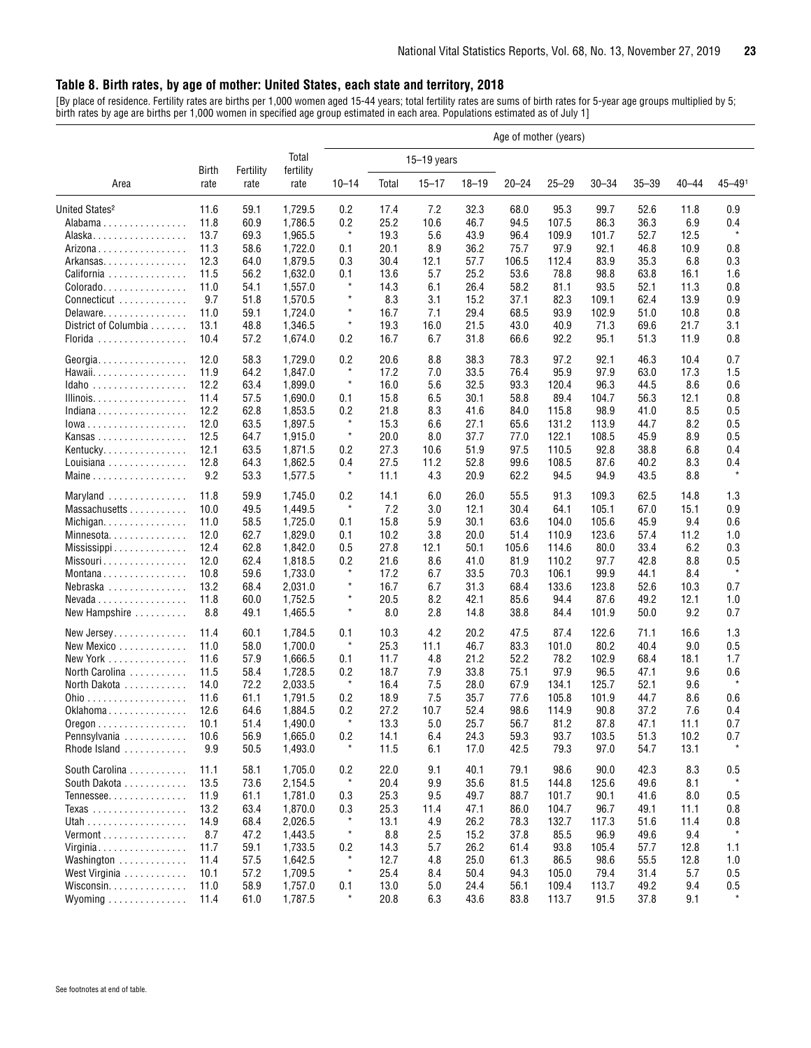#### <span id="page-22-0"></span>**Table 8. Birth rates, by age of mother: United States, each state and territory, 2018**

[By place of residence. Fertility rates are births per 1,000 women aged 15-44 years; total fertility rates are sums of birth rates for 5-year age groups multiplied by 5; birth rates by age are births per 1,000 women in specified age group estimated in each area. Populations estimated as of July 1]

|                                                |       |           | Age of mother (years) |                |       |               |           |           |           |           |           |           |            |
|------------------------------------------------|-------|-----------|-----------------------|----------------|-------|---------------|-----------|-----------|-----------|-----------|-----------|-----------|------------|
|                                                | Birth | Fertility | Total<br>fertility    |                |       | $15-19$ years |           |           |           |           |           |           |            |
| Area                                           | rate  | rate      | rate                  | $10 - 14$      | Total | $15 - 17$     | $18 - 19$ | $20 - 24$ | $25 - 29$ | $30 - 34$ | $35 - 39$ | $40 - 44$ | $45 - 491$ |
| United States <sup>2</sup>                     | 11.6  | 59.1      | 1,729.5               | 0.2            | 17.4  | 7.2           | 32.3      | 68.0      | 95.3      | 99.7      | 52.6      | 11.8      | 0.9        |
| Alabama                                        | 11.8  | 60.9      | 1,786.5               | 0.2            | 25.2  | 10.6          | 46.7      | 94.5      | 107.5     | 86.3      | 36.3      | 6.9       | 0.4        |
| Alaska.                                        | 13.7  | 69.3      | 1,965.5               | $\ast$         | 19.3  | 5.6           | 43.9      | 96.4      | 109.9     | 101.7     | 52.7      | 12.5      | $\star$    |
| Arizona                                        | 11.3  | 58.6      | 1,722.0               | 0.1            | 20.1  | 8.9           | 36.2      | 75.7      | 97.9      | 92.1      | 46.8      | 10.9      | 0.8        |
| Arkansas                                       | 12.3  | 64.0      | 1,879.5               | 0.3            | 30.4  | 12.1          | 57.7      | 106.5     | 112.4     | 83.9      | 35.3      | 6.8       | 0.3        |
| California                                     | 11.5  | 56.2      | 1,632.0               | 0.1            | 13.6  | 5.7           | 25.2      | 53.6      | 78.8      | 98.8      | 63.8      | 16.1      | 1.6        |
| Colorado                                       | 11.0  | 54.1      | 1,557.0               | $\star$        | 14.3  | 6.1           | 26.4      | 58.2      | 81.1      | 93.5      | 52.1      | 11.3      | 0.8        |
| Connecticut                                    | 9.7   | 51.8      | 1,570.5               | $\star$        | 8.3   | 3.1           | 15.2      | 37.1      | 82.3      | 109.1     | 62.4      | 13.9      | 0.9        |
| Delaware                                       | 11.0  | 59.1      | 1,724.0               | $\star$        | 16.7  | 7.1           | 29.4      | 68.5      | 93.9      | 102.9     | 51.0      | 10.8      | 0.8        |
| District of Columbia                           | 13.1  | 48.8      | 1,346.5               | $\star$        | 19.3  | 16.0          | 21.5      | 43.0      | 40.9      | 71.3      | 69.6      | 21.7      | 3.1        |
| Florida                                        | 10.4  | 57.2      | 1,674.0               | 0.2            | 16.7  | 6.7           | 31.8      | 66.6      | 92.2      | 95.1      | 51.3      | 11.9      | 0.8        |
| Georgia                                        | 12.0  | 58.3      | 1,729.0               | 0.2            | 20.6  | 8.8           | 38.3      | 78.3      | 97.2      | 92.1      | 46.3      | 10.4      | 0.7        |
| Hawaii.                                        | 11.9  | 64.2      | 1,847.0               | $\star$        | 17.2  | 7.0           | 33.5      | 76.4      | 95.9      | 97.9      | 63.0      | 17.3      | 1.5        |
| Idaho                                          | 12.2  | 63.4      | 1,899.0               | $\ast$         | 16.0  | 5.6           | 32.5      | 93.3      | 120.4     | 96.3      | 44.5      | 8.6       | 0.6        |
| Illinois.                                      | 11.4  | 57.5      | 1,690.0               | 0.1            | 15.8  | 6.5           | 30.1      | 58.8      | 89.4      | 104.7     | 56.3      | 12.1      | 0.8        |
| Indiana                                        | 12.2  | 62.8      | 1,853.5               | 0.2            | 21.8  | 8.3           | 41.6      | 84.0      | 115.8     | 98.9      | 41.0      | 8.5       | 0.5        |
| $Iowa$                                         | 12.0  | 63.5      | 1,897.5               | $\star$        | 15.3  | 6.6           | 27.1      | 65.6      | 131.2     | 113.9     | 44.7      | 8.2       | 0.5        |
| Kansas                                         | 12.5  | 64.7      | 1,915.0               | $\star$        | 20.0  | 8.0           | 37.7      | 77.0      | 122.1     | 108.5     | 45.9      | 8.9       | 0.5        |
| Kentucky                                       | 12.1  | 63.5      | 1,871.5               | 0.2            | 27.3  | 10.6          | 51.9      | 97.5      | 110.5     | 92.8      | 38.8      | 6.8       | 0.4        |
| Louisiana                                      | 12.8  | 64.3      | 1,862.5               | 0.4            | 27.5  | 11.2          | 52.8      | 99.6      | 108.5     | 87.6      | 40.2      | 8.3       | 0.4        |
| Maine                                          | 9.2   | 53.3      | 1,577.5               | $\ast$         | 11.1  | 4.3           | 20.9      | 62.2      | 94.5      | 94.9      | 43.5      | 8.8       | $\star$    |
| Maryland                                       | 11.8  | 59.9      | 1,745.0               | 0.2            | 14.1  | 6.0           | 26.0      | 55.5      | 91.3      | 109.3     | 62.5      | 14.8      | 1.3        |
| Massachusetts                                  | 10.0  | 49.5      | 1,449.5               | $\star$        | 7.2   | 3.0           | 12.1      | 30.4      | 64.1      | 105.1     | 67.0      | 15.1      | 0.9        |
| Michigan.                                      | 11.0  | 58.5      | 1,725.0               | 0.1            | 15.8  | 5.9           | 30.1      | 63.6      | 104.0     | 105.6     | 45.9      | 9.4       | 0.6        |
| Minnesota                                      | 12.0  | 62.7      | 1,829.0               | 0.1            | 10.2  | 3.8           | 20.0      | 51.4      | 110.9     | 123.6     | 57.4      | 11.2      | 1.0        |
| Mississippi                                    | 12.4  | 62.8      | 1,842.0               | 0.5            | 27.8  | 12.1          | 50.1      | 105.6     | 114.6     | 80.0      | 33.4      | 6.2       | 0.3        |
| Missouri                                       | 12.0  | 62.4      | 1,818.5               | 0.2            | 21.6  | 8.6           | 41.0      | 81.9      | 110.2     | 97.7      | 42.8      | 8.8       | 0.5        |
| Montana                                        | 10.8  | 59.6      | 1,733.0               | $\star$        | 17.2  | 6.7           | 33.5      | 70.3      | 106.1     | 99.9      | 44.1      | 8.4       | $\star$    |
| Nebraska                                       | 13.2  | 68.4      | 2,031.0               | $\star$        | 16.7  | 6.7           | 31.3      | 68.4      | 133.6     | 123.8     | 52.6      | 10.3      | 0.7        |
| $Nevada \ldots \ldots \ldots \ldots$           | 11.8  | 60.0      | 1,752.5               | $\star$        | 20.5  | 8.2           | 42.1      | 85.6      | 94.4      | 87.6      | 49.2      | 12.1      | 1.0        |
| New Hampshire                                  | 8.8   | 49.1      | 1,465.5               | $\star$        | 8.0   | 2.8           | 14.8      | 38.8      | 84.4      | 101.9     | 50.0      | 9.2       | 0.7        |
| New Jersey                                     | 11.4  | 60.1      | 1,784.5               | 0.1            | 10.3  | 4.2           | 20.2      | 47.5      | 87.4      | 122.6     | 71.1      | 16.6      | 1.3        |
| New Mexico                                     | 11.0  | 58.0      | 1.700.0               | $\star$        | 25.3  | 11.1          | 46.7      | 83.3      | 101.0     | 80.2      | 40.4      | 9.0       | 0.5        |
| New York                                       | 11.6  | 57.9      | 1,666.5               | 0.1            | 11.7  | 4.8           | 21.2      | 52.2      | 78.2      | 102.9     | 68.4      | 18.1      | 1.7        |
| North Carolina                                 | 11.5  | 58.4      | 1,728.5               | 0.2            | 18.7  | 7.9           | 33.8      | 75.1      | 97.9      | 96.5      | 47.1      | 9.6       | 0.6        |
| North Dakota                                   | 14.0  | 72.2      | 2,033.5               | $\star$        | 16.4  | 7.5           | 28.0      | 67.9      | 134.1     | 125.7     | 52.1      | 9.6       | $\star$    |
|                                                | 11.6  | 61.1      | 1,791.5               | 0.2            | 18.9  | 7.5           | 35.7      | 77.6      | 105.8     | 101.9     | 44.7      | 8.6       | 0.6        |
| Oklahoma                                       | 12.6  | 64.6      | 1,884.5               | 0.2            | 27.2  | 10.7          | 52.4      | 98.6      | 114.9     | 90.8      | 37.2      | 7.6       | 0.4        |
| $0$ regon $\ldots \ldots \ldots \ldots \ldots$ | 10.1  | 51.4      | 1,490.0               |                | 13.3  | 5.0           | 25.7      | 56.7      | 81.2      | 87.8      | 47.1      | 11.1      | 0.f        |
| Pennsylvania                                   | 10.6  | 56.9      | 1,665.0               | 0.2            | 14.1  | 6.4           | 24.3      | 59.3      | 93.7      | 103.5     | 51.3      | 10.2      | 0.7        |
| Rhode Island                                   | 9.9   | 50.5      | 1,493.0               | $\star$        | 11.5  | 6.1           | 17.0      | 42.5      | 79.3      | 97.0      | 54.7      | 13.1      |            |
| South Carolina                                 | 11.1  | 58.1      | 1,705.0               | 0.2<br>$\star$ | 22.0  | 9.1           | 40.1      | 79.1      | 98.6      | 90.0      | 42.3      | 8.3       | 0.5        |
| South Dakota                                   | 13.5  | 73.6      | 2,154.5               |                | 20.4  | 9.9           | 35.6      | 81.5      | 144.8     | 125.6     | 49.6      | 8.1       |            |
| Tennessee                                      | 11.9  | 61.1      | 1,781.0               | 0.3            | 25.3  | 9.5           | 49.7      | 88.7      | 101.7     | 90.1      | 41.6      | 8.0       | 0.5        |
| Texas                                          | 13.2  | 63.4      | 1,870.0               | 0.3<br>$\star$ | 25.3  | 11.4          | 47.1      | 86.0      | 104.7     | 96.7      | 49.1      | 11.1      | 0.8        |
|                                                | 14.9  | 68.4      | 2,026.5               |                | 13.1  | 4.9           | 26.2      | 78.3      | 132.7     | 117.3     | 51.6      | 11.4      | 0.8        |
| Vermont                                        | 8.7   | 47.2      | 1,443.5               | $\star$        | 8.8   | 2.5           | 15.2      | 37.8      | 85.5      | 96.9      | 49.6      | 9.4       | $\star$    |
| Virginia                                       | 11.7  | 59.1      | 1,733.5               | 0.2            | 14.3  | 5.7           | 26.2      | 61.4      | 93.8      | 105.4     | 57.7      | 12.8      | 1.1        |
| Washington                                     | 11.4  | 57.5      | 1,642.5               | $\ast$         | 12.7  | 4.8           | 25.0      | 61.3      | 86.5      | 98.6      | 55.5      | 12.8      | 1.0        |
| West Virginia                                  | 10.1  | 57.2      | 1,709.5               | $\star$        | 25.4  | 8.4           | 50.4      | 94.3      | 105.0     | 79.4      | 31.4      | 5.7       | 0.5        |
| Wisconsin.                                     | 11.0  | 58.9      | 1,757.0               | 0.1            | 13.0  | 5.0           | 24.4      | 56.1      | 109.4     | 113.7     | 49.2      | 9.4       | 0.5        |
| Wyoming                                        | 11.4  | 61.0      | 1,787.5               | $\star$        | 20.8  | 6.3           | 43.6      | 83.8      | 113.7     | 91.5      | 37.8      | 9.1       | $\star$    |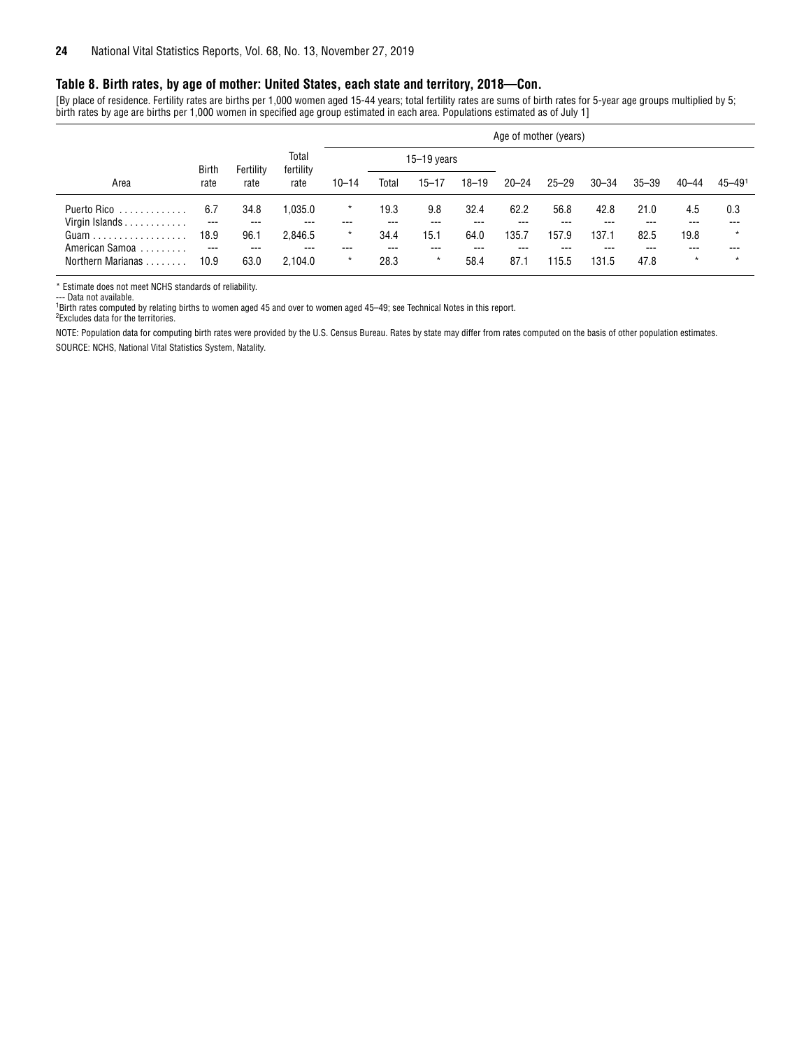#### **Table 8. Birth rates, by age of mother: United States, each state and territory, 2018—Con.**

[By place of residence. Fertility rates are births per 1,000 women aged 15-44 years; total fertility rates are sums of birth rates for 5-year age groups multiplied by 5; birth rates by age are births per 1,000 women in specified age group estimated in each area. Populations estimated as of July 1]

|                                     |               |               |                    | Age of mother (years) |             |                |             |             |              |              |             |                |                        |
|-------------------------------------|---------------|---------------|--------------------|-----------------------|-------------|----------------|-------------|-------------|--------------|--------------|-------------|----------------|------------------------|
|                                     | <b>Birth</b>  | Fertility     | Total<br>fertility |                       |             | $15-19$ years  |             |             |              |              |             |                |                        |
| Area                                | rate          | rate          | rate               | $10 - 14$             | Total       | $15 - 17$      | $18 - 19$   | $20 - 24$   | $25 - 29$    | $30 - 34$    | $35 - 39$   | $40 - 44$      | $45 - 49$ <sup>1</sup> |
| Puerto Rico<br>.<br>Virgin Islands  | 6.7<br>$---$  | 34.8<br>$---$ | .035.0<br>---      | $\star$               | 19.3<br>--- | 9.8<br>---     | 32.4<br>--- | 62.2<br>--- | 56.8<br>---  | 42.8<br>---  | 21.0<br>--- | 4.5<br>---     | 0.3<br>---             |
|                                     | 18.9          | 96.1          | 2,846.5            | $\star$               | 34.4        | 15.1           | 64.0        | 135.7       | 157.9        | 137.1        | 82.5        | 19.8           | $\star$                |
| American Samoa<br>Northern Marianas | $---$<br>10.9 | $---$<br>63.0 | ---<br>2.104.0     | ---<br>$\star$        | ---<br>28.3 | ---<br>$\star$ | ---<br>58.4 | ---<br>87.1 | ---<br>115.5 | ---<br>131.5 | ---<br>47.8 | ---<br>$\star$ | ---<br>$\star$         |

\* Estimate does not meet NCHS standards of reliability.

--- Data not available.

1 Birth rates computed by relating births to women aged 45 and over to women aged 45–49; see Technical Notes in this report.

2 Excludes data for the territories.

NOTE: Population data for computing birth rates were provided by the U.S. Census Bureau. Rates by state may differ from rates computed on the basis of other population estimates. SOURCE: NCHS, National Vital Statistics System, Natality.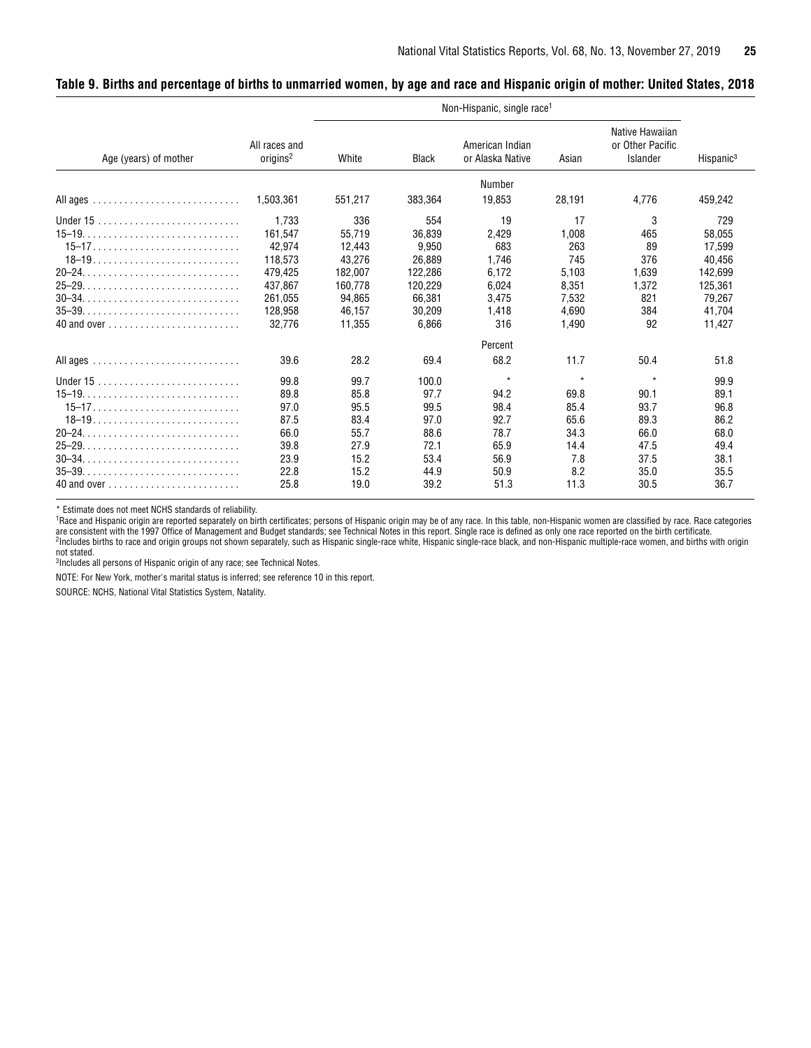<span id="page-24-0"></span>

| Table 9. Births and percentage of births to unmarried women, by age and race and Hispanic origin of mother: United States, 2018 |  |  |
|---------------------------------------------------------------------------------------------------------------------------------|--|--|
|                                                                                                                                 |  |  |

|                                                                  |                                       |         |              | Non-Hispanic, single race <sup>1</sup> |         |                                                        |                       |
|------------------------------------------------------------------|---------------------------------------|---------|--------------|----------------------------------------|---------|--------------------------------------------------------|-----------------------|
| Age (years) of mother                                            | All races and<br>origins <sup>2</sup> | White   | <b>Black</b> | American Indian<br>or Alaska Native    | Asian   | Native Hawaiian<br>or Other Pacific<br><b>Islander</b> | Hispanic <sup>3</sup> |
|                                                                  |                                       |         |              | Number                                 |         |                                                        |                       |
|                                                                  | 1,503,361                             | 551,217 | 383,364      | 19,853                                 | 28,191  | 4,776                                                  | 459,242               |
|                                                                  | 1.733                                 | 336     | 554          | 19                                     | 17      | 3                                                      | 729                   |
|                                                                  | 161.547                               | 55.719  | 36.839       | 2,429                                  | 1,008   | 465                                                    | 58,055                |
|                                                                  | 42,974                                | 12,443  | 9,950        | 683                                    | 263     | 89                                                     | 17,599                |
|                                                                  | 118.573                               | 43.276  | 26.889       | 1.746                                  | 745     | 376                                                    | 40,456                |
| $20-24$                                                          | 479,425                               | 182,007 | 122,286      | 6.172                                  | 5,103   | 1,639                                                  | 142,699               |
| $25-29$                                                          | 437.867                               | 160,778 | 120.229      | 6,024                                  | 8,351   | 1,372                                                  | 125,361               |
| $30-34.$                                                         | 261.055                               | 94.865  | 66.381       | 3,475                                  | 7,532   | 821                                                    | 79.267                |
| $35-39. \ldots \ldots \ldots \ldots \ldots \ldots \ldots \ldots$ | 128.958                               | 46.157  | 30.209       | 1,418                                  | 4.690   | 384                                                    | 41.704                |
|                                                                  | 32.776                                | 11.355  | 6.866        | 316                                    | 1.490   | 92                                                     | 11.427                |
|                                                                  |                                       |         |              | Percent                                |         |                                                        |                       |
|                                                                  | 39.6                                  | 28.2    | 69.4         | 68.2                                   | 11.7    | 50.4                                                   | 51.8                  |
|                                                                  | 99.8                                  | 99.7    | 100.0        | $\star$                                | $\star$ | $\star$                                                | 99.9                  |
| $15-19$                                                          | 89.8                                  | 85.8    | 97.7         | 94.2                                   | 69.8    | 90.1                                                   | 89.1                  |
|                                                                  | 97.0                                  | 95.5    | 99.5         | 98.4                                   | 85.4    | 93.7                                                   | 96.8                  |
| $18-19$                                                          | 87.5                                  | 83.4    | 97.0         | 92.7                                   | 65.6    | 89.3                                                   | 86.2                  |
|                                                                  | 66.0                                  | 55.7    | 88.6         | 78.7                                   | 34.3    | 66.0                                                   | 68.0                  |
|                                                                  | 39.8                                  | 27.9    | 72.1         | 65.9                                   | 14.4    | 47.5                                                   | 49.4                  |
|                                                                  | 23.9                                  | 15.2    | 53.4         | 56.9                                   | 7.8     | 37.5                                                   | 38.1                  |
| $35-39.$                                                         | 22.8                                  | 15.2    | 44.9         | 50.9                                   | 8.2     | 35.0                                                   | 35.5                  |
|                                                                  | 25.8                                  | 19.0    | 39.2         | 51.3                                   | 11.3    | 30.5                                                   | 36.7                  |

\* Estimate does not meet NCHS standards of reliability.

1Race and Hispanic origin are reported separately on birth certificates; persons of Hispanic origin may be of any race. In this table, non-Hispanic women are classified by race. Race categories are consistent with the 1997 Office of Management and Budget standards; see Technical Notes in this report. Single race is defined as only one race reported on the birth certificate.<br><sup>2</sup>Includes births to race and origin g

not stated. 3Includes all persons of Hispanic origin of any race; see Technical Notes.

NOTE: For New York, mother's marital status is inferred; see reference 10 in this report.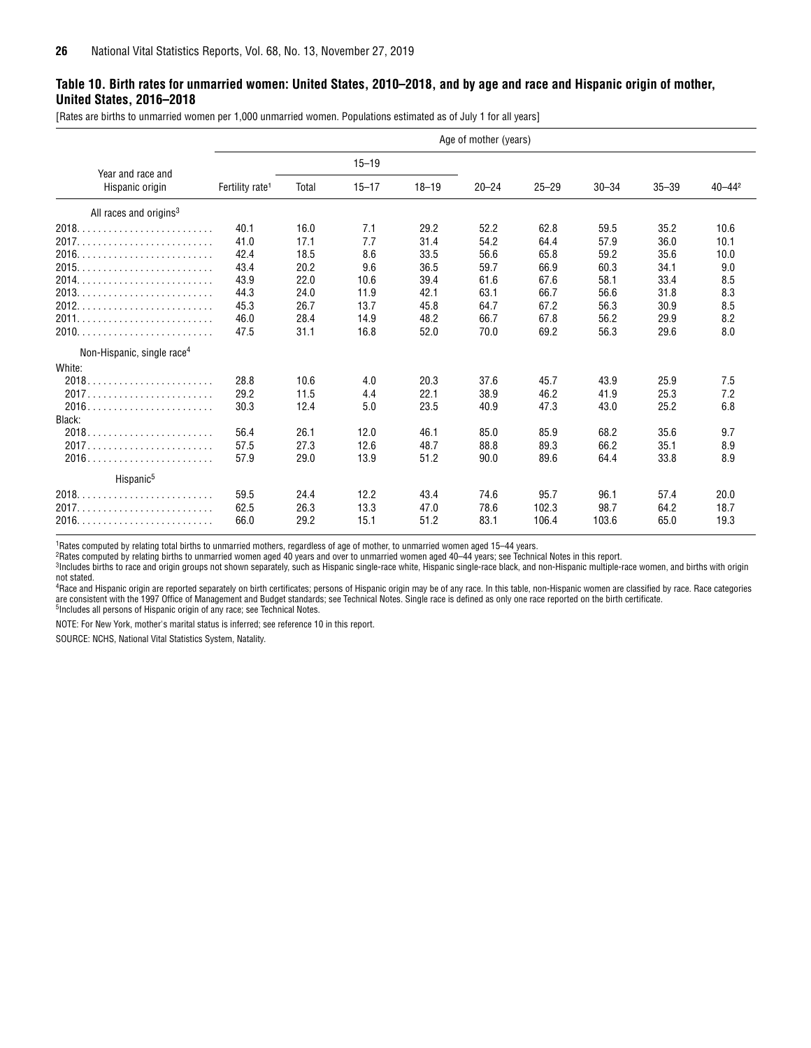#### <span id="page-25-0"></span>**Table 10. Birth rates for unmarried women: United States, 2010–2018, and by age and race and Hispanic origin of mother, United States, 2016–2018**

[Rates are births to unmarried women per 1,000 unmarried women. Populations estimated as of July 1 for all years]

|                                        |                             |       |           |           | Age of mother (years) |           |           |           |             |
|----------------------------------------|-----------------------------|-------|-----------|-----------|-----------------------|-----------|-----------|-----------|-------------|
| Year and race and                      |                             |       | $15 - 19$ |           |                       |           |           |           |             |
| Hispanic origin                        | Fertility rate <sup>1</sup> | Total | $15 - 17$ | $18 - 19$ | $20 - 24$             | $25 - 29$ | $30 - 34$ | $35 - 39$ | $40 - 44^2$ |
| All races and origins <sup>3</sup>     |                             |       |           |           |                       |           |           |           |             |
| 2018.                                  | 40.1                        | 16.0  | 7.1       | 29.2      | 52.2                  | 62.8      | 59.5      | 35.2      | 10.6        |
|                                        | 41.0                        | 17.1  | 7.7       | 31.4      | 54.2                  | 64.4      | 57.9      | 36.0      | 10.1        |
| 2016.                                  | 42.4                        | 18.5  | 8.6       | 33.5      | 56.6                  | 65.8      | 59.2      | 35.6      | 10.0        |
| 2015                                   | 43.4                        | 20.2  | 9.6       | 36.5      | 59.7                  | 66.9      | 60.3      | 34.1      | 9.0         |
| 2014                                   | 43.9                        | 22.0  | 10.6      | 39.4      | 61.6                  | 67.6      | 58.1      | 33.4      | 8.5         |
|                                        | 44.3                        | 24.0  | 11.9      | 42.1      | 63.1                  | 66.7      | 56.6      | 31.8      | 8.3         |
| 2012.                                  | 45.3                        | 26.7  | 13.7      | 45.8      | 64.7                  | 67.2      | 56.3      | 30.9      | 8.5         |
|                                        | 46.0                        | 28.4  | 14.9      | 48.2      | 66.7                  | 67.8      | 56.2      | 29.9      | 8.2         |
|                                        | 47.5                        | 31.1  | 16.8      | 52.0      | 70.0                  | 69.2      | 56.3      | 29.6      | 8.0         |
| Non-Hispanic, single race <sup>4</sup> |                             |       |           |           |                       |           |           |           |             |
| White:                                 |                             |       |           |           |                       |           |           |           |             |
| $2018$                                 | 28.8                        | 10.6  | 4.0       | 20.3      | 37.6                  | 45.7      | 43.9      | 25.9      | 7.5         |
|                                        | 29.2                        | 11.5  | 4.4       | 22.1      | 38.9                  | 46.2      | 41.9      | 25.3      | 7.2         |
|                                        | 30.3                        | 12.4  | 5.0       | 23.5      | 40.9                  | 47.3      | 43.0      | 25.2      | 6.8         |
| Black:                                 |                             |       |           |           |                       |           |           |           |             |
|                                        | 56.4                        | 26.1  | 12.0      | 46.1      | 85.0                  | 85.9      | 68.2      | 35.6      | 9.7         |
|                                        | 57.5                        | 27.3  | 12.6      | 48.7      | 88.8                  | 89.3      | 66.2      | 35.1      | 8.9         |
| $2016$                                 | 57.9                        | 29.0  | 13.9      | 51.2      | 90.0                  | 89.6      | 64.4      | 33.8      | 8.9         |
| Hispanic <sup>5</sup>                  |                             |       |           |           |                       |           |           |           |             |
| 2018.                                  | 59.5                        | 24.4  | 12.2      | 43.4      | 74.6                  | 95.7      | 96.1      | 57.4      | 20.0        |
| 2017.                                  | 62.5                        | 26.3  | 13.3      | 47.0      | 78.6                  | 102.3     | 98.7      | 64.2      | 18.7        |
|                                        | 66.0                        | 29.2  | 15.1      | 51.2      | 83.1                  | 106.4     | 103.6     | 65.0      | 19.3        |

1Rates computed by relating total births to unmarried mothers, regardless of age of mother, to unmarried women aged 15–44 years.

2Rates computed by relating births to unmarried women aged 40 years and over to unmarried women aged 40–44 years; see Technical Notes in this report.

Includes births to race and origin groups not shown separately, such as Hispanic single-race white, Hispanic single-race black, and non-Hispanic multiple-race women, and births with origin and births with origin

not stated.<br><sup>4</sup>Race and Hispanic origin are reported separately on birth certificates; persons of Hispanic origin may be of any race. In this table, non-Hispanic women are classified by race. Race categories are consistent with the 1997 Office of Management and Budget standards; see Technical Notes. Single race is defined as only one race reported on the birth certificate.<br><sup>5</sup>Includes all persons of Hispanic origin of any race

NOTE: For New York, mother's marital status is inferred; see reference 10 in this report.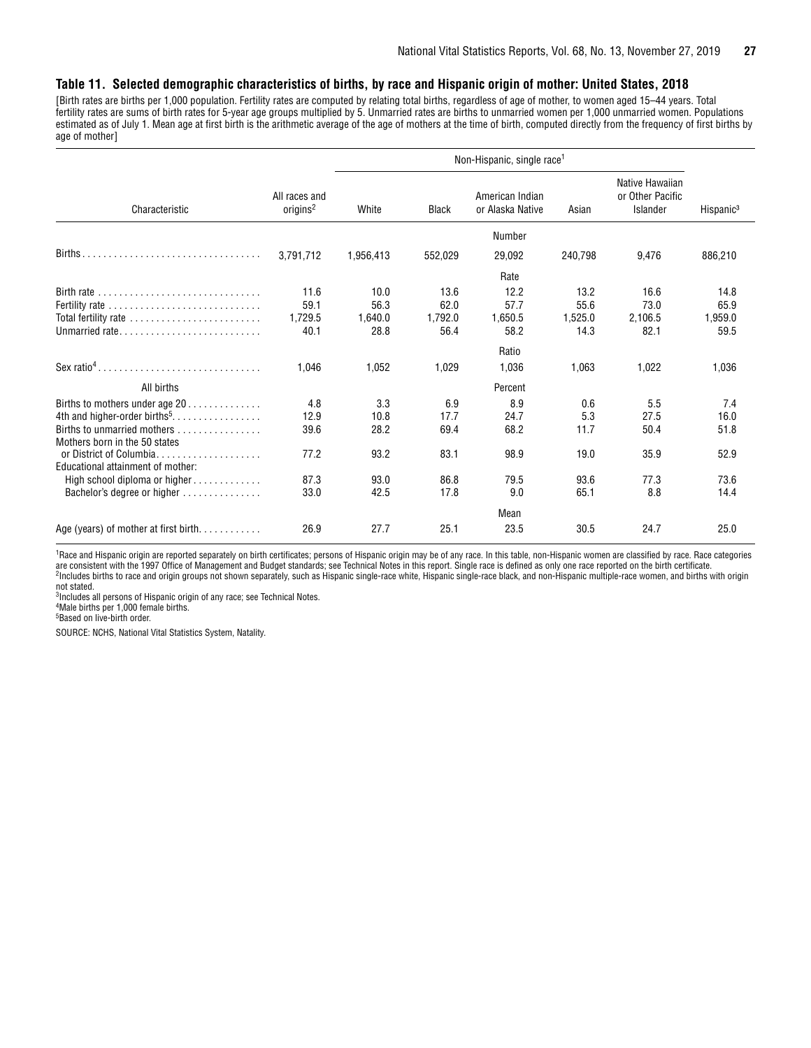#### <span id="page-26-0"></span>**Table 11. Selected demographic characteristics of births, by race and Hispanic origin of mother: United States, 2018**

[Birth rates are births per 1,000 population. Fertility rates are computed by relating total births, regardless of age of mother, to women aged 15–44 years. Total fertility rates are sums of birth rates for 5-year age groups multiplied by 5. Unmarried rates are births to unmarried women per 1,000 unmarried women. Populations estimated as of July 1. Mean age at first birth is the arithmetic average of the age of mothers at the time of birth, computed directly from the frequency of first births by age of mother]

|                                                                      |                                       |           |              | Non-Hispanic, single race <sup>1</sup> |         |                                                 |                       |
|----------------------------------------------------------------------|---------------------------------------|-----------|--------------|----------------------------------------|---------|-------------------------------------------------|-----------------------|
| Characteristic                                                       | All races and<br>origins <sup>2</sup> | White     | <b>Black</b> | American Indian<br>or Alaska Native    | Asian   | Native Hawaiian<br>or Other Pacific<br>Islander | Hispanic <sup>3</sup> |
|                                                                      |                                       |           |              | Number                                 |         |                                                 |                       |
| Births                                                               | 3,791,712                             | 1,956,413 | 552,029      | 29,092                                 | 240,798 | 9,476                                           | 886,210               |
|                                                                      |                                       |           |              | Rate                                   |         |                                                 |                       |
| Birth rate $\ldots \ldots \ldots \ldots \ldots \ldots \ldots \ldots$ | 11.6                                  | 10.0      | 13.6         | 12.2                                   | 13.2    | 16.6                                            | 14.8                  |
| Fertility rate                                                       | 59.1                                  | 56.3      | 62.0         | 57.7                                   | 55.6    | 73.0                                            | 65.9                  |
| Total fertility rate                                                 | 1,729.5                               | 1,640.0   | 1,792.0      | 1,650.5                                | 1,525.0 | 2,106.5                                         | 1,959.0               |
|                                                                      | 40.1                                  | 28.8      | 56.4         | 58.2                                   | 14.3    | 82.1                                            | 59.5                  |
|                                                                      |                                       |           |              | Ratio                                  |         |                                                 |                       |
| Sex ratio <sup>4</sup>                                               | 1,046                                 | 1,052     | 1,029        | 1,036                                  | 1,063   | 1,022                                           | 1,036                 |
| All births                                                           |                                       |           |              | Percent                                |         |                                                 |                       |
| Births to mothers under age 20                                       | 4.8                                   | 3.3       | 6.9          | 8.9                                    | 0.6     | 5.5                                             | 7.4                   |
|                                                                      | 12.9                                  | 10.8      | 17.7         | 24.7                                   | 5.3     | 27.5                                            | 16.0                  |
| Births to unmarried mothers                                          | 39.6                                  | 28.2      | 69.4         | 68.2                                   | 11.7    | 50.4                                            | 51.8                  |
| Mothers born in the 50 states                                        |                                       |           |              |                                        |         |                                                 |                       |
| or District of Columbia.<br>.                                        | 77.2                                  | 93.2      | 83.1         | 98.9                                   | 19.0    | 35.9                                            | 52.9                  |
| Educational attainment of mother:                                    |                                       |           |              |                                        |         |                                                 |                       |
| High school diploma or higher                                        | 87.3                                  | 93.0      | 86.8         | 79.5                                   | 93.6    | 77.3                                            | 73.6                  |
| Bachelor's degree or higher                                          | 33.0                                  | 42.5      | 17.8         | 9.0                                    | 65.1    | 8.8                                             | 14.4                  |
|                                                                      |                                       |           |              | Mean                                   |         |                                                 |                       |
| Age (years) of mother at first birth                                 | 26.9                                  | 27.7      | 25.1         | 23.5                                   | 30.5    | 24.7                                            | 25.0                  |

<sup>1</sup>Race and Hispanic origin are reported separately on birth certificates; persons of Hispanic origin may be of any race. In this table, non-Hispanic women are classified by race. Race categories are consistent with the 1997 Office of Management and Budget standards; see Technical Notes in this report. Single race is defined as only one race reported on the birth certificate. 2 Includes births to race and origin groups not shown separately, such as Hispanic single-race white, Hispanic single-race black, and non-Hispanic multiple-race women, and births with origin not stated.

3 Includes all persons of Hispanic origin of any race; see Technical Notes.

4 Male births per 1,000 female births.

5 Based on live-birth order.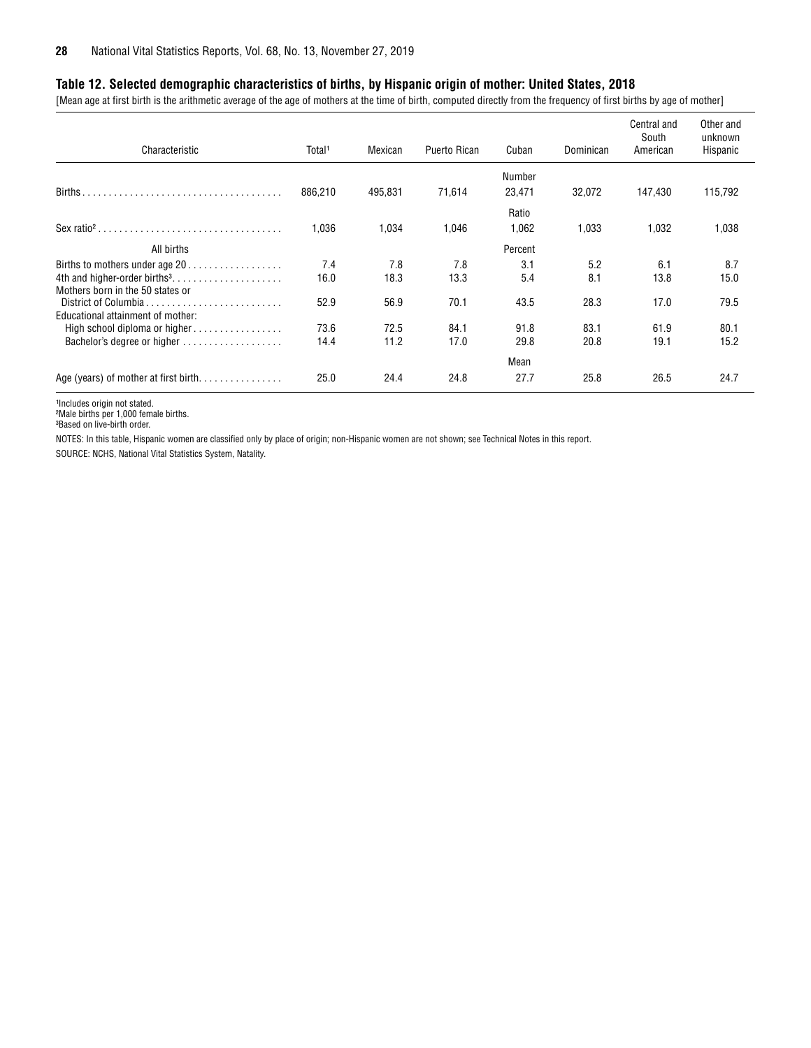#### <span id="page-27-0"></span>**Table 12. Selected demographic characteristics of births, by Hispanic origin of mother: United States, 2018**

[Mean age at first birth is the arithmetic average of the age of mothers at the time of birth, computed directly from the frequency of first births by age of mother]

| Characteristic                                                               | Total <sup>1</sup> | Mexican | Puerto Rican | Cuban   | Dominican | Central and<br>South<br>American | Other and<br>unknown<br>Hispanic |
|------------------------------------------------------------------------------|--------------------|---------|--------------|---------|-----------|----------------------------------|----------------------------------|
|                                                                              |                    |         |              | Number  |           |                                  |                                  |
| Births.                                                                      | 886,210            | 495,831 | 71,614       | 23,471  | 32,072    | 147,430                          | 115,792                          |
|                                                                              |                    |         |              | Ratio   |           |                                  |                                  |
|                                                                              | 1,036              | 1,034   | 1,046        | 1,062   | 1,033     | 1,032                            | 1,038                            |
| All births                                                                   |                    |         |              | Percent |           |                                  |                                  |
| Births to mothers under age 20                                               | 7.4                | 7.8     | 7.8          | 3.1     | 5.2       | 6.1                              | 8.7                              |
| 4th and higher-order births <sup>3</sup><br>Mothers born in the 50 states or | 16.0               | 18.3    | 13.3         | 5.4     | 8.1       | 13.8                             | 15.0                             |
| District of Columbia                                                         | 52.9               | 56.9    | 70.1         | 43.5    | 28.3      | 17.0                             | 79.5                             |
| Educational attainment of mother:                                            |                    |         |              |         |           |                                  |                                  |
| High school diploma or higher                                                | 73.6               | 72.5    | 84.1         | 91.8    | 83.1      | 61.9                             | 80.1                             |
| Bachelor's degree or higher                                                  | 14.4               | 11.2    | 17.0         | 29.8    | 20.8      | 19.1                             | 15.2                             |
|                                                                              |                    |         |              | Mean    |           |                                  |                                  |
| Age (years) of mother at first birth                                         | 25.0               | 24.4    | 24.8         | 27.7    | 25.8      | 26.5                             | 24.7                             |

1Includes origin not stated.

²Male births per 1,000 female births.

³Based on live-birth order.

NOTES: In this table, Hispanic women are classified only by place of origin; non-Hispanic women are not shown; see Technical Notes in this report.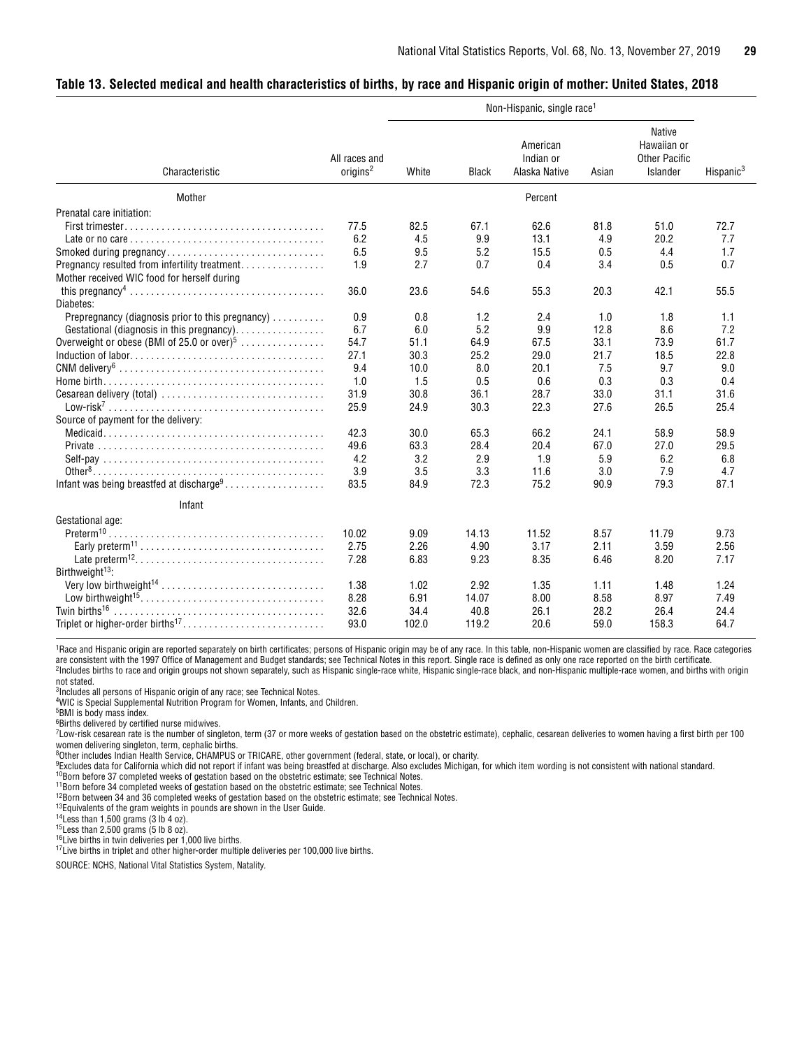#### <span id="page-28-0"></span>**Table 13. Selected medical and health characteristics of births, by race and Hispanic origin of mother: United States, 2018**

|                                                                                               |                                       |       |              | Non-Hispanic, single race <sup>1</sup> |       |                                                                  |                       |
|-----------------------------------------------------------------------------------------------|---------------------------------------|-------|--------------|----------------------------------------|-------|------------------------------------------------------------------|-----------------------|
| Characteristic                                                                                | All races and<br>origins <sup>2</sup> | White | <b>Black</b> | American<br>Indian or<br>Alaska Native | Asian | <b>Native</b><br>Hawaiian or<br><b>Other Pacific</b><br>Islander | Hispanic <sup>3</sup> |
| Mother                                                                                        |                                       |       |              | Percent                                |       |                                                                  |                       |
| Prenatal care initiation:                                                                     |                                       |       |              |                                        |       |                                                                  |                       |
|                                                                                               | 77.5                                  | 82.5  | 67.1         | 62.6                                   | 81.8  | 51.0                                                             | 72.7                  |
|                                                                                               | 6.2                                   | 4.5   | 9.9          | 13.1                                   | 4.9   | 20.2                                                             | 7.7                   |
| Smoked during pregnancy                                                                       | 6.5                                   | 9.5   | 5.2          | 15.5                                   | 0.5   | 4.4                                                              | 1.7                   |
| Pregnancy resulted from infertility treatment.<br>Mother received WIC food for herself during | 1.9                                   | 2.7   | 0.7          | 0.4                                    | 3.4   | 0.5                                                              | 0.7                   |
| Diabetes:                                                                                     | 36.0                                  | 23.6  | 54.6         | 55.3                                   | 20.3  | 42.1                                                             | 55.5                  |
| Prepregnancy (diagnosis prior to this pregnancy)                                              | 0.9                                   | 0.8   | 1.2          | 2.4                                    | 1.0   | 1.8                                                              | 1.1                   |
| Gestational (diagnosis in this pregnancy).                                                    | 6.7                                   | 6.0   | 5.2          | 9.9                                    | 12.8  | 8.6                                                              | 7.2                   |
| Overweight or obese (BMI of 25.0 or over) <sup>5</sup>                                        | 54.7                                  | 51.1  | 64.9         | 67.5                                   | 33.1  | 73.9                                                             | 61.7                  |
|                                                                                               | 27.1                                  | 30.3  | 25.2         | 29.0                                   | 21.7  | 18.5                                                             | 22.8                  |
|                                                                                               | 9.4                                   | 10.0  | 8.0          | 20.1                                   | 7.5   | 9.7                                                              | 9.0                   |
|                                                                                               | 1.0                                   | 1.5   | 0.5          | 0.6                                    | 0.3   | 0.3                                                              | 0.4                   |
| Cesarean delivery (total)                                                                     | 31.9                                  | 30.8  | 36.1         | 28.7                                   | 33.0  | 31.1                                                             | 31.6                  |
|                                                                                               | 25.9                                  | 24.9  | 30.3         | 22.3                                   | 27.6  | 26.5                                                             | 25.4                  |
| Source of payment for the delivery:                                                           |                                       |       |              |                                        |       |                                                                  |                       |
|                                                                                               | 42.3                                  | 30.0  | 65.3         | 66.2                                   | 24.1  | 58.9                                                             | 58.9                  |
|                                                                                               | 49.6                                  | 63.3  | 28.4         | 20.4                                   | 67.0  | 27.0                                                             | 29.5                  |
|                                                                                               | 4.2                                   | 3.2   | 2.9          | 1.9                                    | 5.9   | 6.2                                                              | 6.8                   |
|                                                                                               | 3.9                                   | 3.5   | 3.3          | 11.6                                   | 3.0   | 7.9                                                              | 4.7                   |
| Infant was being breastfed at discharge <sup>9</sup>                                          | 83.5                                  | 84.9  | 72.3         | 75.2                                   | 90.9  | 79.3                                                             | 87.1                  |
| Infant                                                                                        |                                       |       |              |                                        |       |                                                                  |                       |
| Gestational age:                                                                              |                                       |       |              |                                        |       |                                                                  |                       |
| Preterm <sup>10</sup>                                                                         | 10.02                                 | 9.09  | 14.13        | 11.52                                  | 8.57  | 11.79                                                            | 9.73                  |
|                                                                                               | 2.75                                  | 2.26  | 4.90         | 3.17                                   | 2.11  | 3.59                                                             | 2.56                  |
|                                                                                               | 7.28                                  | 6.83  | 9.23         | 8.35                                   | 6.46  | 8.20                                                             | 7.17                  |
| Birthweight <sup>13</sup> :                                                                   |                                       |       |              |                                        |       |                                                                  |                       |
| Very low birthweight <sup>14</sup>                                                            | 1.38                                  | 1.02  | 2.92         | 1.35                                   | 1.11  | 1.48                                                             | 1.24                  |
|                                                                                               | 8.28                                  | 6.91  | 14.07        | 8.00                                   | 8.58  | 8.97                                                             | 7.49                  |
|                                                                                               | 32.6                                  | 34.4  | 40.8         | 26.1                                   | 28.2  | 26.4                                                             | 24.4                  |
| Triplet or higher-order births <sup>17</sup>                                                  | 93.0                                  | 102.0 | 119.2        | 20.6                                   | 59.0  | 158.3                                                            | 64.7                  |

<sup>1</sup>Race and Hispanic origin are reported separately on birth certificates; persons of Hispanic origin may be of any race. In this table, non-Hispanic women are classified by race. Race categories are consistent with the 1997 Office of Management and Budget standards; see Technical Notes in this report. Single race is defined as only one race reported on the birth certificate. 2 Includes births to race and origin groups not shown separately, such as Hispanic single-race white, Hispanic single-race black, and non-Hispanic multiple-race women, and births with origin not stated.

3 Includes all persons of Hispanic origin of any race; see Technical Notes.

<sup>4</sup>WIC is Special Supplemental Nutrition Program for Women, Infants, and Children.

5 BMI is body mass index.

6 Births delivered by certified nurse midwives.

 $T_{\text{Low-risk}}$  cesarean rate is the number of singleton, term (37 or more weeks of gestation based on the obstetric estimate), cephalic, cesarean deliveries to women having a first birth per 100 women delivering singleton, term, cephalic births.

<sup>8</sup>Other includes Indian Health Service, CHAMPUS or TRICARE, other government (federal, state, or local), or charity.<br><sup>9</sup>Excludes data for California which did not report if infant was being breastfed at discharge. Also ex

<sup>10</sup>Born before 37 completed weeks of gestation based on the obstetric estimate; see Technical Notes.

11Born before 34 completed weeks of gestation based on the obstetric estimate; see Technical Notes.

<sup>12</sup>Born between 34 and 36 completed weeks of gestation based on the obstetric estimate; see Technical Notes.

<sup>13</sup>Equivalents of the gram weights in pounds are shown in the User Guide.

 $14$  Less than 1,500 grams (3 lb 4 oz).

 $15$ Less than 2,500 grams (5 lb 8 oz).

 $16$ Live births in twin deliveries per 1,000 live births.

17Live births in triplet and other higher-order multiple deliveries per 100,000 live births.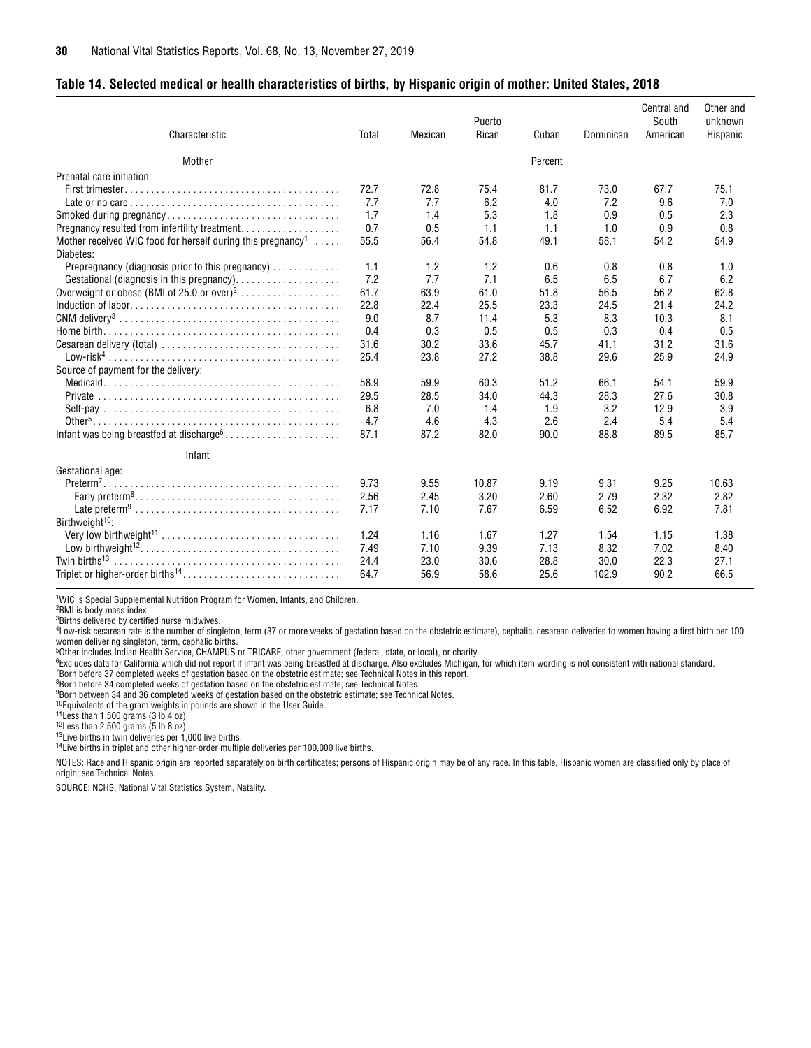#### <span id="page-29-0"></span>**Table 14. Selected medical or health characteristics of births, by Hispanic origin of mother: United States, 2018**

| Characteristic                                                                       | Total | Mexican | Puerto<br>Rican | Cuban   | Dominican | Central and<br>South<br>American | Other and<br>unknown<br>Hispanic |
|--------------------------------------------------------------------------------------|-------|---------|-----------------|---------|-----------|----------------------------------|----------------------------------|
|                                                                                      |       |         |                 |         |           |                                  |                                  |
| Mother                                                                               |       |         |                 | Percent |           |                                  |                                  |
| Prenatal care initiation:                                                            |       |         |                 |         |           |                                  |                                  |
|                                                                                      | 72.7  | 72.8    | 75.4            | 81.7    | 73.0      | 67.7                             | 75.1                             |
|                                                                                      | 7.7   | 7.7     | 6.2             | 4.0     | 7.2       | 9.6                              | 7.0                              |
|                                                                                      | 1.7   | 1.4     | 5.3             | 1.8     | 0.9       | 0.5                              | 2.3                              |
| Pregnancy resulted from infertility treatment.                                       | 0.7   | 0.5     | 1.1             | 1.1     | 1.0       | 0.9                              | 0.8                              |
| Mother received WIC food for herself during this pregnancy <sup>1</sup><br>Diabetes: | 55.5  | 56.4    | 54.8            | 49.1    | 58.1      | 54.2                             | 54.9                             |
| Prepregnancy (diagnosis prior to this pregnancy)                                     | 1.1   | 1.2     | 1.2             | 0.6     | 0.8       | 0.8                              | 1.0                              |
|                                                                                      | 7.2   | 7.7     | 7.1             | 6.5     | 6.5       | 6.7                              | 6.2                              |
| Overweight or obese (BMI of 25.0 or over) <sup>2</sup>                               | 61.7  | 63.9    | 61.0            | 51.8    | 56.5      | 56.2                             | 62.8                             |
|                                                                                      | 22.8  | 22.4    | 25.5            | 23.3    | 24.5      | 21.4                             | 24.2                             |
|                                                                                      | 9.0   | 8.7     | 11.4            | 5.3     | 8.3       | 10.3                             | 8.1                              |
|                                                                                      | 0.4   | 0.3     | 0.5             | 0.5     | 0.3       | 0.4                              | 0.5                              |
|                                                                                      | 31.6  | 30.2    | 33.6            | 45.7    | 41.1      | 31.2                             | 31.6                             |
|                                                                                      | 25.4  | 23.8    | 27.2            | 38.8    | 29.6      | 25.9                             | 24.9                             |
| Source of payment for the delivery:                                                  |       |         |                 |         |           |                                  |                                  |
|                                                                                      | 58.9  | 59.9    | 60.3            | 51.2    | 66.1      | 54.1                             | 59.9                             |
|                                                                                      | 29.5  | 28.5    | 34.0            | 44.3    | 28.3      | 27.6                             | 30.8                             |
|                                                                                      | 6.8   | 7.0     | 1.4             | 1.9     | 3.2       | 12.9                             | 3.9                              |
|                                                                                      | 4.7   | 4.6     | 4.3             | 2.6     | 2.4       | 5.4                              | 5.4                              |
| Infant was being breastfed at discharge <sup>6</sup>                                 | 87.1  | 87.2    | 82.0            | 90.0    | 88.8      | 89.5                             | 85.7                             |
| Infant                                                                               |       |         |                 |         |           |                                  |                                  |
| Gestational age:                                                                     |       |         |                 |         |           |                                  |                                  |
| $Preterm7$ .                                                                         | 9.73  | 9.55    | 10.87           | 9.19    | 9.31      | 9.25                             | 10.63                            |
|                                                                                      | 2.56  | 2.45    | 3.20            | 2.60    | 2.79      | 2.32                             | 2.82                             |
|                                                                                      | 7.17  | 7.10    | 7.67            | 6.59    | 6.52      | 6.92                             | 7.81                             |
| Birthweight <sup>10</sup> :                                                          |       |         |                 |         |           |                                  |                                  |
|                                                                                      | 1.24  | 1.16    | 1.67            | 1.27    | 1.54      | 1.15                             | 1.38                             |
|                                                                                      | 7.49  | 7.10    | 9.39            | 7.13    | 8.32      | 7.02                             | 8.40                             |
| Twin births <sup>13</sup>                                                            | 24.4  | 23.0    | 30.6            | 28.8    | 30.0      | 22.3                             | 27.1                             |
| Triplet or higher-order births <sup>14</sup>                                         | 64.7  | 56.9    | 58.6            | 25.6    | 102.9     | 90.2                             | 66.5                             |

1WIC is Special Supplemental Nutrition Program for Women, Infants, and Children.

2BMI is body mass index.

3Births delivered by certified nurse midwives.

4Low-risk cesarean rate is the number of singleton, term (37 or more weeks of gestation based on the obstetric estimate), cephalic, cesarean deliveries to women having a first birth per 100 women delivering singleton, term, cephalic births.

5Other includes Indian Health Service, CHAMPUS or TRICARE, other government (federal, state, or local), or charity.

<sup>6</sup>Excludes data for California which did not report if infant was being breastfed at discharge. Also excludes Michigan, for which item wording is not consistent with national standard.

7Born before 37 completed weeks of gestation based on the obstetric estimate; see Technical Notes in this report.

<sup>8</sup>Born before 34 completed weeks of gestation based on the obstetric estimate; see Technical Notes.

9Born between 34 and 36 completed weeks of gestation based on the obstetric estimate; see Technical Notes.

<sup>10</sup>Equivalents of the gram weights in pounds are shown in the User Guide.

 $11$ Less than 1,500 grams (3 lb 4 oz).

 $12$ Less than 2,500 grams (5 lb 8 oz).

<sup>13</sup>Live births in twin deliveries per 1,000 live births.

<sup>14</sup>Live births in triplet and other higher-order multiple deliveries per 100,000 live births.

NOTES: Race and Hispanic origin are reported separately on birth certificates; persons of Hispanic origin may be of any race. In this table, Hispanic women are classified only by place of origin; see Technical Notes.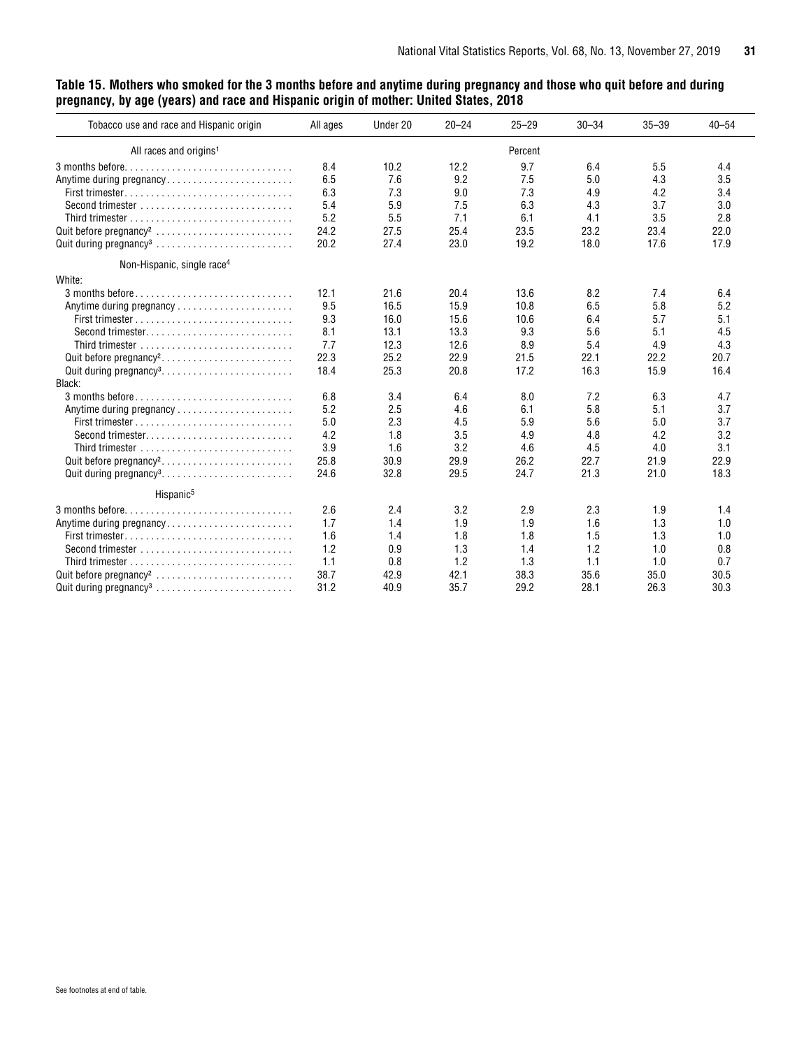#### <span id="page-30-0"></span>**Table 15. Mothers who smoked for the 3 months before and anytime during pregnancy and those who quit before and during pregnancy, by age (years) and race and Hispanic origin of mother: United States, 2018**

| Tobacco use and race and Hispanic origin | All ages | Under 20 | $20 - 24$ | $25 - 29$ | $30 - 34$ | $35 - 39$ | $40 - 54$ |
|------------------------------------------|----------|----------|-----------|-----------|-----------|-----------|-----------|
| All races and origins <sup>1</sup>       |          |          |           | Percent   |           |           |           |
|                                          | 8.4      | 10.2     | 12.2      | 9.7       | 6.4       | 5.5       | 4.4       |
| Anytime during pregnancy                 | 6.5      | 7.6      | 9.2       | 7.5       | 5.0       | 4.3       | 3.5       |
|                                          | 6.3      | 7.3      | 9.0       | 7.3       | 4.9       | 4.2       | 3.4       |
| Second trimester                         | 5.4      | 5.9      | 7.5       | 6.3       | 4.3       | 3.7       | 3.0       |
|                                          | 5.2      | 5.5      | 7.1       | 6.1       | 4.1       | 3.5       | 2.8       |
|                                          | 24.2     | 27.5     | 25.4      | 23.5      | 23.2      | 23.4      | 22.0      |
|                                          | 20.2     | 27.4     | 23.0      | 19.2      | 18.0      | 17.6      | 17.9      |
| Non-Hispanic, single race <sup>4</sup>   |          |          |           |           |           |           |           |
| White:                                   |          |          |           |           |           |           |           |
|                                          | 12.1     | 21.6     | 20.4      | 13.6      | 8.2       | 7.4       | 6.4       |
| Anytime during pregnancy                 | 9.5      | 16.5     | 15.9      | 10.8      | 6.5       | 5.8       | 5.2       |
|                                          | 9.3      | 16.0     | 15.6      | 10.6      | 6.4       | 5.7       | 5.1       |
|                                          | 8.1      | 13.1     | 13.3      | 9.3       | 5.6       | 5.1       | 4.5       |
|                                          | 7.7      | 12.3     | 12.6      | 8.9       | 5.4       | 4.9       | 4.3       |
| Quit before pregnancy <sup>2</sup>       | 22.3     | 25.2     | 22.9      | 21.5      | 22.1      | 22.2      | 20.7      |
|                                          | 18.4     | 25.3     | 20.8      | 17.2      | 16.3      | 15.9      | 16.4      |
| Black:                                   |          |          |           |           |           |           |           |
| 3 months before                          | 6.8      | 3.4      | 6.4       | 8.0       | 7.2       | 6.3       | 4.7       |
| Anytime during pregnancy                 | 5.2      | 2.5      | 4.6       | 6.1       | 5.8       | 5.1       | 3.7       |
|                                          | 5.0      | 2.3      | 4.5       | 5.9       | 5.6       | 5.0       | 3.7       |
|                                          | 4.2      | 1.8      | 3.5       | 4.9       | 4.8       | 4.2       | 3.2       |
|                                          | 3.9      | 1.6      | 3.2       | 4.6       | 4.5       | 4.0       | 3.1       |
| Quit before pregnancy <sup>2</sup>       | 25.8     | 30.9     | 29.9      | 26.2      | 22.7      | 21.9      | 22.9      |
| Quit during pregnancy <sup>3</sup>       | 24.6     | 32.8     | 29.5      | 24.7      | 21.3      | 21.0      | 18.3      |
| Hispanic <sup>5</sup>                    |          |          |           |           |           |           |           |
|                                          | 2.6      | 2.4      | 3.2       | 2.9       | 2.3       | 1.9       | 1.4       |
| Anytime during pregnancy                 | 1.7      | 1.4      | 1.9       | 1.9       | 1.6       | 1.3       | 1.0       |
|                                          | 1.6      | 1.4      | 1.8       | 1.8       | 1.5       | 1.3       | 1.0       |
|                                          | 1.2      | 0.9      | 1.3       | 1.4       | 1.2       | 1.0       | 0.8       |
|                                          | 1.1      | 0.8      | 1.2       | 1.3       | 1.1       | 1.0       | 0.7       |
|                                          | 38.7     | 42.9     | 42.1      | 38.3      | 35.6      | 35.0      | 30.5      |
|                                          | 31.2     | 40.9     | 35.7      | 29.2      | 28.1      | 26.3      | 30.3      |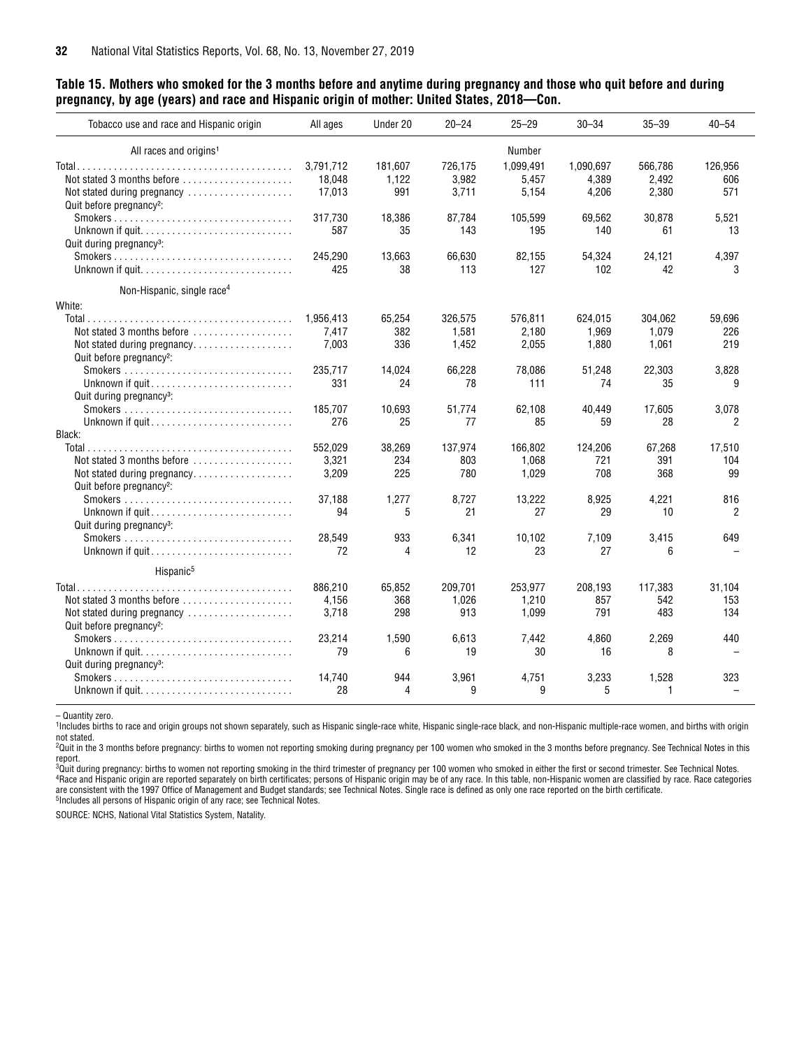#### **Table 15. Mothers who smoked for the 3 months before and anytime during pregnancy and those who quit before and during pregnancy, by age (years) and race and Hispanic origin of mother: United States, 2018—Con.**

| Tobacco use and race and Hispanic origin                                         | All ages  | Under 20 | $20 - 24$ | $25 - 29$     | $30 - 34$ | $35 - 39$    | $40 - 54$ |
|----------------------------------------------------------------------------------|-----------|----------|-----------|---------------|-----------|--------------|-----------|
| All races and origins <sup>1</sup>                                               |           |          |           | <b>Number</b> |           |              |           |
|                                                                                  | 3,791,712 | 181,607  | 726,175   | 1,099,491     | 1,090,697 | 566,786      | 126,956   |
| Not stated 3 months before                                                       | 18,048    | 1,122    | 3,982     | 5,457         | 4,389     | 2,492        | 606       |
| Not stated during pregnancy                                                      | 17,013    | 991      | 3,711     | 5,154         | 4,206     | 2,380        | 571       |
| Quit before pregnancy <sup>2</sup> :                                             |           |          |           |               |           |              |           |
|                                                                                  | 317.730   | 18.386   | 87.784    | 105.599       | 69.562    | 30.878       | 5.521     |
|                                                                                  | 587       | 35       | 143       | 195           | 140       | 61           | 13        |
| Quit during pregnancy <sup>3</sup> :                                             |           |          |           |               |           |              |           |
| $Smokes \dots \dots \dots \dots \dots \dots \dots \dots \dots \dots \dots \dots$ | 245,290   | 13,663   | 66,630    | 82,155        | 54,324    | 24,121       | 4,397     |
|                                                                                  | 425       | 38       | 113       | 127           | 102       | 42           | 3         |
| Non-Hispanic, single race <sup>4</sup>                                           |           |          |           |               |           |              |           |
| White:                                                                           |           |          |           |               |           |              |           |
|                                                                                  | 1,956,413 | 65,254   | 326,575   | 576,811       | 624,015   | 304.062      | 59.696    |
| Not stated 3 months before $\ldots, \ldots, \ldots, \ldots$                      | 7,417     | 382      | 1,581     | 2.180         | 1,969     | 1.079        | 226       |
| Not stated during pregnancy                                                      | 7,003     | 336      | 1,452     | 2,055         | 1,880     | 1,061        | 219       |
| Quit before pregnancy <sup>2</sup> :                                             |           |          |           |               |           |              |           |
|                                                                                  | 235,717   | 14.024   | 66,228    | 78,086        | 51,248    | 22,303       | 3,828     |
| Unknown if guit                                                                  | 331       | 24       | 78        | 111           | 74        | 35           | 9         |
| Quit during pregnancy <sup>3</sup> :                                             |           |          |           |               |           |              |           |
|                                                                                  | 185.707   | 10.693   | 51.774    | 62.108        | 40.449    | 17.605       | 3,078     |
| Unknown if quit                                                                  | 276       | 25       | 77        | 85            | 59        | 28           | 2         |
| Black:                                                                           |           |          |           |               |           |              |           |
|                                                                                  | 552,029   | 38,269   | 137,974   | 166.802       | 124,206   | 67,268       | 17,510    |
| Not stated 3 months before $\ldots, \ldots, \ldots, \ldots$                      | 3,321     | 234      | 803       | 1.068         | 721       | 391          | 104       |
| Not stated during pregnancy                                                      | 3,209     | 225      | 780       | 1,029         | 708       | 368          | 99        |
| Quit before pregnancy <sup>2</sup> :                                             |           |          |           |               |           |              |           |
|                                                                                  | 37,188    | 1,277    | 8,727     | 13,222        | 8,925     | 4,221        | 816       |
|                                                                                  | 94        | 5        | 21        | 27            | 29        | 10           | 2         |
| Quit during pregnancy <sup>3</sup> :                                             |           |          |           |               |           |              |           |
|                                                                                  | 28,549    | 933      | 6,341     | 10,102        | 7,109     | 3,415        | 649       |
|                                                                                  | 72        | 4        | 12        | 23            | 27        | 6            |           |
| Hispanic <sup>5</sup>                                                            |           |          |           |               |           |              |           |
|                                                                                  | 886,210   | 65,852   | 209,701   | 253,977       | 208,193   | 117,383      | 31,104    |
| Not stated 3 months before                                                       | 4,156     | 368      | 1,026     | 1,210         | 857       | 542          | 153       |
| Not stated during pregnancy                                                      | 3,718     | 298      | 913       | 1,099         | 791       | 483          | 134       |
| Quit before pregnancy <sup>2</sup> :                                             |           |          |           |               |           |              |           |
|                                                                                  | 23,214    | 1,590    | 6.613     | 7.442         | 4.860     | 2,269        | 440       |
|                                                                                  | 79        | 6        | 19        | 30            | 16        | 8            |           |
| Quit during pregnancy <sup>3</sup> :                                             |           |          |           |               |           |              |           |
| $Smokes \dots \dots \dots \dots \dots \dots \dots \dots \dots \dots \dots \dots$ | 14.740    | 944      | 3,961     | 4,751         | 3,233     | 1,528        | 323       |
|                                                                                  | 28        | 4        | 9         | 9             | 5         | $\mathbf{1}$ |           |
|                                                                                  |           |          |           |               |           |              |           |

– Quantity zero.

1Includes births to race and origin groups not shown separately, such as Hispanic single-race white, Hispanic single-race black, and non-Hispanic multiple-race women, and births with origin not stated.

<sup>2</sup>Quit in the 3 months before pregnancy: births to women not reporting smoking during pregnancy per 100 women who smoked in the 3 months before pregnancy. See Technical Notes in this report.

 $^3$ Quit during pregnancy: births to women not reporting smoking in the third trimester of pregnancy per 100 women who smoked in either the first or second trimester. See Technical Notes. 4Race and Hispanic origin are reported separately on birth certificates; persons of Hispanic origin may be of any race. In this table, non-Hispanic women are classified by race. Race categories are consistent with the 1997 Office of Management and Budget standards; see Technical Notes. Single race is defined as only one race reported on the birth certificate.<br><sup>5</sup>Includes all persons of Hispanic origin of any race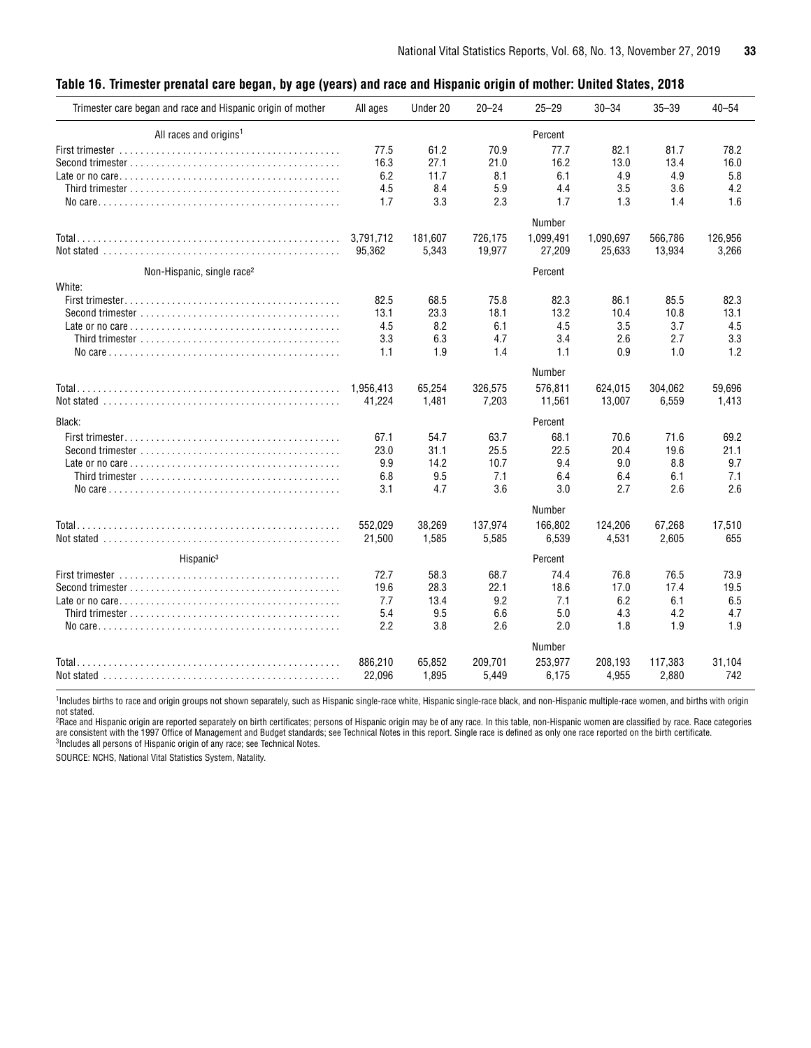#### <span id="page-32-0"></span>**Table 16. Trimester prenatal care began, by age (years) and race and Hispanic origin of mother: United States, 2018**

| Trimester care began and race and Hispanic origin of mother                                       | All ages  | Under 20 | $20 - 24$ | $25 - 29$ | $30 - 34$ | $35 - 39$ | $40 - 54$ |
|---------------------------------------------------------------------------------------------------|-----------|----------|-----------|-----------|-----------|-----------|-----------|
| All races and origins <sup>1</sup>                                                                |           |          |           | Percent   |           |           |           |
|                                                                                                   | 77.5      | 61.2     | 70.9      | 77.7      | 82.1      | 81.7      | 78.2      |
|                                                                                                   | 16.3      | 27.1     | 21.0      | 16.2      | 13.0      | 13.4      | 16.0      |
|                                                                                                   | 6.2       | 11.7     | 8.1       | 6.1       | 4.9       | 4.9       | 5.8       |
|                                                                                                   | 4.5       | 8.4      | 5.9       | 4.4       | 3.5       | 3.6       | 4.2       |
|                                                                                                   | 1.7       | 3.3      | 2.3       | 1.7       | 1.3       | 1.4       | 1.6       |
|                                                                                                   |           |          |           | Number    |           |           |           |
|                                                                                                   | 3,791,712 | 181,607  | 726,175   | 1,099,491 | 1,090,697 | 566,786   | 126,956   |
|                                                                                                   | 95,362    | 5,343    | 19,977    | 27,209    | 25,633    | 13,934    | 3,266     |
| Non-Hispanic, single race <sup>2</sup>                                                            |           |          |           | Percent   |           |           |           |
| White:                                                                                            |           |          |           |           |           |           |           |
|                                                                                                   | 82.5      | 68.5     | 75.8      | 82.3      | 86.1      | 85.5      | 82.3      |
| Second trimester $\ldots, \ldots, \ldots, \ldots, \ldots, \ldots, \ldots, \ldots, \ldots, \ldots$ | 13.1      | 23.3     | 18.1      | 13.2      | 10.4      | 10.8      | 13.1      |
|                                                                                                   | 4.5       | 8.2      | 6.1       | 4.5       | 3.5       | 3.7       | 4.5       |
|                                                                                                   | 3.3       | 6.3      | 4.7       | 3.4       | 2.6       | 2.7       | 3.3       |
|                                                                                                   | 1.1       | 1.9      | 1.4       | 1.1       | 0.9       | 1.0       | 1.2       |
|                                                                                                   |           |          |           | Number    |           |           |           |
|                                                                                                   | 1,956,413 | 65,254   | 326,575   | 576,811   | 624,015   | 304,062   | 59,696    |
|                                                                                                   | 41,224    | 1,481    | 7,203     | 11,561    | 13,007    | 6,559     | 1,413     |
| Black:                                                                                            |           |          |           | Percent   |           |           |           |
|                                                                                                   | 67.1      | 54.7     | 63.7      | 68.1      | 70.6      | 71.6      | 69.2      |
|                                                                                                   | 23.0      | 31.1     | 25.5      | 22.5      | 20.4      | 19.6      | 21.1      |
|                                                                                                   | 9.9       | 14.2     | 10.7      | 9.4       | 9.0       | 8.8       | 9.7       |
|                                                                                                   | 6.8       | 9.5      | 7.1       | 6.4       | 6.4       | 6.1       | 7.1       |
|                                                                                                   | 3.1       | 4.7      | 3.6       | 3.0       | 2.7       | 2.6       | 2.6       |
|                                                                                                   |           |          |           | Number    |           |           |           |
|                                                                                                   | 552,029   | 38,269   | 137,974   | 166,802   | 124,206   | 67,268    | 17,510    |
|                                                                                                   | 21,500    | 1,585    | 5,585     | 6,539     | 4,531     | 2,605     | 655       |
| Hispanic <sup>3</sup>                                                                             |           |          |           | Percent   |           |           |           |
|                                                                                                   | 72.7      | 58.3     | 68.7      | 74.4      | 76.8      | 76.5      | 73.9      |
|                                                                                                   | 19.6      | 28.3     | 22.1      | 18.6      | 17.0      | 17.4      | 19.5      |
|                                                                                                   | 7.7       | 13.4     | 9.2       | 7.1       | 6.2       | 6.1       | 6.5       |
|                                                                                                   | 5.4       | 9.5      | 6.6       | 5.0       | 4.3       | 4.2       | 4.7       |
|                                                                                                   | 2.2       | 3.8      | 2.6       | 2.0       | 1.8       | 1.9       | 1.9       |
|                                                                                                   |           |          |           | Number    |           |           |           |
|                                                                                                   | 886.210   | 65.852   | 209.701   | 253.977   | 208.193   | 117.383   | 31.104    |
|                                                                                                   | 22,096    | 1,895    | 5,449     | 6,175     | 4,955     | 2,880     | 742       |
|                                                                                                   |           |          |           |           |           |           |           |

<sup>1</sup>Includes births to race and origin groups not shown separately, such as Hispanic single-race white, Hispanic single-race black, and non-Hispanic multiple-race women, and births with origin

not stated.<br><sup>2</sup>Race and Hispanic origin are reported separately on birth certificates; persons of Hispanic origin may be of any race. In this table, non-Hispanic women are classified by race. Race categories are consistent with the 1997 Office of Management and Budget standards; see Technical Notes in this report. Single race is defined as only one race reported on the birth certificate.<br><sup>3</sup>Includes all persons of Hispanic ori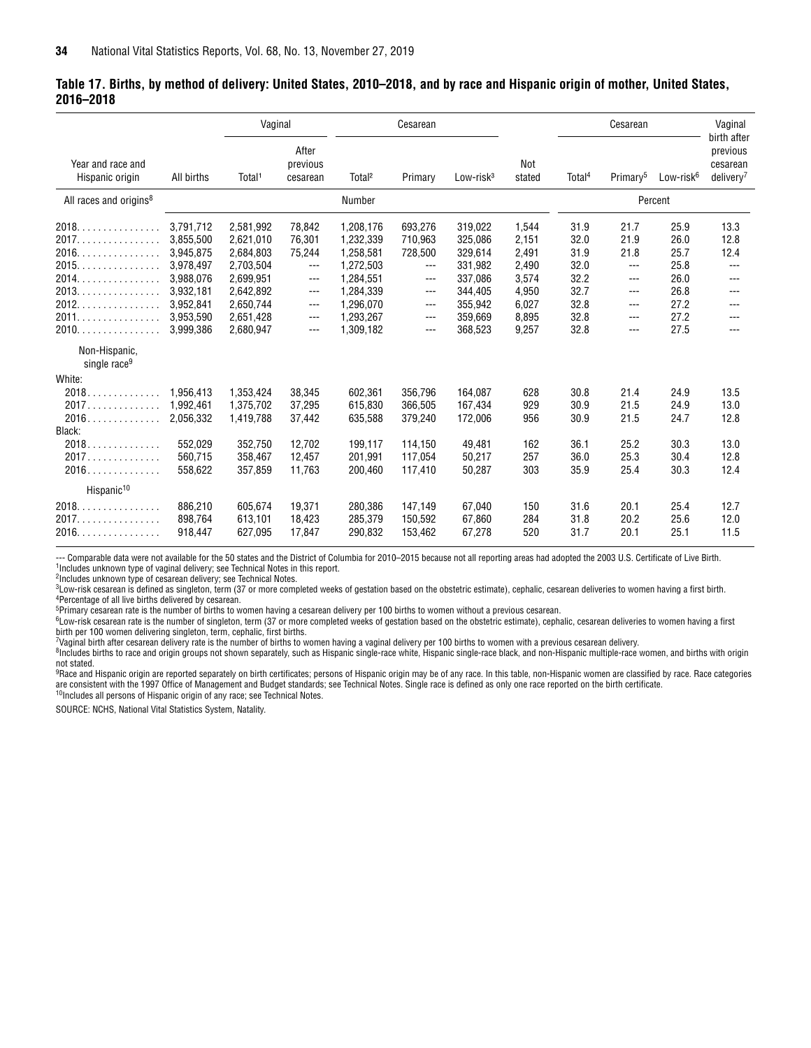#### <span id="page-33-0"></span>**Table 17. Births, by method of delivery: United States, 2010–2018, and by race and Hispanic origin of mother, United States, 2016–2018**

|                                                                                              |                                                                                                                   | Vaginal                                                                                                           |                                                                                                          |                                                                                                                   | Cesarean                                                                        |                                                                                                 |                                                                               |                                                                      | Cesarean                                                             |                                                                      | Vaginal<br>birth after                                    |
|----------------------------------------------------------------------------------------------|-------------------------------------------------------------------------------------------------------------------|-------------------------------------------------------------------------------------------------------------------|----------------------------------------------------------------------------------------------------------|-------------------------------------------------------------------------------------------------------------------|---------------------------------------------------------------------------------|-------------------------------------------------------------------------------------------------|-------------------------------------------------------------------------------|----------------------------------------------------------------------|----------------------------------------------------------------------|----------------------------------------------------------------------|-----------------------------------------------------------|
| Year and race and<br>Hispanic origin                                                         | All births                                                                                                        | Total <sup>1</sup>                                                                                                | After<br>previous<br>cesarean                                                                            | Total <sup>2</sup>                                                                                                | Primary                                                                         | Low-risk <sup>3</sup>                                                                           | Not<br>stated                                                                 | Total <sup>4</sup>                                                   | Primary <sup>5</sup>                                                 | Low-risk <sup>6</sup>                                                | previous<br>cesarean<br>deliverv <sup>7</sup>             |
| All races and origins <sup>8</sup>                                                           |                                                                                                                   |                                                                                                                   |                                                                                                          | Number                                                                                                            |                                                                                 |                                                                                                 |                                                                               |                                                                      |                                                                      | Percent                                                              |                                                           |
| 2018.<br>2017.<br>.<br>2016.<br>.<br>2015.<br>2014.<br>2013.<br>2012.<br>.<br>2011.<br>2010. | 3,791,712<br>3,855,500<br>3,945,875<br>3,978,497<br>3,988,076<br>3,932,181<br>3,952,841<br>3.953.590<br>3.999.386 | 2,581,992<br>2,621,010<br>2,684,803<br>2,703,504<br>2,699,951<br>2,642,892<br>2,650,744<br>2,651,428<br>2,680,947 | 78,842<br>76,301<br>75,244<br>$---$<br>$---$<br>$\qquad \qquad -$<br>$\qquad \qquad -$<br>$---$<br>$---$ | 1,208,176<br>1,232,339<br>1,258,581<br>1,272,503<br>1,284,551<br>1,284,339<br>1,296,070<br>1,293,267<br>1.309.182 | 693,276<br>710.963<br>728,500<br>---<br>$---$<br>$---$<br>$---$<br>---<br>$---$ | 319,022<br>325,086<br>329,614<br>331,982<br>337,086<br>344,405<br>355.942<br>359,669<br>368,523 | 1,544<br>2,151<br>2,491<br>2,490<br>3,574<br>4,950<br>6.027<br>8.895<br>9,257 | 31.9<br>32.0<br>31.9<br>32.0<br>32.2<br>32.7<br>32.8<br>32.8<br>32.8 | 21.7<br>21.9<br>21.8<br>$---$<br>$---$<br>---<br>$---$<br>---<br>--- | 25.9<br>26.0<br>25.7<br>25.8<br>26.0<br>26.8<br>27.2<br>27.2<br>27.5 | 13.3<br>12.8<br>12.4<br>$---$<br>---<br>---<br>---<br>--- |
| Non-Hispanic,<br>single race <sup>9</sup>                                                    |                                                                                                                   |                                                                                                                   |                                                                                                          |                                                                                                                   |                                                                                 |                                                                                                 |                                                                               |                                                                      |                                                                      |                                                                      |                                                           |
| White:<br>2018<br>2017.<br>2016                                                              | 1.956.413<br>1,992,461<br>2,056,332                                                                               | 1.353.424<br>1,375,702<br>1,419,788                                                                               | 38.345<br>37,295<br>37,442                                                                               | 602,361<br>615,830<br>635,588                                                                                     | 356.796<br>366,505<br>379,240                                                   | 164.087<br>167,434<br>172,006                                                                   | 628<br>929<br>956                                                             | 30.8<br>30.9<br>30.9                                                 | 21.4<br>21.5<br>21.5                                                 | 24.9<br>24.9<br>24.7                                                 | 13.5<br>13.0<br>12.8                                      |
| Black:<br>2018<br>2017<br>2016.                                                              | 552,029<br>560.715<br>558,622                                                                                     | 352,750<br>358,467<br>357,859                                                                                     | 12.702<br>12.457<br>11,763                                                                               | 199,117<br>201.991<br>200.460                                                                                     | 114,150<br>117.054<br>117,410                                                   | 49,481<br>50,217<br>50,287                                                                      | 162<br>257<br>303                                                             | 36.1<br>36.0<br>35.9                                                 | 25.2<br>25.3<br>25.4                                                 | 30.3<br>30.4<br>30.3                                                 | 13.0<br>12.8<br>12.4                                      |
| Hispanic <sup>10</sup><br>2018.<br>.<br>2017.<br>.<br>2016.                                  | 886.210<br>898,764<br>918,447                                                                                     | 605.674<br>613,101<br>627,095                                                                                     | 19,371<br>18,423<br>17,847                                                                               | 280,386<br>285,379<br>290,832                                                                                     | 147,149<br>150,592<br>153,462                                                   | 67,040<br>67,860<br>67,278                                                                      | 150<br>284<br>520                                                             | 31.6<br>31.8<br>31.7                                                 | 20.1<br>20.2<br>20.1                                                 | 25.4<br>25.6<br>25.1                                                 | 12.7<br>12.0<br>11.5                                      |

--- Comparable data were not available for the 50 states and the District of Columbia for 2010–2015 because not all reporting areas had adopted the 2003 U.S. Certificate of Live Birth. 1Includes unknown type of vaginal delivery; see Technical Notes in this report.

2Includes unknown type of cesarean delivery; see Technical Notes.

<sup>3</sup>Low-risk cesarean is defined as singleton, term (37 or more completed weeks of gestation based on the obstetric estimate), cephalic, cesarean deliveries to women having a first birth. 4Percentage of all live births delivered by cesarean.

5Primary cesarean rate is the number of births to women having a cesarean delivery per 100 births to women without a previous cesarean.

6Low-risk cesarean rate is the number of singleton, term (37 or more completed weeks of gestation based on the obstetric estimate), cephalic, cesarean deliveries to women having a first birth per 100 women delivering singleton, term, cephalic, first births.

7Vaginal birth after cesarean delivery rate is the number of births to women having a vaginal delivery per 100 births to women with a previous cesarean delivery.

<sup>8</sup>Includes births to race and origin groups not shown separately, such as Hispanic single-race white, Hispanic single-race black, and non-Hispanic multiple-race women, and births with origin not stated.

9Race and Hispanic origin are reported separately on birth certificates; persons of Hispanic origin may be of any race. In this table, non-Hispanic women are classified by race. Race categories are consistent with the 1997 Office of Management and Budget standards; see Technical Notes. Single race is defined as only one race reported on the birth certificate. <sup>10</sup>Includes all persons of Hispanic origin of any race; see Technical Notes.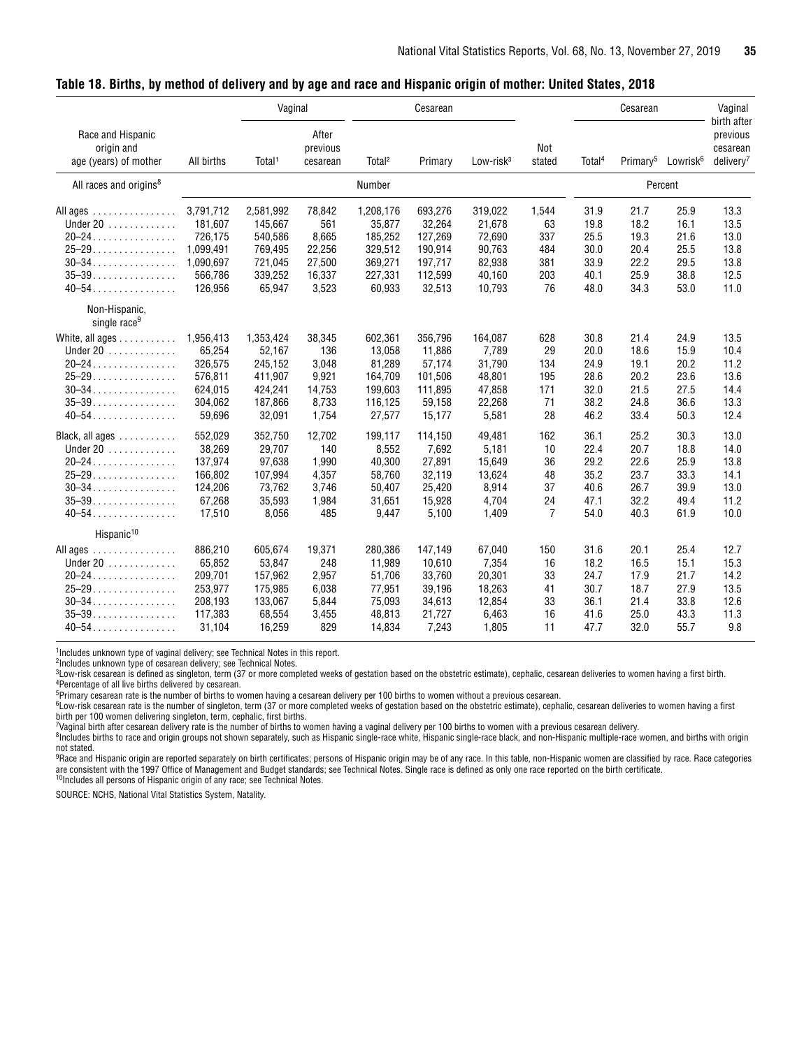|                                                                                                                                                                                              |                                                                                                                                                     | Vaginal                                                                                                                                          |                                                                                                                         |                                                                                                                                             | Cesarean                                                                                                                                   |                                                                                                                                     |                                                                                                   |                                                                                                              | Cesarean                                                                                                     |                                                                                                              | Vaginal<br>birth after                                                                                       |
|----------------------------------------------------------------------------------------------------------------------------------------------------------------------------------------------|-----------------------------------------------------------------------------------------------------------------------------------------------------|--------------------------------------------------------------------------------------------------------------------------------------------------|-------------------------------------------------------------------------------------------------------------------------|---------------------------------------------------------------------------------------------------------------------------------------------|--------------------------------------------------------------------------------------------------------------------------------------------|-------------------------------------------------------------------------------------------------------------------------------------|---------------------------------------------------------------------------------------------------|--------------------------------------------------------------------------------------------------------------|--------------------------------------------------------------------------------------------------------------|--------------------------------------------------------------------------------------------------------------|--------------------------------------------------------------------------------------------------------------|
| Race and Hispanic<br>origin and<br>age (years) of mother                                                                                                                                     | All births                                                                                                                                          | Total <sup>1</sup>                                                                                                                               | After<br>previous<br>cesarean                                                                                           | Total <sup>2</sup>                                                                                                                          | Primary                                                                                                                                    | Low-risk <sup>3</sup>                                                                                                               | Not<br>stated                                                                                     | Total <sup>4</sup>                                                                                           | Primary <sup>5</sup>                                                                                         | Lowrisk <sup>6</sup>                                                                                         | previous<br>cesarean<br>$deliverv^7$                                                                         |
| All races and origins <sup>8</sup>                                                                                                                                                           |                                                                                                                                                     |                                                                                                                                                  |                                                                                                                         | Number                                                                                                                                      |                                                                                                                                            |                                                                                                                                     |                                                                                                   |                                                                                                              |                                                                                                              | Percent                                                                                                      |                                                                                                              |
| All ages<br>Under 20<br>$20 - 24$<br>$25 - 29$<br>$30 - 34$<br>$35 - 39$<br>$40 - 54$                                                                                                        | 3,791,712<br>181,607<br>726.175<br>1,099,491<br>1.090.697<br>566,786<br>126,956                                                                     | 2,581,992<br>145,667<br>540,586<br>769,495<br>721,045<br>339,252<br>65,947                                                                       | 78,842<br>561<br>8,665<br>22,256<br>27,500<br>16,337<br>3,523                                                           | 1,208,176<br>35,877<br>185,252<br>329,512<br>369,271<br>227,331<br>60,933                                                                   | 693,276<br>32,264<br>127,269<br>190,914<br>197,717<br>112,599<br>32,513                                                                    | 319,022<br>21,678<br>72,690<br>90,763<br>82,938<br>40,160<br>10,793                                                                 | 1,544<br>63<br>337<br>484<br>381<br>203<br>76                                                     | 31.9<br>19.8<br>25.5<br>30.0<br>33.9<br>40.1<br>48.0                                                         | 21.7<br>18.2<br>19.3<br>20.4<br>22.2<br>25.9<br>34.3                                                         | 25.9<br>16.1<br>21.6<br>25.5<br>29.5<br>38.8<br>53.0                                                         | 13.3<br>13.5<br>13.0<br>13.8<br>13.8<br>12.5<br>11.0                                                         |
| Non-Hispanic,<br>single race <sup>9</sup>                                                                                                                                                    |                                                                                                                                                     |                                                                                                                                                  |                                                                                                                         |                                                                                                                                             |                                                                                                                                            |                                                                                                                                     |                                                                                                   |                                                                                                              |                                                                                                              |                                                                                                              |                                                                                                              |
| White, all ages<br>Under 20<br>$20 - 24$<br>$25 - 29$<br>$30 - 34$<br>$35 - 39$<br>$40 - 54$<br>Black, all ages<br>Under 20<br>$20 - 24$<br>$25 - 29$<br>$30 - 34$<br>$35 - 39$<br>$40 - 54$ | 1,956,413<br>65,254<br>326,575<br>576,811<br>624,015<br>304,062<br>59,696<br>552,029<br>38,269<br>137,974<br>166,802<br>124,206<br>67,268<br>17,510 | 1,353,424<br>52,167<br>245,152<br>411,907<br>424,241<br>187,866<br>32,091<br>352,750<br>29,707<br>97,638<br>107,994<br>73,762<br>35,593<br>8,056 | 38,345<br>136<br>3,048<br>9,921<br>14,753<br>8,733<br>1,754<br>12,702<br>140<br>1,990<br>4,357<br>3,746<br>1,984<br>485 | 602,361<br>13,058<br>81,289<br>164,709<br>199,603<br>116,125<br>27,577<br>199,117<br>8,552<br>40,300<br>58,760<br>50,407<br>31,651<br>9,447 | 356,796<br>11,886<br>57,174<br>101,506<br>111,895<br>59,158<br>15,177<br>114,150<br>7,692<br>27,891<br>32,119<br>25,420<br>15,928<br>5,100 | 164,087<br>7,789<br>31,790<br>48,801<br>47,858<br>22,268<br>5,581<br>49,481<br>5,181<br>15,649<br>13,624<br>8,914<br>4,704<br>1,409 | 628<br>29<br>134<br>195<br>171<br>71<br>28<br>162<br>10<br>36<br>48<br>37<br>24<br>$\overline{7}$ | 30.8<br>20.0<br>24.9<br>28.6<br>32.0<br>38.2<br>46.2<br>36.1<br>22.4<br>29.2<br>35.2<br>40.6<br>47.1<br>54.0 | 21.4<br>18.6<br>19.1<br>20.2<br>21.5<br>24.8<br>33.4<br>25.2<br>20.7<br>22.6<br>23.7<br>26.7<br>32.2<br>40.3 | 24.9<br>15.9<br>20.2<br>23.6<br>27.5<br>36.6<br>50.3<br>30.3<br>18.8<br>25.9<br>33.3<br>39.9<br>49.4<br>61.9 | 13.5<br>10.4<br>11.2<br>13.6<br>14.4<br>13.3<br>12.4<br>13.0<br>14.0<br>13.8<br>14.1<br>13.0<br>11.2<br>10.0 |
| Hispanic <sup>10</sup><br>All ages<br>Under $20$ ,<br>$20 - 24$<br>$25 - 29$<br>$30 - 34$<br>$35 - 39$<br>$40 - 54$                                                                          | 886,210<br>65,852<br>209,701<br>253,977<br>208,193<br>117,383<br>31,104                                                                             | 605,674<br>53,847<br>157,962<br>175,985<br>133,067<br>68,554<br>16,259                                                                           | 19,371<br>248<br>2,957<br>6,038<br>5,844<br>3,455<br>829                                                                | 280,386<br>11,989<br>51,706<br>77,951<br>75,093<br>48,813<br>14,834                                                                         | 147,149<br>10,610<br>33,760<br>39,196<br>34,613<br>21,727<br>7,243                                                                         | 67,040<br>7,354<br>20,301<br>18,263<br>12,854<br>6,463<br>1,805                                                                     | 150<br>16<br>33<br>41<br>33<br>16<br>11                                                           | 31.6<br>18.2<br>24.7<br>30.7<br>36.1<br>41.6<br>47.7                                                         | 20.1<br>16.5<br>17.9<br>18.7<br>21.4<br>25.0<br>32.0                                                         | 25.4<br>15.1<br>21.7<br>27.9<br>33.8<br>43.3<br>55.7                                                         | 12.7<br>15.3<br>14.2<br>13.5<br>12.6<br>11.3<br>9.8                                                          |

<span id="page-34-0"></span>**Table 18. Births, by method of delivery and by age and race and Hispanic origin of mother: United States, 2018**

<sup>1</sup>Includes unknown type of vaginal delivery; see Technical Notes in this report.

2Includes unknown type of cesarean delivery; see Technical Notes.

3 Low-risk cesarean is defined as singleton, term (37 or more completed weeks of gestation based on the obstetric estimate), cephalic, cesarean deliveries to women having a first birth. <sup>4</sup>Percentage of all live births delivered by cesarean.

5Primary cesarean rate is the number of births to women having a cesarean delivery per 100 births to women without a previous cesarean.

6Low-risk cesarean rate is the number of singleton, term (37 or more completed weeks of gestation based on the obstetric estimate), cephalic, cesarean deliveries to women having a first birth per 100 women delivering singleton, term, cephalic, first births.

7Vaginal birth after cesarean delivery rate is the number of births to women having a vaginal delivery per 100 births to women with a previous cesarean delivery.

<sup>8</sup>Includes births to race and origin groups not shown separately, such as Hispanic single-race white, Hispanic single-race black, and non-Hispanic multiple-race women, and births with origin not stated.

....<br><sup>9</sup>Race and Hispanic origin are reported separately on birth certificates; persons of Hispanic origin may be of any race. In this table, non-Hispanic women are classified by race. Race categories are consistent with the 1997 Office of Management and Budget standards; see Technical Notes. Single race is defined as only one race reported on the birth certificate.<br><sup>10</sup>Includes all persons of Hispanic origin of any rac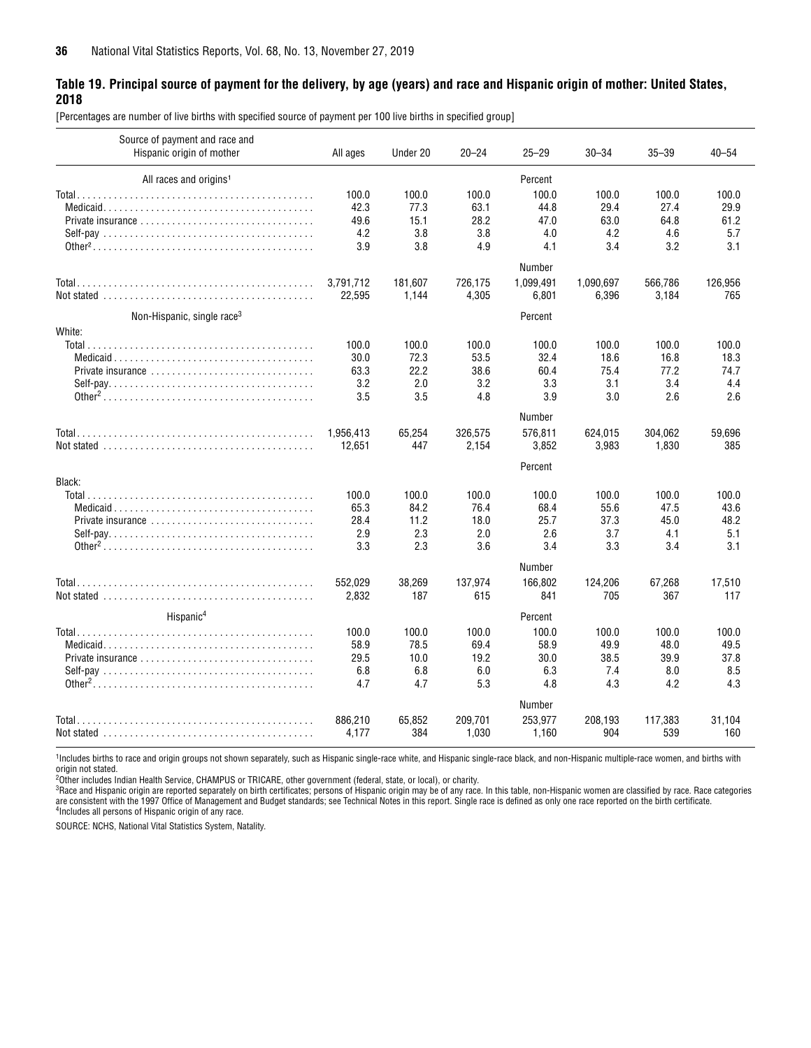#### <span id="page-35-0"></span>**Table 19. Principal source of payment for the delivery, by age (years) and race and Hispanic origin of mother: United States, 2018**

[Percentages are number of live births with specified source of payment per 100 live births in specified group]

| Source of payment and race and<br>Hispanic origin of mother                               | All ages  | Under 20 | $20 - 24$ | $25 - 29$ | $30 - 34$ | $35 - 39$ | $40 - 54$ |
|-------------------------------------------------------------------------------------------|-----------|----------|-----------|-----------|-----------|-----------|-----------|
| All races and origins <sup>1</sup>                                                        |           |          |           | Percent   |           |           |           |
|                                                                                           | 100.0     | 100.0    | 100.0     | 100.0     | 100.0     | 100.0     | 100.0     |
|                                                                                           | 42.3      | 77.3     | 63.1      | 44.8      | 29.4      | 27.4      | 29.9      |
| Private insurance $\ldots, \ldots, \ldots, \ldots, \ldots, \ldots, \ldots, \ldots$        | 49.6      | 15.1     | 28.2      | 47.0      | 63.0      | 64.8      | 61.2      |
|                                                                                           | 4.2       | 3.8      | 3.8       | 4.0       | 4.2       | 4.6       | 5.7       |
|                                                                                           | 3.9       | 3.8      | 4.9       | 4.1       | 3.4       | 3.2       | 3.1       |
|                                                                                           |           |          |           | Number    |           |           |           |
|                                                                                           | 3,791,712 | 181,607  | 726,175   | 1,099,491 | 1,090,697 | 566,786   | 126,956   |
| Not stated $\ldots \ldots \ldots \ldots \ldots \ldots \ldots \ldots \ldots \ldots \ldots$ | 22,595    | 1,144    | 4,305     | 6,801     | 6,396     | 3,184     | 765       |
| Non-Hispanic, single race <sup>3</sup>                                                    |           |          |           | Percent   |           |           |           |
| White:                                                                                    |           |          |           |           |           |           |           |
|                                                                                           | 100.0     | 100.0    | 100.0     | 100.0     | 100.0     | 100.0     | 100.0     |
|                                                                                           | 30.0      | 72.3     | 53.5      | 32.4      | 18.6      | 16.8      | 18.3      |
| Private insurance $\ldots, \ldots, \ldots, \ldots, \ldots, \ldots, \ldots, \ldots$        | 63.3      | 22.2     | 38.6      | 60.4      | 75.4      | 77.2      | 74.7      |
|                                                                                           | 3.2       | 2.0      | 3.2       | 3.3       | 3.1       | 3.4       | 4.4       |
|                                                                                           | 3.5       | 3.5      | 4.8       | 3.9       | 3.0       | 2.6       | 2.6       |
|                                                                                           |           |          |           | Number    |           |           |           |
|                                                                                           | 1,956,413 | 65,254   | 326,575   | 576.811   | 624,015   | 304,062   | 59,696    |
|                                                                                           | 12,651    | 447      | 2,154     | 3,852     | 3,983     | 1,830     | 385       |
|                                                                                           |           |          |           | Percent   |           |           |           |
| Black:                                                                                    |           |          |           |           |           |           |           |
|                                                                                           | 100.0     | 100.0    | 100.0     | 100.0     | 100.0     | 100.0     | 100.0     |
|                                                                                           | 65.3      | 84.2     | 76.4      | 68.4      | 55.6      | 47.5      | 43.6      |
| Private insurance $\ldots, \ldots, \ldots, \ldots, \ldots, \ldots, \ldots, \ldots$        | 28.4      | 11.2     | 18.0      | 25.7      | 37.3      | 45.0      | 48.2      |
|                                                                                           | 2.9       | 2.3      | 2.0       | 2.6       | 3.7       | 4.1       | 5.1       |
|                                                                                           | 3.3       | 2.3      | 3.6       | 3.4       | 3.3       | 3.4       | 3.1       |
|                                                                                           |           |          |           | Number    |           |           |           |
|                                                                                           | 552.029   | 38,269   | 137,974   | 166.802   | 124,206   | 67,268    | 17.510    |
|                                                                                           | 2,832     | 187      | 615       | 841       | 705       | 367       | 117       |
| Hispanic <sup>4</sup>                                                                     |           |          |           | Percent   |           |           |           |
|                                                                                           | 100.0     | 100.0    | 100.0     | 100.0     | 100.0     | 100.0     | 100.0     |
|                                                                                           | 58.9      | 78.5     | 69.4      | 58.9      | 49.9      | 48.0      | 49.5      |
|                                                                                           | 29.5      | 10.0     | 19.2      | 30.0      | 38.5      | 39.9      | 37.8      |
|                                                                                           | 6.8       | 6.8      | 6.0       | 6.3       | 7.4       | 8.0       | 8.5       |
|                                                                                           | 4.7       | 4.7      | 5.3       | 4.8       | 4.3       | 4.2       | 4.3       |
|                                                                                           |           |          |           | Number    |           |           |           |
|                                                                                           | 886,210   | 65,852   | 209,701   | 253,977   | 208,193   | 117,383   | 31,104    |
|                                                                                           | 4,177     | 384      | 1,030     | 1,160     | 904       | 539       | 160       |

1Includes births to race and origin groups not shown separately, such as Hispanic single-race white, and Hispanic single-race black, and non-Hispanic multiple-race women, and births with origin not stated.

2Other includes Indian Health Service, CHAMPUS or TRICARE, other government (federal, state, or local), or charity.

<sup>3</sup>Race and Hispanic origin are reported separately on birth certificates; persons of Hispanic origin may be of any race. In this table, non-Hispanic women are classified by race. Race categories are consistent with the 1997 Office of Management and Budget standards; see Technical Notes in this report. Single race is defined as only one race reported on the birth certificate.<br><sup>4</sup>Includes all persons of Hispanic ori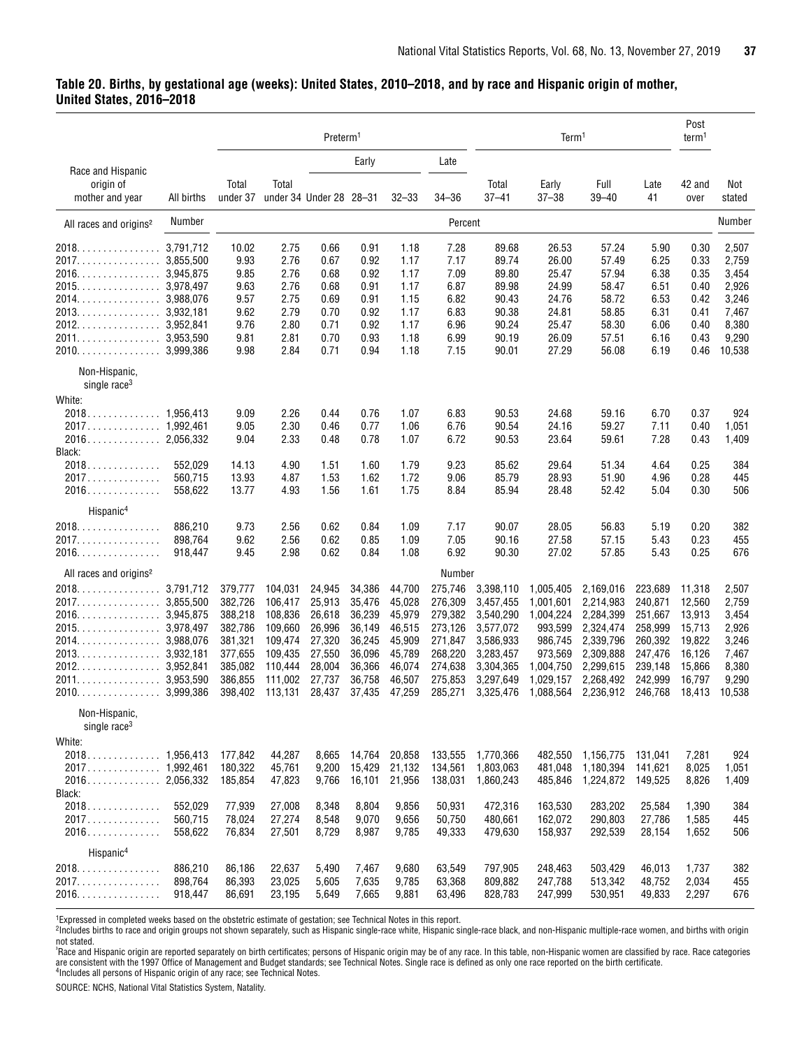#### <span id="page-36-0"></span>**Table 20. Births, by gestational age (weeks): United States, 2010–2018, and by race and Hispanic origin of mother, United States, 2016–2018**

|                                                         |            |                    |                                  | Preterm <sup>1</sup> |                  |                  |                    |                        | Term <sup>1</sup>      |                        |                    | Post<br>term1    |                 |
|---------------------------------------------------------|------------|--------------------|----------------------------------|----------------------|------------------|------------------|--------------------|------------------------|------------------------|------------------------|--------------------|------------------|-----------------|
|                                                         |            |                    |                                  |                      | Early            |                  | Late               |                        |                        |                        |                    |                  |                 |
| Race and Hispanic<br>origin of                          | All births | Total              | Total<br>under 34 Under 28 28-31 |                      |                  | $32 - 33$        | $34 - 36$          | Total                  | Early<br>$37 - 38$     | Full                   | Late               | 42 and           | Not             |
| mother and year                                         |            | under 37           |                                  |                      |                  |                  |                    | $37 - 41$              |                        | $39 - 40$              | 41                 | over             | stated          |
| All races and origins <sup>2</sup>                      | Number     |                    |                                  |                      |                  |                  | Percent            |                        |                        |                        |                    |                  | Number          |
| 2018.                                                   | 3,791,712  | 10.02              | 2.75                             | 0.66                 | 0.91             | 1.18             | 7.28               | 89.68                  | 26.53                  | 57.24                  | 5.90               | 0.30             | 2,507           |
| 2017.                                                   | 3,855,500  | 9.93               | 2.76                             | 0.67                 | 0.92             | 1.17             | 7.17               | 89.74                  | 26.00                  | 57.49                  | 6.25               | 0.33             | 2,759           |
| 2016.<br>. 3.945.875                                    |            | 9.85               | 2.76                             | 0.68                 | 0.92             | 1.17             | 7.09               | 89.80                  | 25.47                  | 57.94                  | 6.38               | 0.35             | 3,454           |
|                                                         |            | 9.63               | 2.76                             | 0.68                 | 0.91             | 1.17             | 6.87               | 89.98                  | 24.99                  | 58.47                  | 6.51               | 0.40             | 2,926           |
|                                                         |            | 9.57               | 2.75                             | 0.69                 | 0.91             | 1.15             | 6.82               | 90.43                  | 24.76                  | 58.72                  | 6.53               | 0.42             | 3,246           |
|                                                         |            | 9.62               | 2.79                             | 0.70                 | 0.92             | 1.17             | 6.83               | 90.38                  | 24.81                  | 58.85                  | 6.31               | 0.41             | 7,467           |
| 2012.<br>$\ldots \ldots \ldots \ldots \ldots$ 3,952,841 |            | 9.76               | 2.80                             | 0.71                 | 0.92             | 1.17             | 6.96               | 90.24                  | 25.47                  | 58.30                  | 6.06               | 0.40             | 8,380           |
| 2011.<br>. 3.953.590                                    |            | 9.81               | 2.81                             | 0.70                 | 0.93             | 1.18             | 6.99               | 90.19                  | 26.09                  | 57.51                  | 6.16               | 0.43             | 9,290           |
| $2010. \ldots \ldots \ldots \ldots$                     | 3,999,386  | 9.98               | 2.84                             | 0.71                 | 0.94             | 1.18             | 7.15               | 90.01                  | 27.29                  | 56.08                  | 6.19               | 0.46             | 10,538          |
| Non-Hispanic,<br>single race <sup>3</sup>               |            |                    |                                  |                      |                  |                  |                    |                        |                        |                        |                    |                  |                 |
| White:                                                  |            |                    |                                  |                      |                  |                  |                    |                        |                        |                        |                    |                  |                 |
| 2018.                                                   | 1.956.413  | 9.09               | 2.26                             | 0.44                 | 0.76             | 1.07             | 6.83               | 90.53                  | 24.68                  | 59.16                  | 6.70               | 0.37             | 924             |
|                                                         |            | 9.05               | 2.30                             | 0.46                 | 0.77             | 1.06             | 6.76               | 90.54                  | 24.16                  | 59.27                  | 7.11               | 0.40             | 1,051           |
|                                                         |            | 9.04               | 2.33                             | 0.48                 | 0.78             | 1.07             | 6.72               | 90.53                  | 23.64                  | 59.61                  | 7.28               | 0.43             | 1,409           |
| Black:                                                  |            |                    |                                  |                      |                  |                  |                    |                        |                        |                        |                    |                  |                 |
| 2018.                                                   | 552,029    | 14.13              | 4.90                             | 1.51                 | 1.60             | 1.79             | 9.23               | 85.62                  | 29.64                  | 51.34                  | 4.64               | 0.25             | 384             |
| 2017.                                                   | 560,715    | 13.93              | 4.87                             | 1.53                 | 1.62             | 1.72             | 9.06               | 85.79                  | 28.93                  | 51.90                  | 4.96               | 0.28             | 445             |
| $2016$                                                  | 558,622    | 13.77              | 4.93                             | 1.56                 | 1.61             | 1.75             | 8.84               | 85.94                  | 28.48                  | 52.42                  | 5.04               | 0.30             | 506             |
| Hispanic <sup>4</sup>                                   |            |                    |                                  |                      |                  |                  |                    |                        |                        |                        |                    |                  |                 |
| 2018.                                                   | 886,210    | 9.73               | 2.56                             | 0.62                 | 0.84             | 1.09             | 7.17               | 90.07                  | 28.05                  | 56.83                  | 5.19               | 0.20             | 382             |
| 2017.<br>.                                              | 898,764    | 9.62               | 2.56                             | 0.62                 | 0.85             | 1.09             | 7.05               | 90.16                  | 27.58                  | 57.15                  | 5.43               | 0.23             | 455             |
| 2016.<br>.                                              | 918,447    | 9.45               | 2.98                             | 0.62                 | 0.84             | 1.08             | 6.92               | 90.30                  | 27.02                  | 57.85                  | 5.43               | 0.25             | 676             |
| All races and origins <sup>2</sup>                      |            |                    |                                  |                      |                  |                  | Number             |                        |                        |                        |                    |                  |                 |
| 2018.<br>.                                              | 3,791,712  | 379,777            | 104,031                          | 24,945               | 34,386           | 44,700           | 275,746            | 3,398,110              | 1,005,405              | 2,169,016              | 223,689            | 11,318           | 2,507           |
| 2017.                                                   | 3,855,500  | 382,726            | 106,417                          | 25,913               | 35,476           | 45,028           | 276,309            | 3,457,455              | 1,001,601              | 2,214,983              | 240,871            | 12,560           | 2,759           |
| 2016.<br>$\ldots \ldots \ldots \ldots \ldots$ 3,945,875 |            | 388,218            | 108,836                          | 26,618               | 36,239           | 45,979           | 279,382            | 3,540,290              | 1,004,224              | 2,284,399              | 251,667            | 13,913           | 3,454           |
| 2015.<br>3,978,497                                      |            | 382,786            | 109,660                          | 26,996               | 36,149           | 46,515           | 273,126            | 3,577,072              | 993,599                | 2,324,474              | 258,999            | 15,713           | 2,926           |
| 2014.<br>$\ldots \ldots \ldots \ldots \ldots$ 3,988,076 |            | 381,321            | 109,474                          | 27,320               | 36,245           | 45,909           | 271,847            | 3,586,933              | 986,745                | 2,339,796              | 260,392            | 19.822           | 3,246           |
| 2013.<br>$\ldots \ldots \ldots \ldots 3,932,181$        |            | 377,655            | 109,435                          | 27,550               | 36,096           | 45,789           | 268,220            | 3,283,457              | 973,569                | 2,309,888              | 247,476            | 16,126           | 7,467           |
| 2012.<br>.                                              | 3,952,841  | 385,082            | 110,444                          | 28,004               | 36,366           | 46,074           | 274,638            | 3,304,365              | 1,004,750              | 2,299,615              | 239,148            | 15,866           | 8,380           |
| 2011.<br>.                                              | 3,953,590  | 386,855<br>398,402 | 111,002<br>113,131               | 27,737<br>28,437     | 36,758<br>37,435 | 46,507<br>47,259 | 275,853<br>285,271 | 3,297,649<br>3,325,476 | 1,029,157<br>1,088,564 | 2,268,492<br>2,236,912 | 242,999<br>246,768 | 16,797<br>18.413 | 9,290<br>10,538 |
| Non-Hispanic,                                           |            |                    |                                  |                      |                  |                  |                    |                        |                        |                        |                    |                  |                 |
| single race <sup>3</sup>                                |            |                    |                                  |                      |                  |                  |                    |                        |                        |                        |                    |                  |                 |
| White:                                                  |            |                    |                                  |                      |                  |                  |                    |                        |                        |                        |                    |                  |                 |
|                                                         |            | 177,842            | 44,287                           | 8,665                | 14,764           | 20,858           | 133,555            | 1,770,366              | 482,550                | 1,156,775              | 131,041            | 7,281            | 924             |
|                                                         |            | 180,322            | 45,761                           | 9,200                | 15,429           | 21,132           | 134,561            | 1,803,063              | 481,048                | 1,180,394              | 141,621            | 8,025            | 1,051           |
|                                                         |            | 185,854            | 47,823                           | 9,766                | 16,101           | 21,956           | 138,031            | 1,860,243              | 485,846                | 1,224,872              | 149,525            | 8,826            | 1,409           |
| Black:                                                  |            |                    |                                  |                      |                  |                  |                    |                        |                        |                        |                    |                  |                 |
| 2018                                                    | 552,029    | 77,939             | 27,008                           | 8,348                | 8,804            | 9,856            | 50,931             | 472,316                | 163,530                | 283,202                | 25,584             | 1,390            | 384             |
| 2017.                                                   | 560,715    | 78,024             | 27,274                           | 8,548                | 9,070            | 9,656            | 50,750             | 480,661                | 162,072                | 290,803                | 27,786             | 1,585            | 445             |
| 2016.<br>Hispanic <sup>4</sup>                          | 558,622    | 76,834             | 27,501                           | 8,729                | 8,987            | 9,785            | 49,333             | 479,630                | 158,937                | 292,539                | 28,154             | 1,652            | 506             |
|                                                         |            |                    |                                  |                      |                  |                  |                    |                        |                        |                        |                    |                  |                 |
| 2018.                                                   | 886,210    | 86,186             | 22,637                           | 5,490                | 7,467            | 9,680            | 63,549             | 797,905                | 248,463                | 503,429                | 46,013<br>48,752   | 1,737            | 382             |
| 2017.                                                   | 898,764    | 86,393             | 23,025                           | 5,605                | 7,635            | 9,785            | 63,368             | 809,882                | 247,788                | 513,342                |                    | 2,034            | 455             |
| $2016. \ldots \ldots \ldots \ldots$                     | 918,447    | 86,691             | 23,195                           | 5,649                | 7,665            | 9,881            | 63,496             | 828,783                | 247,999                | 530,951                | 49,833             | 2,297            | 676             |

<sup>1</sup>Expressed in completed weeks based on the obstetric estimate of gestation; see Technical Notes in this report.<br><sup>2</sup>Includes births to race and origin groups not shown separately, such as Hispanic single-race white, Hispa not stated.

°Race and Hispanic origin are reported separately on birth certificates; persons of Hispanic origin may be of any race. In this table, non-Hispanic women are classified by race. Race categories<br>are consistent with the 1997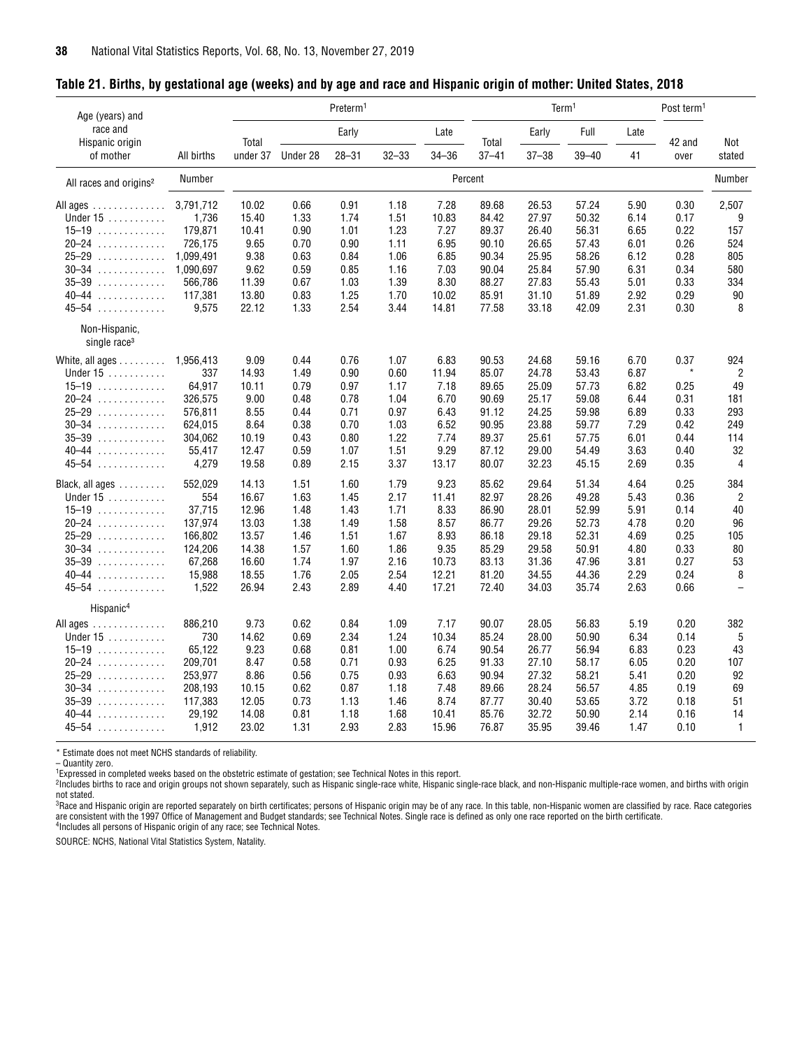| Age (years) and                           |            |          |          | Preterm <sup>1</sup> |       |           |           |           | Term <sup>1</sup> |      | Post term <sup>1</sup> |                          |
|-------------------------------------------|------------|----------|----------|----------------------|-------|-----------|-----------|-----------|-------------------|------|------------------------|--------------------------|
| race and<br>Hispanic origin               |            | Total    |          | Early                |       | Late      | Total     | Early     | Full              | Late | 42 and                 | Not                      |
| of mother                                 | All births | under 37 | Under 28 | $28 - 31$            | 32–33 | $34 - 36$ | $37 - 41$ | $37 - 38$ | 39-40             | 41   | over                   | stated                   |
| All races and origins <sup>2</sup>        | Number     |          |          |                      |       |           | Percent   |           |                   |      |                        | Number                   |
| All ages                                  | 3,791,712  | 10.02    | 0.66     | 0.91                 | 1.18  | 7.28      | 89.68     | 26.53     | 57.24             | 5.90 | 0.30                   | 2,507                    |
| Under $15$                                | 1,736      | 15.40    | 1.33     | 1.74                 | 1.51  | 10.83     | 84.42     | 27.97     | 50.32             | 6.14 | 0.17                   | 9                        |
| $15-19$                                   | 179,871    | 10.41    | 0.90     | 1.01                 | 1.23  | 7.27      | 89.37     | 26.40     | 56.31             | 6.65 | 0.22                   | 157                      |
| $20 - 24$                                 | 726,175    | 9.65     | 0.70     | 0.90                 | 1.11  | 6.95      | 90.10     | 26.65     | 57.43             | 6.01 | 0.26                   | 524                      |
| $25 - 29$                                 | 1,099,491  | 9.38     | 0.63     | 0.84                 | 1.06  | 6.85      | 90.34     | 25.95     | 58.26             | 6.12 | 0.28                   | 805                      |
| $30 - 34$                                 | 1,090,697  | 9.62     | 0.59     | 0.85                 | 1.16  | 7.03      | 90.04     | 25.84     | 57.90             | 6.31 | 0.34                   | 580                      |
| $35 - 39$                                 | 566,786    | 11.39    | 0.67     | 1.03                 | 1.39  | 8.30      | 88.27     | 27.83     | 55.43             | 5.01 | 0.33                   | 334                      |
| $40 - 44$                                 | 117,381    | 13.80    | 0.83     | 1.25                 | 1.70  | 10.02     | 85.91     | 31.10     | 51.89             | 2.92 | 0.29                   | 90                       |
| $45 - 54$                                 | 9,575      | 22.12    | 1.33     | 2.54                 | 3.44  | 14.81     | 77.58     | 33.18     | 42.09             | 2.31 | 0.30                   | 8                        |
| Non-Hispanic,<br>single race <sup>3</sup> |            |          |          |                      |       |           |           |           |                   |      |                        |                          |
| White, all ages                           | 1,956,413  | 9.09     | 0.44     | 0.76                 | 1.07  | 6.83      | 90.53     | 24.68     | 59.16             | 6.70 | 0.37                   | 924                      |
| Under 15                                  | 337        | 14.93    | 1.49     | 0.90                 | 0.60  | 11.94     | 85.07     | 24.78     | 53.43             | 6.87 | $\star$                | $\overline{2}$           |
| $15-19$                                   | 64,917     | 10.11    | 0.79     | 0.97                 | 1.17  | 7.18      | 89.65     | 25.09     | 57.73             | 6.82 | 0.25                   | 49                       |
| $20 - 24$                                 | 326,575    | 9.00     | 0.48     | 0.78                 | 1.04  | 6.70      | 90.69     | 25.17     | 59.08             | 6.44 | 0.31                   | 181                      |
| $25 - 29$                                 | 576,811    | 8.55     | 0.44     | 0.71                 | 0.97  | 6.43      | 91.12     | 24.25     | 59.98             | 6.89 | 0.33                   | 293                      |
| $30 - 34$                                 | 624,015    | 8.64     | 0.38     | 0.70                 | 1.03  | 6.52      | 90.95     | 23.88     | 59.77             | 7.29 | 0.42                   | 249                      |
| $35 - 39$                                 | 304,062    | 10.19    | 0.43     | 0.80                 | 1.22  | 7.74      | 89.37     | 25.61     | 57.75             | 6.01 | 0.44                   | 114                      |
| $40 - 44$                                 | 55,417     | 12.47    | 0.59     | 1.07                 | 1.51  | 9.29      | 87.12     | 29.00     | 54.49             | 3.63 | 0.40                   | 32                       |
| $45 - 54$                                 | 4,279      | 19.58    | 0.89     | 2.15                 | 3.37  | 13.17     | 80.07     | 32.23     | 45.15             | 2.69 | 0.35                   | $\overline{4}$           |
| Black, all ages                           | 552,029    | 14.13    | 1.51     | 1.60                 | 1.79  | 9.23      | 85.62     | 29.64     | 51.34             | 4.64 | 0.25                   | 384                      |
| Under 15                                  | 554        | 16.67    | 1.63     | 1.45                 | 2.17  | 11.41     | 82.97     | 28.26     | 49.28             | 5.43 | 0.36                   | $\overline{2}$           |
| $15-19$                                   | 37,715     | 12.96    | 1.48     | 1.43                 | 1.71  | 8.33      | 86.90     | 28.01     | 52.99             | 5.91 | 0.14                   | 40                       |
| $20 - 24$                                 | 137,974    | 13.03    | 1.38     | 1.49                 | 1.58  | 8.57      | 86.77     | 29.26     | 52.73             | 4.78 | 0.20                   | 96                       |
| $25 - 29$                                 | 166,802    | 13.57    | 1.46     | 1.51                 | 1.67  | 8.93      | 86.18     | 29.18     | 52.31             | 4.69 | 0.25                   | 105                      |
| $30 - 34$                                 | 124,206    | 14.38    | 1.57     | 1.60                 | 1.86  | 9.35      | 85.29     | 29.58     | 50.91             | 4.80 | 0.33                   | 80                       |
| $35 - 39$                                 | 67,268     | 16.60    | 1.74     | 1.97                 | 2.16  | 10.73     | 83.13     | 31.36     | 47.96             | 3.81 | 0.27                   | 53                       |
| $40 - 44$<br>.                            | 15,988     | 18.55    | 1.76     | 2.05                 | 2.54  | 12.21     | 81.20     | 34.55     | 44.36             | 2.29 | 0.24                   | 8                        |
| $45 - 54$                                 | 1,522      | 26.94    | 2.43     | 2.89                 | 4.40  | 17.21     | 72.40     | 34.03     | 35.74             | 2.63 | 0.66                   | $\overline{\phantom{0}}$ |
| Hispanic <sup>4</sup>                     |            |          |          |                      |       |           |           |           |                   |      |                        |                          |
| All ages                                  | 886,210    | 9.73     | 0.62     | 0.84                 | 1.09  | 7.17      | 90.07     | 28.05     | 56.83             | 5.19 | 0.20                   | 382                      |
| Under 15                                  | 730        | 14.62    | 0.69     | 2.34                 | 1.24  | 10.34     | 85.24     | 28.00     | 50.90             | 6.34 | 0.14                   | 5                        |
| $15-19$                                   | 65,122     | 9.23     | 0.68     | 0.81                 | 1.00  | 6.74      | 90.54     | 26.77     | 56.94             | 6.83 | 0.23                   | 43                       |
| $20 - 24$<br>.                            | 209,701    | 8.47     | 0.58     | 0.71                 | 0.93  | 6.25      | 91.33     | 27.10     | 58.17             | 6.05 | 0.20                   | 107                      |
| $25 - 29$<br>.                            | 253,977    | 8.86     | 0.56     | 0.75                 | 0.93  | 6.63      | 90.94     | 27.32     | 58.21             | 5.41 | 0.20                   | 92                       |
| $30 - 34$<br>.                            | 208,193    | 10.15    | 0.62     | 0.87                 | 1.18  | 7.48      | 89.66     | 28.24     | 56.57             | 4.85 | 0.19                   | 69                       |
| $35 - 39$<br>.                            | 117,383    | 12.05    | 0.73     | 1.13                 | 1.46  | 8.74      | 87.77     | 30.40     | 53.65             | 3.72 | 0.18                   | 51                       |
| $40 - 44$<br>.                            | 29,192     | 14.08    | 0.81     | 1.18                 | 1.68  | 10.41     | 85.76     | 32.72     | 50.90             | 2.14 | 0.16                   | 14                       |
| $45 - 54$                                 | 1,912      | 23.02    | 1.31     | 2.93                 | 2.83  | 15.96     | 76.87     | 35.95     | 39.46             | 1.47 | 0.10                   | $\overline{1}$           |
|                                           |            |          |          |                      |       |           |           |           |                   |      |                        |                          |

#### <span id="page-37-0"></span>**Table 21. Births, by gestational age (weeks) and by age and race and Hispanic origin of mother: United States, 2018**

\* Estimate does not meet NCHS standards of reliability.

– Quantity zero.

<sup>1</sup>Expressed in completed weeks based on the obstetric estimate of gestation; see Technical Notes in this report.

2Includes births to race and origin groups not shown separately, such as Hispanic single-race white, Hispanic single-race black, and non-Hispanic multiple-race women, and births with origin

not stated.<br><sup>3</sup>Race and Hispanic origin are reported separately on birth certificates; persons of Hispanic origin may be of any race. In this table, non-Hispanic women are classified by race. Race categories are consistent with the 1997 Office of Management and Budget standards; see Technical Notes. Single race is defined as only one race reported on the birth certificate.<br><sup>4</sup>Includes all persons of Hispanic origin of any race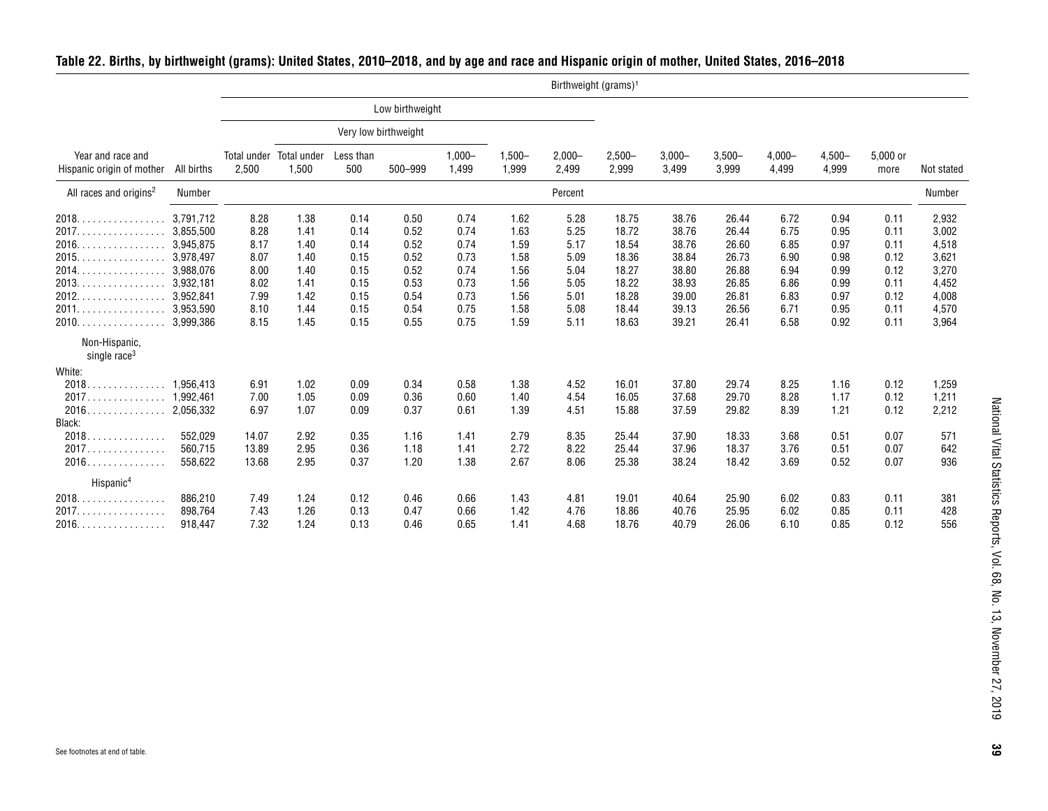|                                                |            |       |                                  |                  |                      |                    |                    |                    | Birthweight (grams) <sup>1</sup> |                    |                    |                    |                   |                  |            |
|------------------------------------------------|------------|-------|----------------------------------|------------------|----------------------|--------------------|--------------------|--------------------|----------------------------------|--------------------|--------------------|--------------------|-------------------|------------------|------------|
|                                                |            |       |                                  |                  | Low birthweight      |                    |                    |                    |                                  |                    |                    |                    |                   |                  |            |
|                                                |            |       |                                  |                  | Very low birthweight |                    |                    |                    |                                  |                    |                    |                    |                   |                  |            |
| Year and race and<br>Hispanic origin of mother | All births | 2,500 | Total under Total under<br>1,500 | Less than<br>500 | 500-999              | $1,000 -$<br>1,499 | $1,500 -$<br>1,999 | $2,000 -$<br>2,499 | $2,500 -$<br>2,999               | $3,000 -$<br>3,499 | $3,500 -$<br>3,999 | $4,000 -$<br>4,499 | $4,500-$<br>4,999 | 5,000 or<br>more | Not stated |
| All races and origins <sup>2</sup>             | Number     |       |                                  |                  |                      |                    |                    | Percent            |                                  |                    |                    |                    |                   |                  | Number     |
| $2018.$ .<br>.                                 | 3,791,712  | 8.28  | 1.38                             | 0.14             | 0.50                 | 0.74               | 1.62               | 5.28               | 18.75                            | 38.76              | 26.44              | 6.72               | 0.94              | 0.11             | 2,932      |
| 2017.                                          | 3.855.500  | 8.28  | 1.41                             | 0.14             | 0.52                 | 0.74               | 1.63               | 5.25               | 18.72                            | 38.76              | 26.44              | 6.75               | 0.95              | 0.11             | 3,002      |
| $2016.$ .<br>.                                 | 3,945,875  | 8.17  | 1.40                             | 0.14             | 0.52                 | 0.74               | 1.59               | 5.17               | 18.54                            | 38.76              | 26.60              | 6.85               | 0.97              | 0.11             | 4,518      |
| 2015<br>.                                      | 3,978,497  | 8.07  | 1.40                             | 0.15             | 0.52                 | 0.73               | 1.58               | 5.09               | 18.36                            | 38.84              | 26.73              | 6.90               | 0.98              | 0.12             | 3,621      |
| 2014.<br>.                                     | 3,988,076  | 8.00  | 1.40                             | 0.15             | 0.52                 | 0.74               | 1.56               | 5.04               | 18.27                            | 38.80              | 26.88              | 6.94               | 0.99              | 0.12             | 3,270      |
| 2013.<br>.                                     | 3,932,181  | 8.02  | 1.41                             | 0.15             | 0.53                 | 0.73               | 1.56               | 5.05               | 18.22                            | 38.93              | 26.85              | 6.86               | 0.99              | 0.11             | 4,452      |
| 2012.<br>.                                     | 3.952.841  | 7.99  | 1.42                             | 0.15             | 0.54                 | 0.73               | 1.56               | 5.01               | 18.28                            | 39.00              | 26.81              | 6.83               | 0.97              | 0.12             | 4,008      |
| 2011.                                          | 3,953,590  | 8.10  | 1.44                             | 0.15             | 0.54                 | 0.75               | 1.58               | 5.08               | 18.44                            | 39.13              | 26.56              | 6.71               | 0.95              | 0.11             | 4,570      |
| 2010.                                          | 3,999,386  | 8.15  | 1.45                             | 0.15             | 0.55                 | 0.75               | 1.59               | 5.11               | 18.63                            | 39.21              | 26.41              | 6.58               | 0.92              | 0.11             | 3,964      |
| Non-Hispanic,<br>single race <sup>3</sup>      |            |       |                                  |                  |                      |                    |                    |                    |                                  |                    |                    |                    |                   |                  |            |
|                                                |            |       |                                  |                  |                      |                    |                    |                    |                                  |                    |                    |                    |                   |                  |            |
| White:<br>2018                                 | 1.956.413  |       | 1.02                             | 0.09             | 0.34                 | 0.58               | 1.38               | 4.52               |                                  | 37.80              | 29.74              | 8.25               |                   | 0.12             |            |
| .<br>2017                                      | 1.992.461  | 6.91  |                                  | 0.09             |                      |                    |                    |                    | 16.01                            |                    | 29.70              |                    | 1.16<br>1.17      |                  | 1,259      |
| .<br>2016                                      |            | 7.00  | 1.05<br>1.07                     | 0.09             | 0.36<br>0.37         | 0.60<br>0.61       | 1.40               | 4.54               | 16.05                            | 37.68              |                    | 8.28               |                   | 0.12<br>0.12     | 1,211      |
| .<br>Black:                                    | 2,056,332  | 6.97  |                                  |                  |                      |                    | 1.39               | 4.51               | 15.88                            | 37.59              | 29.82              | 8.39               | 1.21              |                  | 2,212      |
| 2018                                           | 552.029    |       |                                  |                  |                      |                    |                    |                    |                                  | 37.90              | 18.33              |                    |                   |                  |            |
| .                                              | 560.715    | 14.07 | 2.92                             | 0.35<br>0.36     | 1.16<br>1.18         | 1.41<br>1.41       | 2.79<br>2.72       | 8.35               | 25.44                            | 37.96              |                    | 3.68<br>3.76       | 0.51<br>0.51      | 0.07             | 571<br>642 |
| 2017                                           |            | 13.89 | 2.95                             |                  |                      |                    | 2.67               | 8.22               | 25.44                            |                    | 18.37              | 3.69               | 0.52              | 0.07             | 936        |
| 2016.                                          | 558,622    | 13.68 | 2.95                             | 0.37             | 1.20                 | 1.38               |                    | 8.06               | 25.38                            | 38.24              | 18.42              |                    |                   | 0.07             |            |
| Hispanic <sup>4</sup>                          |            |       |                                  |                  |                      |                    |                    |                    |                                  |                    |                    |                    |                   |                  |            |
| $2018.$ .<br>.                                 | 886,210    | 7.49  | 1.24                             | 0.12             | 0.46                 | 0.66               | 1.43               | 4.81               | 19.01                            | 40.64              | 25.90              | 6.02               | 0.83              | 0.11             | 381        |
| 2017<br>.                                      | 898.764    | 7.43  | 1.26                             | 0.13             | 0.47                 | 0.66               | 1.42               | 4.76               | 18.86                            | 40.76              | 25.95              | 6.02               | 0.85              | 0.11             | 428        |
| 2016.                                          | 918.447    | 7.32  | 1.24                             | 0.13             | 0.46                 | 0.65               | 1.41               | 4.68               | 18.76                            | 40.79              | 26.06              | 6.10               | 0.85              | 0.12             | 556        |

#### <span id="page-38-0"></span>**Table 22. Births, by birthweight (grams): United States, 2010–2018, and by age and race and Hispanic origin of mother, United States, 2016–2018**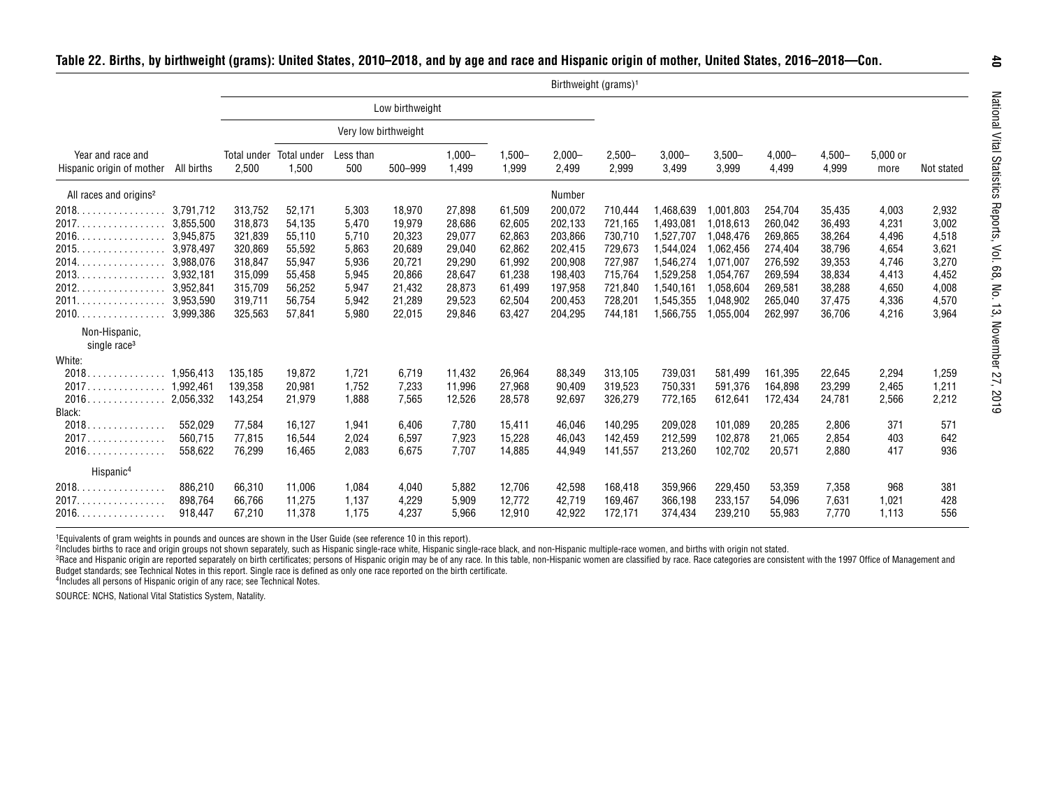| Table 22. Births, by birthweight (grams): United States, 2010–2018, and by age and race and Hispanic origin of mother, United States, 2016–2018–Con. |  |  |  |
|------------------------------------------------------------------------------------------------------------------------------------------------------|--|--|--|
|                                                                                                                                                      |  |  |  |

|                                                                                                                                                                           |                                                                                                                   |                                                                                                 |                                                                                        |                                                                               |                                                                                        |                                                                                        |                                                                                        | Birthweight (grams) <sup>1</sup>                                                                |                                                                                                 |                                                                                                                   |                                                                                                                   |                                                                                                 |                                                                                        |                                                                               |                                                                               |
|---------------------------------------------------------------------------------------------------------------------------------------------------------------------------|-------------------------------------------------------------------------------------------------------------------|-------------------------------------------------------------------------------------------------|----------------------------------------------------------------------------------------|-------------------------------------------------------------------------------|----------------------------------------------------------------------------------------|----------------------------------------------------------------------------------------|----------------------------------------------------------------------------------------|-------------------------------------------------------------------------------------------------|-------------------------------------------------------------------------------------------------|-------------------------------------------------------------------------------------------------------------------|-------------------------------------------------------------------------------------------------------------------|-------------------------------------------------------------------------------------------------|----------------------------------------------------------------------------------------|-------------------------------------------------------------------------------|-------------------------------------------------------------------------------|
|                                                                                                                                                                           |                                                                                                                   |                                                                                                 |                                                                                        |                                                                               | Low birthweight                                                                        |                                                                                        |                                                                                        |                                                                                                 |                                                                                                 |                                                                                                                   |                                                                                                                   |                                                                                                 |                                                                                        |                                                                               |                                                                               |
|                                                                                                                                                                           |                                                                                                                   |                                                                                                 |                                                                                        | Very low birthweight                                                          |                                                                                        |                                                                                        |                                                                                        |                                                                                                 |                                                                                                 |                                                                                                                   |                                                                                                                   |                                                                                                 |                                                                                        |                                                                               |                                                                               |
| Year and race and<br>Hispanic origin of mother                                                                                                                            | All births                                                                                                        | 2,500                                                                                           | Total under Total under<br>1,500                                                       | Less than<br>500                                                              | 500-999                                                                                | $1,000 -$<br>1,499                                                                     | $1,500 -$<br>1,999                                                                     | $2,000 -$<br>2,499                                                                              | $2,500 -$<br>2,999                                                                              | $3,000 -$<br>3,499                                                                                                | $3,500-$<br>3,999                                                                                                 | $4,000 -$<br>4,499                                                                              | $4,500 -$<br>4,999                                                                     | 5,000 or<br>more                                                              | Not stated                                                                    |
| All races and origins <sup>2</sup>                                                                                                                                        |                                                                                                                   |                                                                                                 |                                                                                        |                                                                               |                                                                                        |                                                                                        |                                                                                        | Number                                                                                          |                                                                                                 |                                                                                                                   |                                                                                                                   |                                                                                                 |                                                                                        |                                                                               |                                                                               |
| $2018.$ .<br>. <b>.</b> .<br>2017.<br>2016.<br>$2015$<br>2014.<br>.<br>$2013.$ .<br>.<br>2012.<br>.<br>2011.<br>.<br>$2010.$<br>Non-Hispanic,<br>single race <sup>3</sup> | 3,791,712<br>3,855,500<br>3,945,875<br>3,978,497<br>3,988,076<br>3,932,181<br>3,952,841<br>3,953,590<br>3,999,386 | 313,752<br>318,873<br>321,839<br>320,869<br>318,847<br>315,099<br>315,709<br>319,711<br>325,563 | 52,171<br>54,135<br>55,110<br>55,592<br>55,947<br>55,458<br>56,252<br>56,754<br>57,841 | 5,303<br>5,470<br>5,710<br>5,863<br>5,936<br>5,945<br>5,947<br>5,942<br>5,980 | 18,970<br>19,979<br>20,323<br>20,689<br>20,721<br>20,866<br>21,432<br>21,289<br>22,015 | 27,898<br>28,686<br>29,077<br>29,040<br>29,290<br>28,647<br>28,873<br>29,523<br>29,846 | 61,509<br>62,605<br>62,863<br>62,862<br>61,992<br>61,238<br>61,499<br>62,504<br>63,427 | 200,072<br>202,133<br>203,866<br>202,415<br>200,908<br>198,403<br>197,958<br>200,453<br>204,295 | 710,444<br>721,165<br>730,710<br>729,673<br>727,987<br>715,764<br>721,840<br>728,201<br>744,181 | 1,468,639<br>1,493,081<br>1,527,707<br>1,544,024<br>1,546,274<br>1,529,258<br>1,540,161<br>1,545,355<br>1,566,755 | 1,001,803<br>1,018,613<br>1,048,476<br>1,062,456<br>1,071,007<br>1,054,767<br>1,058,604<br>1,048,902<br>1,055,004 | 254,704<br>260,042<br>269,865<br>274,404<br>276,592<br>269,594<br>269,581<br>265,040<br>262,997 | 35,435<br>36,493<br>38,264<br>38,796<br>39,353<br>38,834<br>38,288<br>37,475<br>36,706 | 4,003<br>4,231<br>4,496<br>4,654<br>4,746<br>4,413<br>4,650<br>4,336<br>4,216 | 2,932<br>3,002<br>4,518<br>3,621<br>3,270<br>4,452<br>4,008<br>4,570<br>3,964 |
| White:<br>2018<br>$\ldots \ldots \ldots$ 1.956.413<br>2017<br>$\ldots \ldots \ldots$ 1.992.461<br>2016<br>.<br>Black:<br>2018.<br>.                                       | 2,056,332<br>552,029                                                                                              | 135,185<br>139,358<br>143,254<br>77,584                                                         | 19,872<br>20,981<br>21,979<br>16,127                                                   | 1,721<br>1,752<br>1,888<br>1,941                                              | 6,719<br>7,233<br>7,565<br>6,406                                                       | 11,432<br>11,996<br>12,526<br>7,780                                                    | 26,964<br>27,968<br>28,578<br>15,411                                                   | 88,349<br>90,409<br>92,697<br>46,046                                                            | 313,105<br>319,523<br>326,279<br>140,295                                                        | 739,031<br>750,331<br>772,165<br>209,028                                                                          | 581,499<br>591,376<br>612,641<br>101,089                                                                          | 161,395<br>164,898<br>172,434<br>20,285                                                         | 22,645<br>23,299<br>24,781<br>2,806                                                    | 2,294<br>2,465<br>2,566<br>371                                                | 1,259<br>1,211<br>2,212<br>571                                                |
| 2017<br>.<br>2016.<br>.<br>Hispanic <sup>4</sup>                                                                                                                          | 560,715<br>558,622                                                                                                | 77,815<br>76,299                                                                                | 16,544<br>16,465                                                                       | 2,024<br>2,083                                                                | 6,597<br>6,675                                                                         | 7,923<br>7,707                                                                         | 15,228<br>14,885                                                                       | 46,043<br>44,949                                                                                | 142,459<br>141,557                                                                              | 212,599<br>213,260                                                                                                | 102,878<br>102,702                                                                                                | 21,065<br>20,571                                                                                | 2,854<br>2,880                                                                         | 403<br>417                                                                    | 642<br>936                                                                    |
| 2018.<br>.<br>2017.<br>.<br>2016.                                                                                                                                         | 886,210<br>898,764<br>918,447                                                                                     | 66,310<br>66,766<br>67,210                                                                      | 11,006<br>11,275<br>11,378                                                             | 1,084<br>1,137<br>1,175                                                       | 4,040<br>4,229<br>4,237                                                                | 5,882<br>5,909<br>5,966                                                                | 12,706<br>12,772<br>12,910                                                             | 42,598<br>42,719<br>42,922                                                                      | 168,418<br>169,467<br>172,171                                                                   | 359,966<br>366,198<br>374,434                                                                                     | 229,450<br>233,157<br>239,210                                                                                     | 53,359<br>54,096<br>55,983                                                                      | 7,358<br>7,631<br>7.770                                                                | 968<br>1,021<br>1,113                                                         | 381<br>428<br>556                                                             |

1Equivalents of gram weights in pounds and ounces are shown in the User Guide (see reference 10 in this report).

<sup>2</sup>Includes births to race and origin groups not shown separately, such as Hispanic single-race white, Hispanic single-race black, and non-Hispanic multiple-race women, and births with origin not stated.

<sup>3</sup>Race and Hispanic origin are reported separately on birth certificates; persons of Hispanic origin may be of any race. In this table, non-Hispanic women are classified by race. Race categories are consistent with the 19 Budget standards; see Technical Notes in this report. Single race is defined as only one race reported on the birth certificate.

4Includes all persons of Hispanic origin of any race; see Technical Notes.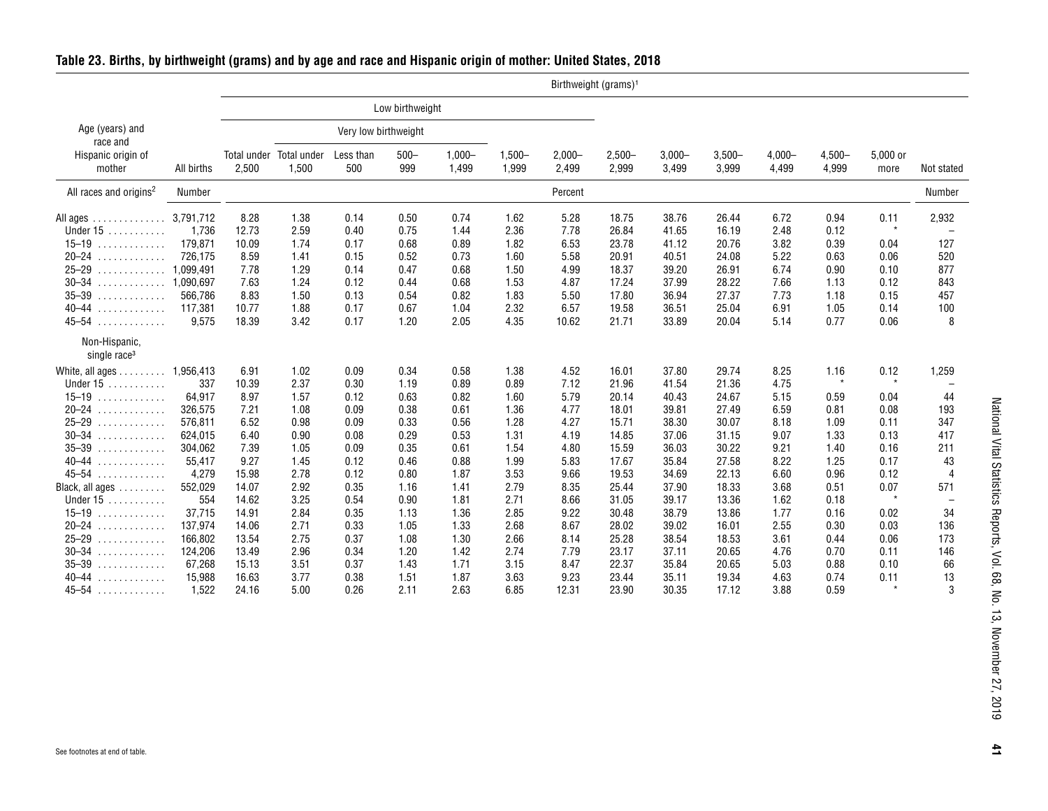|                                           |            |       |                                  |                      |                 |                    |                    |                    | Birthweight (grams) <sup>1</sup> |                    |                    |                    |                    |                  |                |
|-------------------------------------------|------------|-------|----------------------------------|----------------------|-----------------|--------------------|--------------------|--------------------|----------------------------------|--------------------|--------------------|--------------------|--------------------|------------------|----------------|
|                                           |            |       |                                  |                      | Low birthweight |                    |                    |                    |                                  |                    |                    |                    |                    |                  |                |
| Age (years) and<br>race and               |            |       |                                  | Very low birthweight |                 |                    |                    |                    |                                  |                    |                    |                    |                    |                  |                |
| Hispanic origin of<br>mother              | All births | 2,500 | Total under Total under<br>1,500 | Less than<br>500     | $500 -$<br>999  | $1,000 -$<br>1,499 | $1,500 -$<br>1,999 | $2,000 -$<br>2,499 | $2,500 -$<br>2,999               | $3,000 -$<br>3,499 | $3,500 -$<br>3,999 | $4,000 -$<br>4,499 | $4,500 -$<br>4,999 | 5,000 or<br>more | Not stated     |
| All races and origins <sup>2</sup>        | Number     |       |                                  |                      |                 |                    |                    | Percent            |                                  |                    |                    |                    |                    |                  | Number         |
| All ages $\dots \dots \dots \dots$        | 3,791,712  | 8.28  | 1.38                             | 0.14                 | 0.50            | 0.74               | 1.62               | 5.28               | 18.75                            | 38.76              | 26.44              | 6.72               | 0.94               | 0.11             | 2,932          |
| Under $15$                                | 1.736      | 12.73 | 2.59                             | 0.40                 | 0.75            | 1.44               | 2.36               | 7.78               | 26.84                            | 41.65              | 16.19              | 2.48               | 0.12               | $\star$          |                |
| $15 - 19$<br>.                            | 179,871    | 10.09 | 1.74                             | 0.17                 | 0.68            | 0.89               | 1.82               | 6.53               | 23.78                            | 41.12              | 20.76              | 3.82               | 0.39               | 0.04             | 127            |
| $20 - 24$<br>.                            | 726.175    | 8.59  | 1.41                             | 0.15                 | 0.52            | 0.73               | 1.60               | 5.58               | 20.91                            | 40.51              | 24.08              | 5.22               | 0.63               | 0.06             | 520            |
| $25 - 29$<br>.                            | 1,099,491  | 7.78  | 1.29                             | 0.14                 | 0.47            | 0.68               | 1.50               | 4.99               | 18.37                            | 39.20              | 26.91              | 6.74               | 0.90               | 0.10             | 877            |
| $30 - 34$<br>.                            | 1.090.697  | 7.63  | 1.24                             | 0.12                 | 0.44            | 0.68               | 1.53               | 4.87               | 17.24                            | 37.99              | 28.22              | 7.66               | 1.13               | 0.12             | 843            |
| $35 - 39$<br>.                            | 566,786    | 8.83  | 1.50                             | 0.13                 | 0.54            | 0.82               | 1.83               | 5.50               | 17.80                            | 36.94              | 27.37              | 7.73               | 1.18               | 0.15             | 457            |
| $40 - 44$<br>.                            | 117,381    | 10.77 | 1.88                             | 0.17                 | 0.67            | 1.04               | 2.32               | 6.57               | 19.58                            | 36.51              | 25.04              | 6.91               | 1.05               | 0.14             | 100            |
| $45 - 54$<br>.                            | 9,575      | 18.39 | 3.42                             | 0.17                 | 1.20            | 2.05               | 4.35               | 10.62              | 21.71                            | 33.89              | 20.04              | 5.14               | 0.77               | 0.06             | 8              |
| Non-Hispanic,<br>single race <sup>3</sup> |            |       |                                  |                      |                 |                    |                    |                    |                                  |                    |                    |                    |                    |                  |                |
| White, all ages                           | 1,956,413  | 6.91  | 1.02                             | 0.09                 | 0.34            | 0.58               | 1.38               | 4.52               | 16.01                            | 37.80              | 29.74              | 8.25               | 1.16               | 0.12             | 1,259          |
| Under 15<br>.                             | 337        | 10.39 | 2.37                             | 0.30                 | 1.19            | 0.89               | 0.89               | 7.12               | 21.96                            | 41.54              | 21.36              | 4.75               | $\star$            | $\star$          |                |
| $15 - 19$<br>.                            | 64,917     | 8.97  | 1.57                             | 0.12                 | 0.63            | 0.82               | 1.60               | 5.79               | 20.14                            | 40.43              | 24.67              | 5.15               | 0.59               | 0.04             | 44             |
| $20 - 24$<br>.                            | 326.575    | 7.21  | 1.08                             | 0.09                 | 0.38            | 0.61               | 1.36               | 4.77               | 18.01                            | 39.81              | 27.49              | 6.59               | 0.81               | 0.08             | 193            |
| $25 - 29$<br>.                            | 576,811    | 6.52  | 0.98                             | 0.09                 | 0.33            | 0.56               | 1.28               | 4.27               | 15.71                            | 38.30              | 30.07              | 8.18               | 1.09               | 0.11             | 347            |
| $30 - 34$<br>.                            | 624,015    | 6.40  | 0.90                             | 0.08                 | 0.29            | 0.53               | 1.31               | 4.19               | 14.85                            | 37.06              | 31.15              | 9.07               | 1.33               | 0.13             | 417            |
| $35 - 39$<br>.                            | 304.062    | 7.39  | 1.05                             | 0.09                 | 0.35            | 0.61               | 1.54               | 4.80               | 15.59                            | 36.03              | 30.22              | 9.21               | 1.40               | 0.16             | 211            |
| $40 - 44$<br>.                            | 55,417     | 9.27  | 1.45                             | 0.12                 | 0.46            | 0.88               | 1.99               | 5.83               | 17.67                            | 35.84              | 27.58              | 8.22               | 1.25               | 0.17             | 43             |
| $45 - 54$<br>.                            | 4,279      | 15.98 | 2.78                             | 0.12                 | 0.80            | 1.87               | 3.53               | 9.66               | 19.53                            | 34.69              | 22.13              | 6.60               | 0.96               | 0.12             | $\overline{4}$ |
| Black, all ages                           | 552,029    | 14.07 | 2.92                             | 0.35                 | 1.16            | 1.41               | 2.79               | 8.35               | 25.44                            | 37.90              | 18.33              | 3.68               | 0.51               | 0.07             | 571            |
| Under $15$                                | 554        | 14.62 | 3.25                             | 0.54                 | 0.90            | 1.81               | 2.71               | 8.66               | 31.05                            | 39.17              | 13.36              | 1.62               | 0.18               | $\star$          |                |
| $15 - 19$                                 | 37,715     | 14.91 | 2.84                             | 0.35                 | 1.13            | 1.36               | 2.85               | 9.22               | 30.48                            | 38.79              | 13.86              | 1.77               | 0.16               |                  | 34             |
| .                                         |            |       |                                  |                      |                 |                    |                    |                    |                                  |                    |                    |                    |                    | 0.02             |                |
| $20 - 24$<br>.                            | 137,974    | 14.06 | 2.71                             | 0.33                 | 1.05            | 1.33               | 2.68               | 8.67               | 28.02                            | 39.02              | 16.01              | 2.55               | 0.30               | 0.03             | 136            |
| $25 - 29$<br>.                            | 166,802    | 13.54 | 2.75                             | 0.37                 | 1.08            | 1.30               | 2.66               | 8.14               | 25.28                            | 38.54              | 18.53              | 3.61               | 0.44               | 0.06             | 173            |
| $30 - 34$<br>.                            | 124,206    | 13.49 | 2.96                             | 0.34                 | 1.20            | 1.42               | 2.74               | 7.79               | 23.17                            | 37.11              | 20.65              | 4.76               | 0.70               | 0.11             | 146            |
| $35 - 39$<br>.                            | 67,268     | 15.13 | 3.51                             | 0.37                 | 1.43            | 1.71               | 3.15               | 8.47               | 22.37                            | 35.84              | 20.65              | 5.03               | 0.88               | 0.10             | 66             |
| $40 - 44$<br>.                            | 15,988     | 16.63 | 3.77                             | 0.38                 | 1.51            | 1.87               | 3.63               | 9.23               | 23.44                            | 35.11              | 19.34              | 4.63               | 0.74               | 0.11             | 13             |
| $45 - 54$<br>.                            | 1.522      | 24.16 | 5.00                             | 0.26                 | 2.11            | 2.63               | 6.85               | 12.31              | 23.90                            | 30.35              | 17.12              | 3.88               | 0.59               | $\star$          | 3              |

#### <span id="page-40-0"></span>**Table 23. Births, by birthweight (grams) and by age and race and Hispanic origin of mother: United States, 2018**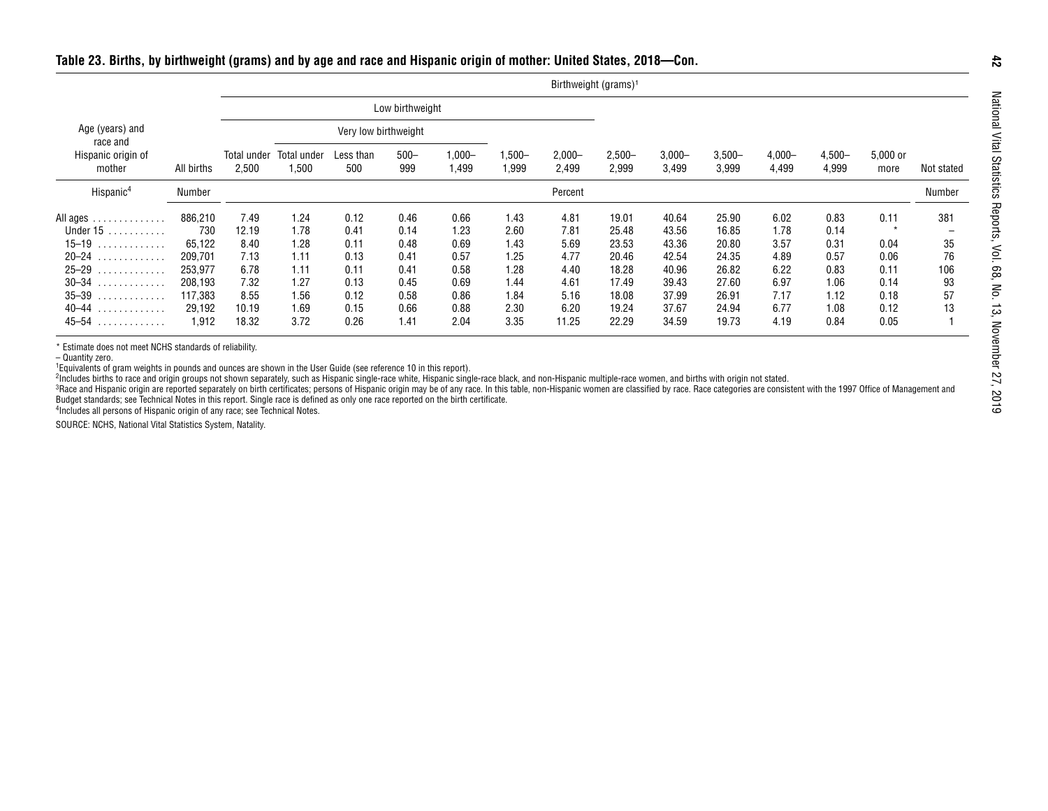|                              |            |                      |                      |                      |                 |                    |                    |                    | Birthweight (grams) <sup>1</sup> |                    |                   |                    |                    |                  |            |
|------------------------------|------------|----------------------|----------------------|----------------------|-----------------|--------------------|--------------------|--------------------|----------------------------------|--------------------|-------------------|--------------------|--------------------|------------------|------------|
|                              |            |                      |                      |                      | Low birthweight |                    |                    |                    |                                  |                    |                   |                    |                    |                  |            |
| Age (years) and<br>race and  |            |                      |                      | Very low birthweight |                 |                    |                    |                    |                                  |                    |                   |                    |                    |                  |            |
| Hispanic origin of<br>mother | All births | Total under<br>2,500 | Total under<br>1,500 | Less than<br>500     | $500 -$<br>999  | $1,000 -$<br>1,499 | $1,500 -$<br>1,999 | $2,000 -$<br>2,499 | $2,500 -$<br>2,999               | $3,000 -$<br>3,499 | $3,500-$<br>3,999 | $4,000 -$<br>4,499 | $4,500 -$<br>4,999 | 5,000 or<br>more | Not stated |
| Hispanic <sup>4</sup>        | Number     |                      |                      |                      |                 |                    |                    | Percent            |                                  |                    |                   |                    |                    |                  | Number     |
| All ages                     | 886,210    | 7.49                 | 1.24                 | 0.12                 | 0.46            | 0.66               | 1.43               | 4.81               | 19.01                            | 40.64              | 25.90             | 6.02               | 0.83               | 0.11             | 381        |
| Under $15$                   | 730        | 12.19                | 1.78                 | 0.41                 | 0.14            | 1.23               | 2.60               | 7.81               | 25.48                            | 43.56              | 16.85             | 1.78               | 0.14               | $\star$          |            |
| $15-19$                      | 65,122     | 8.40                 | 1.28                 | 0.11                 | 0.48            | 0.69               | 1.43               | 5.69               | 23.53                            | 43.36              | 20.80             | 3.57               | 0.31               | 0.04             | 35         |
| $20 - 24$                    | 209,701    | 7.13                 | 1.11                 | 0.13                 | 0.41            | 0.57               | 1.25               | 4.77               | 20.46                            | 42.54              | 24.35             | 4.89               | 0.57               | 0.06             | 76         |
| $25 - 29$                    | 253,977    | 6.78                 | 1.11                 | 0.11                 | 0.41            | 0.58               | 1.28               | 4.40               | 18.28                            | 40.96              | 26.82             | 6.22               | 0.83               | 0.11             | 106        |
| $30 - 34$                    | 208.193    | 7.32                 | 1.27                 | 0.13                 | 0.45            | 0.69               | 1.44               | 4.61               | 17.49                            | 39.43              | 27.60             | 6.97               | 1.06               | 0.14             | 93         |
| $35 - 39$                    | 117.383    | 8.55                 | 1.56                 | 0.12                 | 0.58            | 0.86               | 1.84               | 5.16               | 18.08                            | 37.99              | 26.91             | 7.17               | 1.12               | 0.18             | 57         |
| $40 - 44$                    | 29,192     | 10.19                | 1.69                 | 0.15                 | 0.66            | 0.88               | 2.30               | 6.20               | 19.24                            | 37.67              | 24.94             | 6.77               | 1.08               | 0.12             | 13         |
| $45 - 54$                    | 1.912      | 18.32                | 3.72                 | 0.26                 | 1.41            | 2.04               | 3.35               | 11.25              | 22.29                            | 34.59              | 19.73             | 4.19               | 0.84               | 0.05             |            |

4Includes all persons of Hispanic origin of any race; see Technical Notes.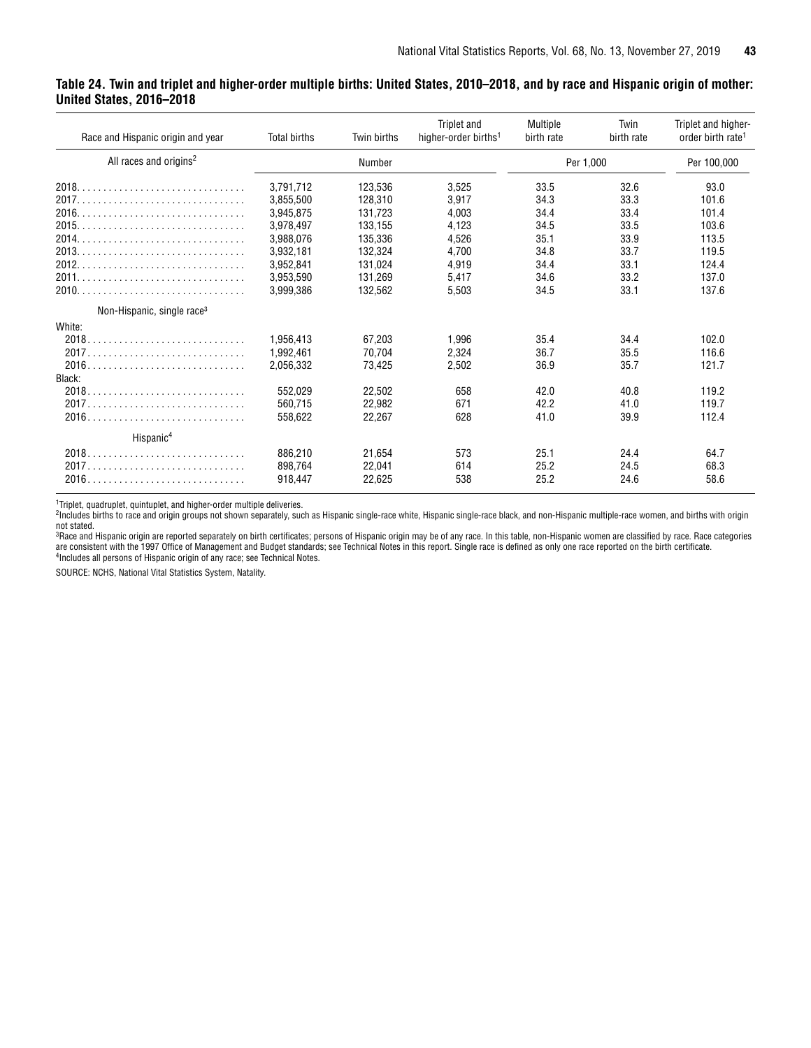#### <span id="page-42-0"></span>**Table 24. Twin and triplet and higher-order multiple births: United States, 2010–2018, and by race and Hispanic origin of mother: United States, 2016–2018**

| Race and Hispanic origin and year      | <b>Total births</b> | Twin births | Triplet and<br>higher-order births <sup>1</sup> | Multiple<br>birth rate | Twin<br>birth rate | Triplet and higher-<br>order birth rate <sup>1</sup> |
|----------------------------------------|---------------------|-------------|-------------------------------------------------|------------------------|--------------------|------------------------------------------------------|
| All races and origins <sup>2</sup>     |                     | Number      |                                                 | Per 1,000              |                    | Per 100,000                                          |
|                                        | 3,791,712           | 123,536     | 3,525                                           | 33.5                   | 32.6               | 93.0                                                 |
|                                        | 3.855.500           | 128.310     | 3,917                                           | 34.3                   | 33.3               | 101.6                                                |
|                                        | 3,945,875           | 131,723     | 4,003                                           | 34.4                   | 33.4               | 101.4                                                |
|                                        | 3.978.497           | 133.155     | 4,123                                           | 34.5                   | 33.5               | 103.6                                                |
|                                        | 3,988,076           | 135,336     | 4,526                                           | 35.1                   | 33.9               | 113.5                                                |
|                                        | 3,932,181           | 132.324     | 4.700                                           | 34.8                   | 33.7               | 119.5                                                |
|                                        | 3.952.841           | 131.024     | 4,919                                           | 34.4                   | 33.1               | 124.4                                                |
|                                        | 3,953,590           | 131.269     | 5.417                                           | 34.6                   | 33.2               | 137.0                                                |
|                                        | 3.999.386           | 132,562     | 5,503                                           | 34.5                   | 33.1               | 137.6                                                |
| Non-Hispanic, single race <sup>3</sup> |                     |             |                                                 |                        |                    |                                                      |
| White:                                 |                     |             |                                                 |                        |                    |                                                      |
|                                        | 1,956,413           | 67.203      | 1.996                                           | 35.4                   | 34.4               | 102.0                                                |
|                                        | 1.992.461           | 70,704      | 2.324                                           | 36.7                   | 35.5               | 116.6                                                |
|                                        | 2.056.332           | 73.425      | 2.502                                           | 36.9                   | 35.7               | 121.7                                                |
| Black:                                 |                     |             |                                                 |                        |                    |                                                      |
|                                        | 552.029             | 22.502      | 658                                             | 42.0                   | 40.8               | 119.2                                                |
|                                        | 560.715             | 22.982      | 671                                             | 42.2                   | 41.0               | 119.7                                                |
|                                        | 558.622             | 22,267      | 628                                             | 41.0                   | 39.9               | 112.4                                                |
| Hispanic <sup>4</sup>                  |                     |             |                                                 |                        |                    |                                                      |
|                                        | 886.210             | 21.654      | 573                                             | 25.1                   | 24.4               | 64.7                                                 |
|                                        | 898.764             | 22.041      | 614                                             | 25.2                   | 24.5               | 68.3                                                 |
|                                        | 918.447             | 22.625      | 538                                             | 25.2                   | 24.6               | 58.6                                                 |

1 Triplet, quadruplet, quintuplet, and higher-order multiple deliveries.

2Includes births to race and origin groups not shown separately, such as Hispanic single-race white, Hispanic single-race black, and non-Hispanic multiple-race women, and births with origin

not stated.<br><sup>3</sup>Race and Hispanic origin are reported separately on birth certificates; persons of Hispanic origin may be of any race. In this table, non-Hispanic women are classified by race. Race categories are consistent with the 1997 Office of Management and Budget standards; see Technical Notes in this report. Single race is defined as only one race reported on the birth certificate.<br><sup>4</sup>Includes all persons of Hispanic ori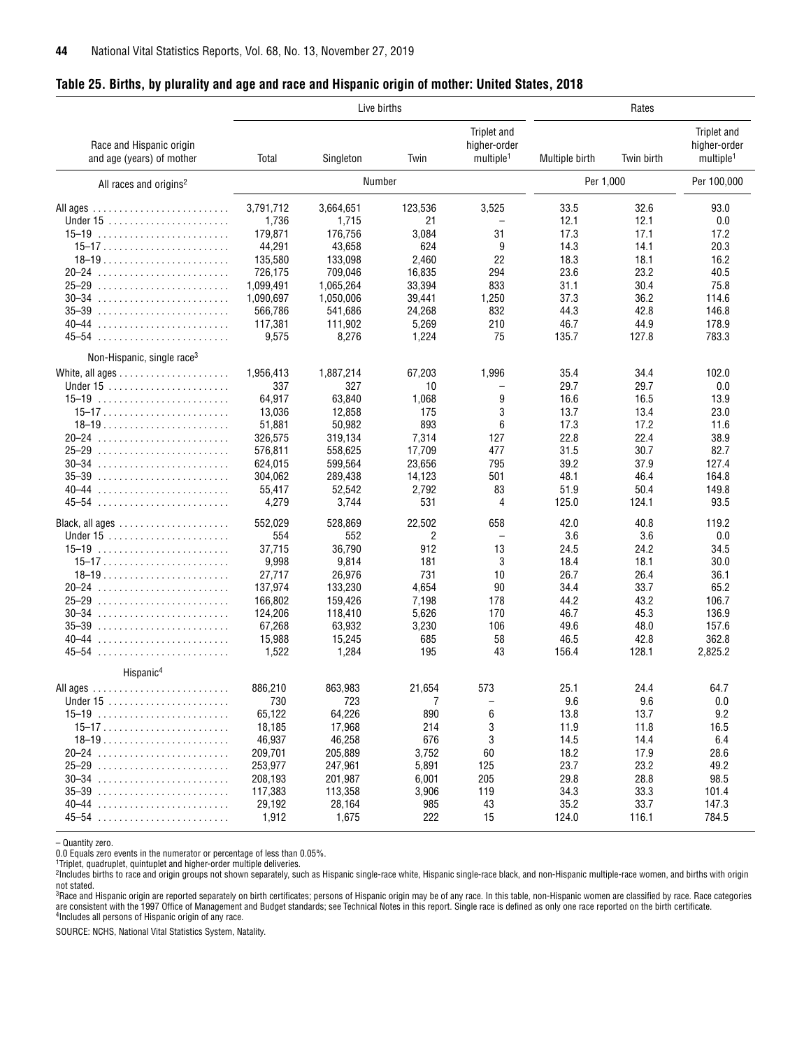<span id="page-43-0"></span>

|  |  | Table 25. Births, by plurality and age and race and Hispanic origin of mother: United States, 2018 |  |
|--|--|----------------------------------------------------------------------------------------------------|--|
|  |  |                                                                                                    |  |

|                                                       | Live births |           |         |                                                      | Rates          |            |                                                      |  |
|-------------------------------------------------------|-------------|-----------|---------|------------------------------------------------------|----------------|------------|------------------------------------------------------|--|
| Race and Hispanic origin<br>and age (years) of mother | Total       | Singleton | Twin    | Triplet and<br>higher-order<br>multiple <sup>1</sup> | Multiple birth | Twin birth | Triplet and<br>higher-order<br>multiple <sup>1</sup> |  |
| All races and origins <sup>2</sup>                    |             | Number    |         |                                                      | Per 1,000      |            | Per 100,000                                          |  |
|                                                       | 3,791,712   | 3,664,651 | 123,536 | 3,525                                                | 33.5           | 32.6       | 93.0                                                 |  |
|                                                       | 1,736       | 1,715     | 21      |                                                      | 12.1           | 12.1       | 0.0                                                  |  |
|                                                       | 179,871     | 176,756   | 3,084   | 31                                                   | 17.3           | 17.1       | 17.2                                                 |  |
|                                                       | 44,291      | 43,658    | 624     | 9                                                    | 14.3           | 14.1       | 20.3                                                 |  |
|                                                       | 135,580     | 133,098   | 2,460   | 22                                                   | 18.3           | 18.1       | 16.2                                                 |  |
| $20 - 24$                                             | 726,175     | 709,046   | 16,835  | 294                                                  | 23.6           | 23.2       | 40.5                                                 |  |
|                                                       | 1,099,491   | 1,065,264 | 33,394  | 833                                                  | 31.1           | 30.4       | 75.8                                                 |  |
|                                                       | 1,090,697   | 1,050,006 | 39,441  | 1,250                                                | 37.3           | 36.2       | 114.6                                                |  |
|                                                       | 566,786     | 541,686   | 24,268  | 832                                                  | 44.3           | 42.8       | 146.8                                                |  |
|                                                       | 117,381     | 111,902   | 5,269   | 210                                                  | 46.7           | 44.9       | 178.9                                                |  |
|                                                       | 9,575       | 8,276     | 1,224   | 75                                                   | 135.7          | 127.8      | 783.3                                                |  |
|                                                       |             |           |         |                                                      |                |            |                                                      |  |
| Non-Hispanic, single race <sup>3</sup>                |             |           |         |                                                      |                |            |                                                      |  |
|                                                       | 1,956,413   | 1,887,214 | 67,203  | 1,996                                                | 35.4           | 34.4       | 102.0                                                |  |
|                                                       | 337         | 327       | 10      |                                                      | 29.7           | 29.7       | 0.0                                                  |  |
| $15-19$                                               | 64,917      | 63,840    | 1,068   | 9                                                    | 16.6           | 16.5       | 13.9                                                 |  |
| $15-17$                                               | 13,036      | 12,858    | 175     | 3                                                    | 13.7           | 13.4       | 23.0                                                 |  |
| $18-19$                                               | 51,881      | 50,982    | 893     | 6                                                    | 17.3           | 17.2       | 11.6                                                 |  |
|                                                       | 326,575     | 319,134   | 7,314   | 127                                                  | 22.8           | 22.4       | 38.9                                                 |  |
|                                                       | 576,811     | 558,625   | 17,709  | 477                                                  | 31.5           | 30.7       | 82.7                                                 |  |
| $30-34$                                               | 624,015     | 599,564   | 23,656  | 795                                                  | 39.2           | 37.9       | 127.4                                                |  |
| $35 - 39$                                             | 304,062     | 289,438   | 14,123  | 501                                                  | 48.1           | 46.4       | 164.8                                                |  |
|                                                       | 55,417      | 52,542    | 2,792   | 83                                                   | 51.9           | 50.4       | 149.8                                                |  |
|                                                       | 4,279       | 3,744     | 531     | 4                                                    | 125.0          | 124.1      | 93.5                                                 |  |
|                                                       | 552,029     | 528,869   | 22,502  | 658                                                  | 42.0           | 40.8       | 119.2                                                |  |
|                                                       | 554         | 552       | 2       |                                                      | 3.6            | 3.6        | 0.0                                                  |  |
|                                                       | 37,715      | 36,790    | 912     | 13                                                   | 24.5           | 24.2       | 34.5                                                 |  |
| $15-17$                                               | 9,998       | 9,814     | 181     | 3                                                    | 18.4           | 18.1       | 30.0                                                 |  |
|                                                       | 27,717      | 26,976    | 731     | 10                                                   | 26.7           | 26.4       | 36.1                                                 |  |
|                                                       | 137,974     | 133,230   | 4,654   | 90                                                   | 34.4           | 33.7       | 65.2                                                 |  |
|                                                       | 166,802     | 159,426   | 7,198   | 178                                                  | 44.2           | 43.2       | 106.7                                                |  |
| $30 - 34$                                             | 124,206     | 118,410   | 5,626   | 170                                                  | 46.7           | 45.3       | 136.9                                                |  |
| $35-39$                                               | 67,268      | 63,932    | 3,230   | 106                                                  | 49.6           | 48.0       | 157.6                                                |  |
| $40 - 44$                                             | 15,988      | 15,245    | 685     | 58                                                   | 46.5           | 42.8       | 362.8                                                |  |
| 45–54                                                 | 1,522       | 1,284     | 195     | 43                                                   | 156.4          | 128.1      | 2,825.2                                              |  |
| Hispanic <sup>4</sup>                                 |             |           |         |                                                      |                |            |                                                      |  |
|                                                       | 886,210     | 863,983   | 21,654  | 573                                                  | 25.1           | 24.4       | 64.7                                                 |  |
|                                                       | 730         | 723       | 7       |                                                      | 9.6            | 9.6        | 0.0                                                  |  |
|                                                       | 65,122      | 64,226    | 890     | 6                                                    | 13.8           | 13.7       | 9.2                                                  |  |
|                                                       | 18,185      | 17,968    | 214     | 3                                                    | 11.9           | 11.8       | 16.5                                                 |  |
|                                                       | 46,937      | 46,258    | 676     | 3                                                    | 14.5           | 14.4       | 6.4                                                  |  |
|                                                       | 209,701     | 205,889   | 3,752   |                                                      | 18.2           | 17.9       | 28.6                                                 |  |
|                                                       |             |           |         | 60                                                   |                |            |                                                      |  |
|                                                       | 253,977     | 247,961   | 5,891   | 125                                                  | 23.7           | 23.2       | 49.2                                                 |  |
|                                                       | 208,193     | 201,987   | 6,001   | 205                                                  | 29.8           | 28.8       | 98.5                                                 |  |
|                                                       | 117,383     | 113,358   | 3,906   | 119                                                  | 34.3           | 33.3       | 101.4                                                |  |
| 40–44                                                 | 29,192      | 28,164    | 985     | 43                                                   | 35.2           | 33.7       | 147.3                                                |  |
|                                                       | 1,912       | 1,675     | 222     | 15                                                   | 124.0          | 116.1      | 784.5                                                |  |

– Quantity zero.

2Includes births to race and origin groups not shown separately, such as Hispanic single-race white, Hispanic single-race black, and non-Hispanic multiple-race women, and births with origin

not stated.<br><sup>3</sup>Race and Hispanic origin are reported separately on birth certificates; persons of Hispanic origin may be of any race. In this table, non-Hispanic women are classified by race. Race categories are consistent with the 1997 Office of Management and Budget standards; see Technical Notes in this report. Single race is defined as only one race reported on the birth certificate.<br><sup>4</sup>Includes all persons of Hispanic ori

<sup>0.0</sup> Equals zero events in the numerator or percentage of less than 0.05%. 1Triplet, quadruplet, quintuplet and higher-order multiple deliveries.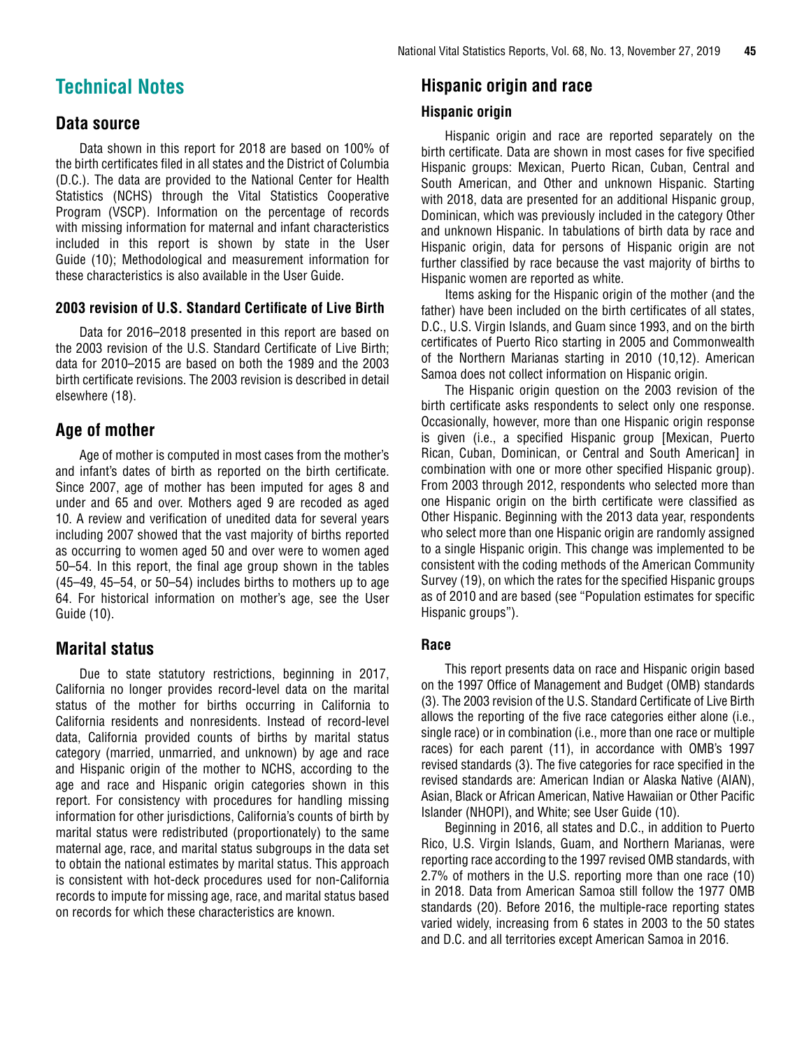## <span id="page-44-0"></span>**Technical Notes**

### **Data source**

Data shown in this report for 2018 are based on 100% of the birth certificates filed in all states and the District of Columbia (D.C.). The data are provided to the National Center for Health Statistics (NCHS) through the Vital Statistics Cooperative Program (VSCP). Information on the percentage of records with missing information for maternal and infant characteristics included in this report is shown by state in the User Guide (10); Methodological and measurement information for these characteristics is also available in the User Guide.

#### **2003 revision of U.S. Standard Certificate of Live Birth**

Data for 2016–2018 presented in this report are based on the 2003 revision of the U.S. Standard Certificate of Live Birth; data for 2010–2015 are based on both the 1989 and the 2003 birth certificate revisions. The 2003 revision is described in detail elsewhere (18).

### **Age of mother**

Age of mother is computed in most cases from the mother's and infant's dates of birth as reported on the birth certificate. Since 2007, age of mother has been imputed for ages 8 and under and 65 and over. Mothers aged 9 are recoded as aged 10. A review and verification of unedited data for several years including 2007 showed that the vast majority of births reported as occurring to women aged 50 and over were to women aged 50–54. In this report, the final age group shown in the tables (45–49, 45–54, or 50–54) includes births to mothers up to age 64. For historical information on mother's age, see the User Guide (10).

### **Marital status**

Due to state statutory restrictions, beginning in 2017, California no longer provides record-level data on the marital status of the mother for births occurring in California to California residents and nonresidents. Instead of record-level data, California provided counts of births by marital status category (married, unmarried, and unknown) by age and race and Hispanic origin of the mother to NCHS, according to the age and race and Hispanic origin categories shown in this report. For consistency with procedures for handling missing information for other jurisdictions, California's counts of birth by marital status were redistributed (proportionately) to the same maternal age, race, and marital status subgroups in the data set to obtain the national estimates by marital status. This approach is consistent with hot-deck procedures used for non-California records to impute for missing age, race, and marital status based on records for which these characteristics are known.

### **Hispanic origin and race**

#### **Hispanic origin**

Hispanic origin and race are reported separately on the birth certificate. Data are shown in most cases for five specified Hispanic groups: Mexican, Puerto Rican, Cuban, Central and South American, and Other and unknown Hispanic. Starting with 2018, data are presented for an additional Hispanic group, Dominican, which was previously included in the category Other and unknown Hispanic. In tabulations of birth data by race and Hispanic origin, data for persons of Hispanic origin are not further classified by race because the vast majority of births to Hispanic women are reported as white.

Items asking for the Hispanic origin of the mother (and the father) have been included on the birth certificates of all states, D.C., U.S. Virgin Islands, and Guam since 1993, and on the birth certificates of Puerto Rico starting in 2005 and Commonwealth of the Northern Marianas starting in 2010 (10,12). American Samoa does not collect information on Hispanic origin.

The Hispanic origin question on the 2003 revision of the birth certificate asks respondents to select only one response. Occasionally, however, more than one Hispanic origin response is given (i.e., a specified Hispanic group [Mexican, Puerto Rican, Cuban, Dominican, or Central and South American] in combination with one or more other specified Hispanic group). From 2003 through 2012, respondents who selected more than one Hispanic origin on the birth certificate were classified as Other Hispanic. Beginning with the 2013 data year, respondents who select more than one Hispanic origin are randomly assigned to a single Hispanic origin. This change was implemented to be consistent with the coding methods of the American Community Survey (19), on which the rates for the specified Hispanic groups as of 2010 and are based (see "Population estimates for specific Hispanic groups").

#### **Race**

This report presents data on race and Hispanic origin based on the 1997 Office of Management and Budget (OMB) standards (3). The 2003 revision of the U.S. Standard Certificate of Live Birth allows the reporting of the five race categories either alone (i.e., single race) or in combination (i.e., more than one race or multiple races) for each parent (11), in accordance with OMB's 1997 revised standards (3). The five categories for race specified in the revised standards are: American Indian or Alaska Native (AIAN), Asian, Black or African American, Native Hawaiian or Other Pacific Islander (NHOPI), and White; see User Guide (10).

Beginning in 2016, all states and D.C., in addition to Puerto Rico, U.S. Virgin Islands, Guam, and Northern Marianas, were reporting race according to the 1997 revised OMB standards, with 2.7% of mothers in the U.S. reporting more than one race (10) in 2018. Data from American Samoa still follow the 1977 OMB standards (20). Before 2016, the multiple-race reporting states varied widely, increasing from 6 states in 2003 to the 50 states and D.C. and all territories except American Samoa in 2016.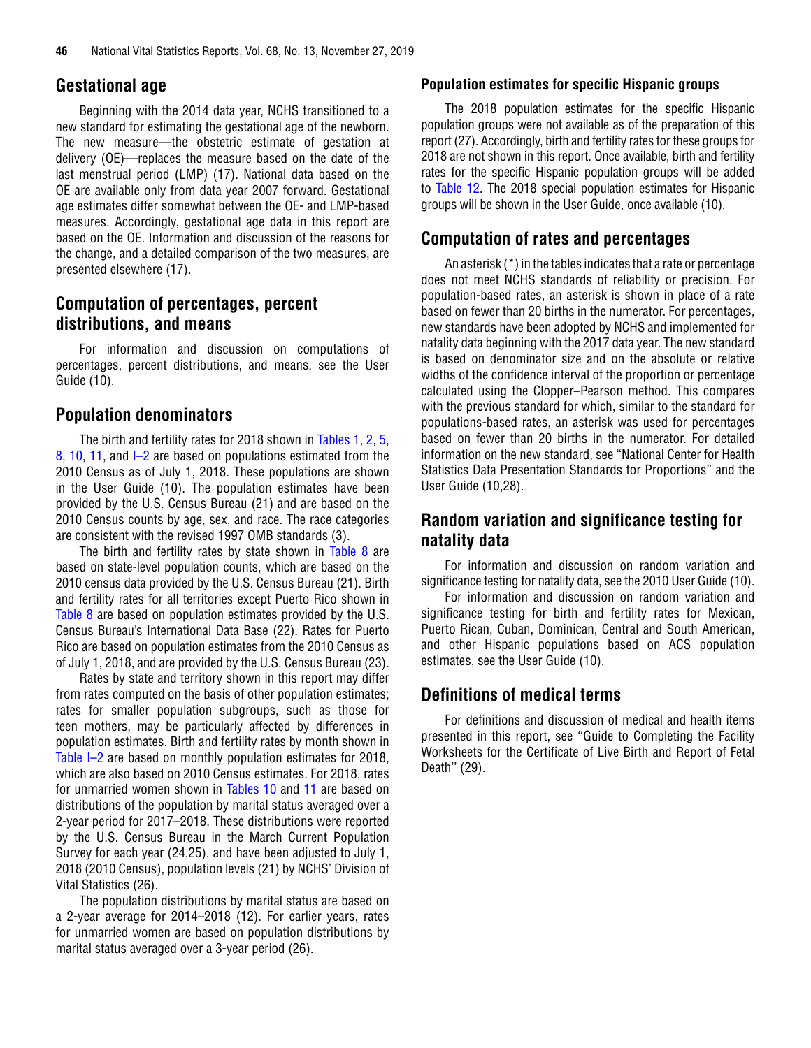#### **Gestational age**

Beginning with the 2014 data year, NCHS transitioned to a new standard for estimating the gestational age of the newborn. The new measure—the obstetric estimate of gestation at delivery (OE)—replaces the measure based on the date of the last menstrual period (LMP) (17). National data based on the OE are available only from data year 2007 forward. Gestational age estimates differ somewhat between the OE- and LMP-based measures. Accordingly, gestational age data in this report are based on the OE. Information and discussion of the reasons for the change, and a detailed comparison of the two measures, are presented elsewhere (17).

### **Computation of percentages, percent distributions, and means**

For information and discussion on computations of percentages, percent distributions, and means, see the User Guide (10).

### **Population denominators**

The birth and fertility rates for 2018 shown in [Tables 1,](#page-11-0) [2,](#page-12-0) [5,](#page-17-0)  [8,](#page-22-0) [10,](#page-25-0) [11,](#page-26-0) and I-2 are based on populations estimated from the 2010 Census as of July 1, 2018. These populations are shown in the User Guide (10). The population estimates have been provided by the U.S. Census Bureau (21) and are based on the 2010 Census counts by age, sex, and race. The race categories are consistent with the revised 1997 OMB standards (3).

The birth and fertility rates by state shown in [Table 8](#page-22-0) are based on state-level population counts, which are based on the 2010 census data provided by the U.S. Census Bureau (21). Birth and fertility rates for all territories except Puerto Rico shown in [Table 8 a](#page-22-0)re based on population estimates provided by the U.S. Census Bureau's International Data Base (22). Rates for Puerto Rico are based on population estimates from the 2010 Census as of July 1, 2018, and are provided by the U.S. Census Bureau (23).

Rates by state and territory shown in this report may differ from rates computed on the basis of other population estimates; rates for smaller population subgroups, such as those for teen mothers, may be particularly affected by differences in population estimates. Birth and fertility rates by month shown in [Table I–2](https://www.cdc.gov/nchs/data/nvsr/nvsr68/nvsr68_13_tables-508.pdf#I02) are based on monthly population estimates for 2018, which are also based on 2010 Census estimates. For 2018, rates for unmarried women shown in [Tables 10](#page-25-0) and [11](#page-26-0) are based on distributions of the population by marital status averaged over a 2-year period for 2017–2018. These distributions were reported by the U.S. Census Bureau in the March Current Population Survey for each year (24,25), and have been adjusted to July 1, 2018 (2010 Census), population levels (21) by NCHS' Division of Vital Statistics (26).

The population distributions by marital status are based on a 2-year average for 2014–2018 (12). For earlier years, rates for unmarried women are based on population distributions by marital status averaged over a 3-year period (26).

#### **Population estimates for specific Hispanic groups**

The 2018 population estimates for the specific Hispanic population groups were not available as of the preparation of this report (27). Accordingly, birth and fertility rates for these groups for 2018 are not shown in this report. Once available, birth and fertility rates for the specific Hispanic population groups will be added to [Table 12.](#page-27-0) The 2018 special population estimates for Hispanic groups will be shown in the User Guide, once available (10).

### **Computation of rates and percentages**

An asterisk (\*) in the tables indicates that a rate or percentage does not meet NCHS standards of reliability or precision. For population-based rates, an asterisk is shown in place of a rate based on fewer than 20 births in the numerator. For percentages, new standards have been adopted by NCHS and implemented for natality data beginning with the 2017 data year. The new standard is based on denominator size and on the absolute or relative widths of the confidence interval of the proportion or percentage calculated using the Clopper–Pearson method. This compares with the previous standard for which, similar to the standard for populations-based rates, an asterisk was used for percentages based on fewer than 20 births in the numerator. For detailed information on the new standard, see "National Center for Health Statistics Data Presentation Standards for Proportions" and the User Guide (10,28).

### **Random variation and significance testing for natality data**

For information and discussion on random variation and significance testing for natality data, see the 2010 User Guide (10).

For information and discussion on random variation and significance testing for birth and fertility rates for Mexican, Puerto Rican, Cuban, Dominican, Central and South American, and other Hispanic populations based on ACS population estimates, see the User Guide (10).

### **Definitions of medical terms**

For definitions and discussion of medical and health items presented in this report, see ''Guide to Completing the Facility Worksheets for the Certificate of Live Birth and Report of Fetal Death'' (29).